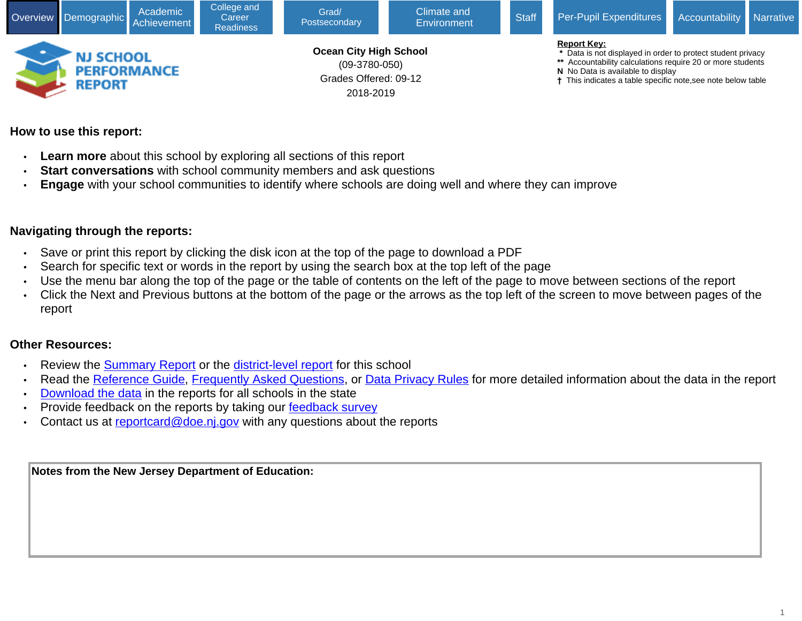

## **How to use this report:**

- **Learn more** about this school by exploring all sections of this report
- **Start conversations** with school community members and ask questions
- **Engage** with your school communities to identify where schools are doing well and where they can improve

## **Navigating through the reports:**

- Save or print this report by clicking the disk icon at the top of the page to download a PDF
- Search for specific text or words in the report by using the search box at the top left of the page
- Use the menu bar along the top of the page or the table of contents on the left of the page to move between sections of the report
- Click the Next and Previous buttons at the bottom of the page or the arrows as the top left of the screen to move between pages of the report

## **Other Resources:**

- Review the [Summary Report](https://rc.doe.state.nj.us/report.aspx?school=050&schoolyear=2018-2019&district=3780&county=09&type=summaryschool&lang=english) or the [district-level report](https://rc.doe.state.nj.us/report.aspx?school=&schoolyear=2018-2019&district=3780&county=09&type=district&lang=english) for this school
- Read the [Reference Guide,](javascript:void(window.open(window.location.origin%20+%20) [Frequently Asked Questions](javascript:void(window.open(window.location.origin%20+%20), or [Data Privacy Rules](javascript:void(window.open(window.location.origin%20+%20) for more detailed information about the data in the report
- [Download the data](javascript:void(window.open(window.location.origin%20+%20) in the reports for all schools in the state
- Provide feedback on the reports by taking our [feedback survey](javascript:void(window.open()
- Contact us at [reportcard@doe.nj.gov](mailto:reportcard@doe.nj.gov) with any questions about the reports

**Notes from the New Jersey Department of Education:**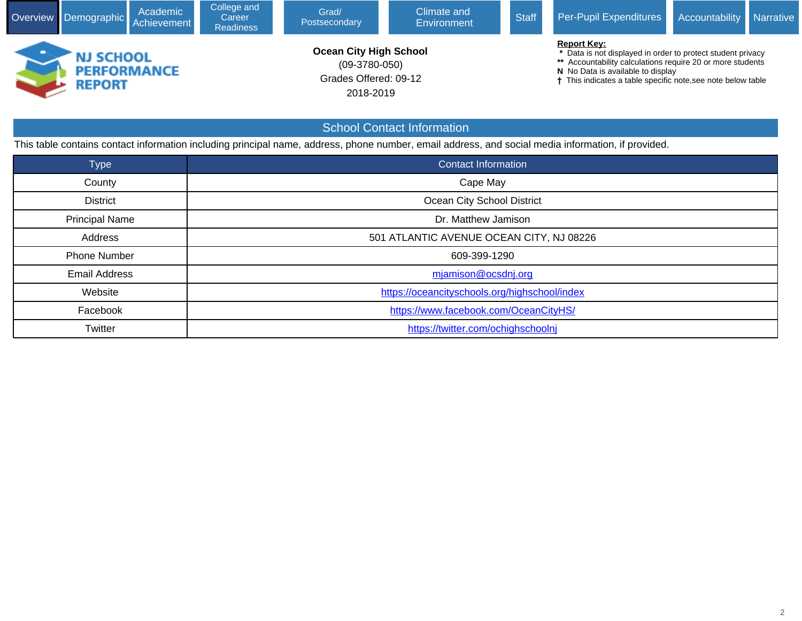| Overview Demographic                                    | Academic<br>Achievement | College and<br>Career<br><b>Readiness</b> | <b>Climate and</b><br>Grad/<br>Postsecondary<br><b>Environment</b>                     |                                   | <b>Staff</b> | Per-Pupil Expenditures                                                                                                                                                                                                                                          | Accountability | <b>Narrative</b> |
|---------------------------------------------------------|-------------------------|-------------------------------------------|----------------------------------------------------------------------------------------|-----------------------------------|--------------|-----------------------------------------------------------------------------------------------------------------------------------------------------------------------------------------------------------------------------------------------------------------|----------------|------------------|
| <b>NJ SCHOOL</b><br><b>PERFORMANCE</b><br><b>REPORT</b> |                         |                                           | <b>Ocean City High School</b><br>$(09-3780-050)$<br>Grades Offered: 09-12<br>2018-2019 |                                   |              | <b>Report Key:</b><br>* Data is not displayed in order to protect student privacy<br>** Accountability calculations require 20 or more students<br>N No Data is available to display<br><sup>†</sup> This indicates a table specific note, see note below table |                |                  |
|                                                         |                         |                                           |                                                                                        | <b>School Contact Information</b> |              |                                                                                                                                                                                                                                                                 |                |                  |

Type Contact Information Contact Information

District **District District District Ocean City School District** 

Address **1000 1000 10000 10000 10000 10000 10000 10000 10000 10000 10000 10000 10000 10000 10000 10000 10000 10000 10000 10000 10000 10000 10000 10000 10000 10000 10000 10000 10000 10000 10000 10000 10000 10000 10000 10000** 

This table contains contact information including principal name, address, phone number, email address, and social media information, if provided.

Website **[https://oceancityschools.org/highschool/index](javascript:void(window.open()** Facebook [https://www.facebook.com/OceanCityHS/](javascript:void(window.open() Twitter **[https://twitter.com/ochighschoolnj](javascript:void(window.open()** 

County **County Cape May** 

Principal Name **Dr. Matthew Jamison** 

Phone Number 2001 2001 2002 2004 2004 2006 2009-2004 2009-2006 2009-2009 2009-200

Email Address [mjamison@ocsdnj.org](mailto:mjamison@ocsdnj.org)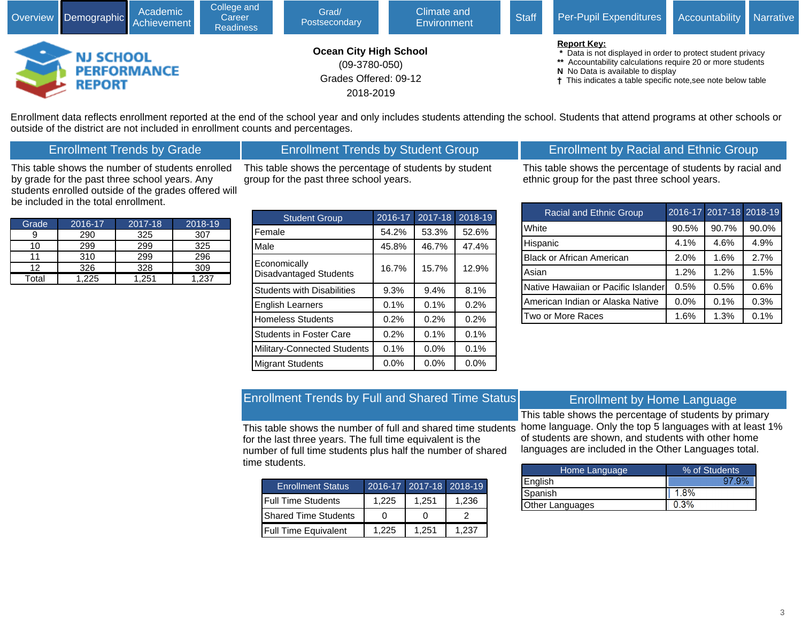

Enrollment data reflects enrollment reported at the end of the school year and only includes students attending the school. Students that attend programs at other schools or outside of the district are not included in enrollment counts and percentages.

## Enrollment Trends by Grade

#### Enrollment Trends by Student Group

This table shows the number of students enrolled by grade for the past three school years. Any students enrolled outside of the grades offered will be included in the total enrollment.

Grade 2016-17 2017-18 2018-19 9 | 290 | 325 | 307 10 | 299 | 299 | 325 11 | 310 | 299 | 296 12 326 328 309 Total 1,225 1,251 1,237

| This table shows the percentage of students by student |  |
|--------------------------------------------------------|--|
| group for the past three school years.                 |  |

| <b>Student Group</b>                          | 2016-17 | 2017-18 | 2018-19 |
|-----------------------------------------------|---------|---------|---------|
| Female                                        | 54.2%   | 53.3%   | 52.6%   |
| Male                                          | 45.8%   | 46.7%   | 47.4%   |
| Economically<br><b>Disadvantaged Students</b> | 16.7%   | 15.7%   | 12.9%   |
| <b>Students with Disabilities</b>             | 9.3%    | 9.4%    | 8.1%    |
| <b>English Learners</b>                       | 0.1%    | 0.1%    | 0.2%    |
| <b>Homeless Students</b>                      | 0.2%    | 0.2%    | 0.2%    |
| <b>Students in Foster Care</b>                | 0.2%    | 0.1%    | 0.1%    |
| <b>Military-Connected Students</b>            | 0.1%    | 0.0%    | 0.1%    |
| <b>Migrant Students</b>                       | 0.0%    | 0.0%    | 0.0%    |

## Enrollment by Racial and Ethnic Group

This table shows the percentage of students by racial and ethnic group for the past three school years.

| <b>Racial and Ethnic Group</b>      |       | 2016-17 2017-18 2018-19 |       |
|-------------------------------------|-------|-------------------------|-------|
| White                               | 90.5% | 90.7%                   | 90.0% |
| Hispanic                            | 4.1%  | 4.6%                    | 4.9%  |
| <b>Black or African American</b>    | 2.0%  | 1.6%                    | 2.7%  |
| Asian                               | 1.2%  | 1.2%                    | 1.5%  |
| Native Hawaiian or Pacific Islander | 0.5%  | 0.5%                    | 0.6%  |
| American Indian or Alaska Native    | 0.0%  | 0.1%                    | 0.3%  |
| Two or More Races                   | 1.6%  | 1.3%                    | 0.1%  |

## Enrollment Trends by Full and Shared Time Status

This table shows the number of full and shared time students for the last three years. The full time equivalent is the number of full time students plus half the number of shared time students.

| <b>Enrollment Status</b>    |       | 2016-17 2017-18 2018-19 |       |
|-----------------------------|-------|-------------------------|-------|
| <b>IFull Time Students</b>  | 1.225 | 1.251                   | 1.236 |
| <b>Shared Time Students</b> |       |                         |       |
| <b>Full Time Equivalent</b> | 1.225 | 1.251                   | 1.237 |

#### Enrollment by Home Language

This table shows the percentage of students by primary home language. Only the top 5 languages with at least 1% of students are shown, and students with other home languages are included in the Other Languages total.

| Home Language   | % of Students |  |  |  |  |
|-----------------|---------------|--|--|--|--|
| English         | ാ             |  |  |  |  |
| Spanish         | 1.8%          |  |  |  |  |
| Other Languages | 0.3%          |  |  |  |  |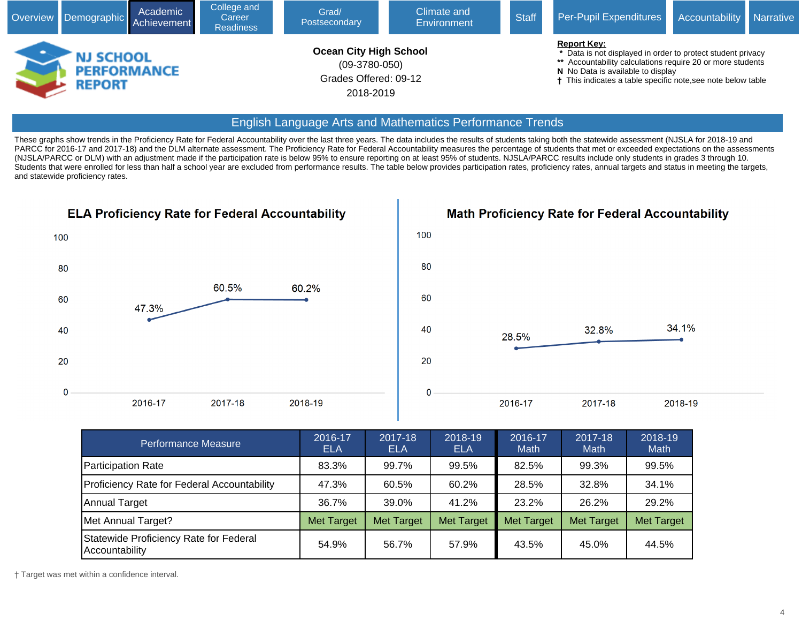

#### English Language Arts and Mathematics Performance Trends

These graphs show trends in the Proficiency Rate for Federal Accountability over the last three years. The data includes the results of students taking both the statewide assessment (NJSLA for 2018-19 and PARCC for 2016-17 and 2017-18) and the DLM alternate assessment. The Proficiency Rate for Federal Accountability measures the percentage of students that met or exceeded expectations on the assessments (NJSLA/PARCC or DLM) with an adjustment made if the participation rate is below 95% to ensure reporting on at least 95% of students. NJSLA/PARCC results include only students in grades 3 through 10. Students that were enrolled for less than half a school year are excluded from performance results. The table below provides participation rates, proficiency rates, annual targets and status in meeting the targets, and statewide proficiency rates.



**Math Proficiency Rate for Federal Accountability** 



| <b>Performance Measure</b>                               | 2016-17<br><b>ELA</b> | 2017-18<br>ELA    | 2018-19<br><b>ELA</b> | 2016-17<br>Math   | 2017-18<br>Math   | 2018-19<br>Math   |
|----------------------------------------------------------|-----------------------|-------------------|-----------------------|-------------------|-------------------|-------------------|
| Participation Rate                                       | 83.3%                 | 99.7%             | 99.5%                 | 82.5%             | 99.3%             | 99.5%             |
| Proficiency Rate for Federal Accountability              | 47.3%                 | 60.5%             | 60.2%                 | 28.5%             | 32.8%             | 34.1%             |
| Annual Target                                            | 36.7%                 | 39.0%             | 41.2%                 | 23.2%             | 26.2%             | 29.2%             |
| Met Annual Target?                                       | <b>Met Target</b>     | <b>Met Target</b> | <b>Met Target</b>     | <b>Met Target</b> | <b>Met Target</b> | <b>Met Target</b> |
| Statewide Proficiency Rate for Federal<br>Accountability | 54.9%                 | 56.7%             | 57.9%                 | 43.5%             | 45.0%             | 44.5%             |

† Target was met within a confidence interval.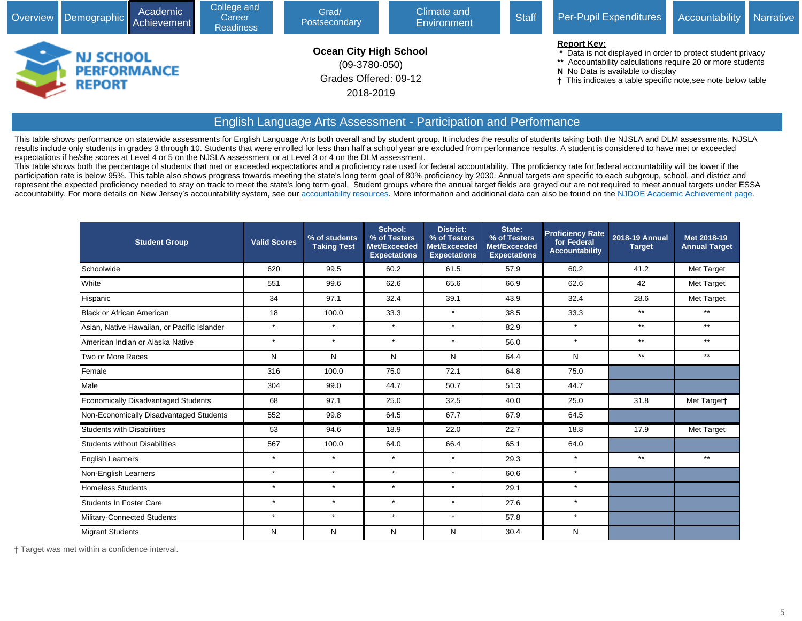

## English Language Arts Assessment - Participation and Performance

This table shows performance on statewide assessments for English Language Arts both overall and by student group. It includes the results of students taking both the NJSLA and DLM assessments. NJSLA results include only students in grades 3 through 10. Students that were enrolled for less than half a school year are excluded from performance results. A student is considered to have met or exceeded expectations if he/she scores at Level 4 or 5 on the NJSLA assessment or at Level 3 or 4 on the DLM assessment.

This table shows both the percentage of students that met or exceeded expectations and a proficiency rate used for federal accountability. The proficiency rate for federal accountability will be lower if the participation rate is below 95%. This table also shows progress towards meeting the state's long term goal of 80% proficiency by 2030. Annual targets are specific to each subgroup, school, and district and represent the expected proficiency needed to stay on track to meet the state's long term goal. Student groups where the annual target fields are grayed out are not required to meet annual targets under ESSA accountability. For more details on New Jersey's accountability system, see our [accountability resources.](javascript:void(window.open() More information and additional data can also be found on the [NJDOE Academic Achievement page.](javascript:void(window.open()

| <b>Student Group</b>                        | <b>Valid Scores</b> | % of students<br><b>Taking Test</b> | School:<br>% of Testers<br>Met/Exceeded<br><b>Expectations</b> | <b>District:</b><br>% of Testers<br>Met/Exceeded<br><b>Expectations</b> | State:<br>% of Testers<br>Met/Exceeded<br><b>Expectations</b> | <b>Proficiency Rate</b><br>for Federal<br><b>Accountability</b> | <b>2018-19 Annual</b><br><b>Target</b> | Met 2018-19<br><b>Annual Target</b> |
|---------------------------------------------|---------------------|-------------------------------------|----------------------------------------------------------------|-------------------------------------------------------------------------|---------------------------------------------------------------|-----------------------------------------------------------------|----------------------------------------|-------------------------------------|
| Schoolwide                                  | 620                 | 99.5                                | 60.2                                                           | 61.5                                                                    | 57.9                                                          | 60.2                                                            | 41.2                                   | Met Target                          |
| White                                       | 551                 | 99.6                                | 62.6                                                           | 65.6                                                                    | 66.9                                                          | 62.6                                                            | 42                                     | Met Target                          |
| Hispanic                                    | 34                  | 97.1                                | 32.4                                                           | 39.1                                                                    | 43.9                                                          | 32.4                                                            | 28.6                                   | Met Target                          |
| Black or African American                   | 18                  | 100.0                               | 33.3                                                           | $\star$                                                                 | 38.5                                                          | 33.3                                                            | $**$                                   | $***$                               |
| Asian, Native Hawaiian, or Pacific Islander | $\star$             | $\star$                             | $\star$                                                        | $\star$                                                                 | 82.9                                                          | $\star$                                                         | $**$                                   | $***$                               |
| American Indian or Alaska Native            | $\star$             | $\star$                             | $\star$                                                        | $\star$                                                                 | 56.0                                                          | $\star$                                                         | $^{\star\star}$                        | $***$                               |
| Two or More Races                           | N                   | N                                   | N                                                              | N                                                                       | 64.4                                                          | N                                                               | $**$                                   | $**$                                |
| Female                                      | 316                 | 100.0                               | 75.0                                                           | 72.1                                                                    | 64.8                                                          | 75.0                                                            |                                        |                                     |
| Male                                        | 304                 | 99.0                                | 44.7                                                           | 50.7                                                                    | 51.3                                                          | 44.7                                                            |                                        |                                     |
| Economically Disadvantaged Students         | 68                  | 97.1                                | 25.0                                                           | 32.5                                                                    | 40.0                                                          | 25.0                                                            | 31.8                                   | Met Target†                         |
| Non-Economically Disadvantaged Students     | 552                 | 99.8                                | 64.5                                                           | 67.7                                                                    | 67.9                                                          | 64.5                                                            |                                        |                                     |
| <b>Students with Disabilities</b>           | 53                  | 94.6                                | 18.9                                                           | 22.0                                                                    | 22.7                                                          | 18.8                                                            | 17.9                                   | Met Target                          |
| Students without Disabilities               | 567                 | 100.0                               | 64.0                                                           | 66.4                                                                    | 65.1                                                          | 64.0                                                            |                                        |                                     |
| <b>English Learners</b>                     | $\star$             | $\star$                             | $\star$                                                        | $\star$                                                                 | 29.3                                                          | $\star$                                                         | $**$                                   | $**$                                |
| Non-English Learners                        | $\star$             | $\star$                             | $\star$                                                        | $\star$                                                                 | 60.6                                                          | $\star$                                                         |                                        |                                     |
| Homeless Students                           | $\star$             | $\star$                             | $\star$                                                        | $\star$                                                                 | 29.1                                                          | $\star$                                                         |                                        |                                     |
| <b>Students In Foster Care</b>              | $\star$             | $\star$                             | $\star$                                                        | $\star$                                                                 | 27.6                                                          | $\star$                                                         |                                        |                                     |
| Military-Connected Students                 | $\star$             | $\star$                             | $\star$                                                        | $\star$                                                                 | 57.8                                                          | $\star$                                                         |                                        |                                     |
| Migrant Students                            | N                   | N                                   | N                                                              | N                                                                       | 30.4                                                          | N                                                               |                                        |                                     |

† Target was met within a confidence interval.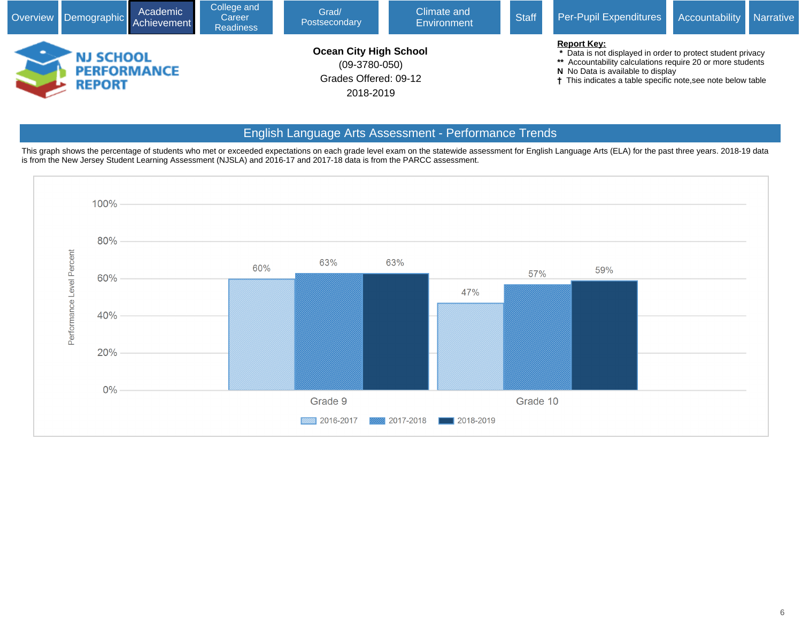

#### English Language Arts Assessment - Performance Trends

This graph shows the percentage of students who met or exceeded expectations on each grade level exam on the statewide assessment for English Language Arts (ELA) for the past three years. 2018-19 data is from the New Jersey Student Learning Assessment (NJSLA) and 2016-17 and 2017-18 data is from the PARCC assessment.

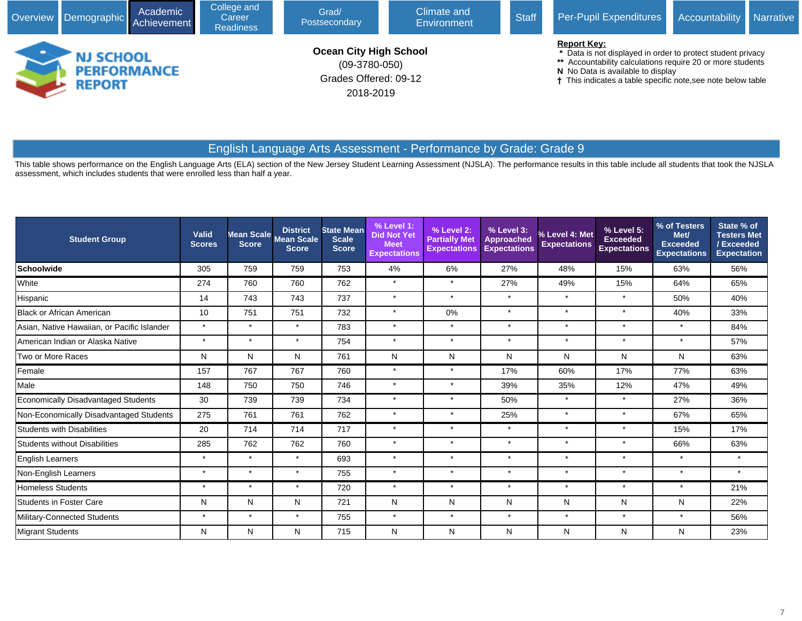| College and<br>Academic<br>Overview Demographic Achievement<br>Career<br><b>Readiness</b> |                            |                    |  | Grad/<br>Postsecondary                                                                 | Climate and<br>Environment | Per-Pupil Expenditures<br><b>Accountability</b><br><b>Narrative</b> |                                                                                                                                                                                                                                                      |  |  |
|-------------------------------------------------------------------------------------------|----------------------------|--------------------|--|----------------------------------------------------------------------------------------|----------------------------|---------------------------------------------------------------------|------------------------------------------------------------------------------------------------------------------------------------------------------------------------------------------------------------------------------------------------------|--|--|
|                                                                                           | <b>NJ SCHOOL</b><br>REPORT | <b>PERFORMANCE</b> |  | <b>Ocean City High School</b><br>$(09-3780-050)$<br>Grades Offered: 09-12<br>2018-2019 |                            |                                                                     | <b>Report Key:</b><br>* Data is not displayed in order to protect student privacy<br>** Accountability calculations require 20 or more students<br>N No Data is available to display<br>† This indicates a table specific note, see note below table |  |  |

# English Language Arts Assessment - Performance by Grade: Grade 9

This table shows performance on the English Language Arts (ELA) section of the New Jersey Student Learning Assessment (NJSLA). The performance results in this table include all students that took the NJSLA assessment, which includes students that were enrolled less than half a year.

| <b>Student Group</b>                        | Valid<br><b>Scores</b> | <b>Score</b> | <b>District</b><br>Mean Scale Mean Scale<br><b>Score</b> | <b>State Mean</b><br><b>Scale</b><br><b>Score</b> | % Level 1:<br><b>Did Not Yet</b><br><b>Meet</b><br><b>Expectations</b> | % Level 2:<br><b>Partially Met</b><br><b>Expectations</b> | % Level 3:<br><b>Approached</b><br><b>Expectations</b> | % Level 4: Met<br><b>Expectations</b> | % Level 5:<br><b>Exceeded</b><br><b>Expectations</b> | % of Testers<br>Met/<br><b>Exceeded</b><br><b>Expectations</b> | State % of<br><b>Testers Met</b><br>/Exceeded<br><b>Expectation</b> |
|---------------------------------------------|------------------------|--------------|----------------------------------------------------------|---------------------------------------------------|------------------------------------------------------------------------|-----------------------------------------------------------|--------------------------------------------------------|---------------------------------------|------------------------------------------------------|----------------------------------------------------------------|---------------------------------------------------------------------|
| <b>Schoolwide</b>                           | 305                    | 759          | 759                                                      | 753                                               | 4%                                                                     | 6%                                                        | 27%                                                    | 48%                                   | 15%                                                  | 63%                                                            | 56%                                                                 |
| White                                       | 274                    | 760          | 760                                                      | 762                                               | $\star$                                                                | $\star$                                                   | 27%                                                    | 49%                                   | 15%                                                  | 64%                                                            | 65%                                                                 |
| Hispanic                                    | 14                     | 743          | 743                                                      | 737                                               | $\star$                                                                | $\star$                                                   | $\star$                                                | $\star$                               | $\star$                                              | 50%                                                            | 40%                                                                 |
| Black or African American                   | 10                     | 751          | 751                                                      | 732                                               | $\star$                                                                | 0%                                                        | $\star$                                                | $\star$                               | $\star$                                              | 40%                                                            | 33%                                                                 |
| Asian, Native Hawaiian, or Pacific Islander | $\star$                | $\star$      | $\star$                                                  | 783                                               | $\star$                                                                | $\star$                                                   | $\star$                                                | $\star$                               | $\star$                                              | $\star$                                                        | 84%                                                                 |
| American Indian or Alaska Native            | $\star$                | $\star$      | $\star$                                                  | 754                                               | $\star$                                                                | $\star$                                                   | $\star$                                                | $\star$                               | $\star$                                              | $\star$                                                        | 57%                                                                 |
| Two or More Races                           | N                      | N            | N                                                        | 761                                               | N                                                                      | N                                                         | Ν                                                      | N                                     | N                                                    | N                                                              | 63%                                                                 |
| Female                                      | 157                    | 767          | 767                                                      | 760                                               | $\star$                                                                | $\star$                                                   | 17%                                                    | 60%                                   | 17%                                                  | 77%                                                            | 63%                                                                 |
| Male                                        | 148                    | 750          | 750                                                      | 746                                               | $\star$                                                                | $\star$                                                   | 39%                                                    | 35%                                   | 12%                                                  | 47%                                                            | 49%                                                                 |
| <b>Economically Disadvantaged Students</b>  | 30                     | 739          | 739                                                      | 734                                               | $\star$                                                                | $\star$                                                   | 50%                                                    | $\star$                               | $\star$                                              | 27%                                                            | 36%                                                                 |
| Non-Economically Disadvantaged Students     | 275                    | 761          | 761                                                      | 762                                               | $\star$                                                                | $\star$                                                   | 25%                                                    | $\star$                               | $\star$                                              | 67%                                                            | 65%                                                                 |
| <b>Students with Disabilities</b>           | 20                     | 714          | 714                                                      | 717                                               | $\star$                                                                | $\star$                                                   | $\star$                                                | $\star$                               | $\star$                                              | 15%                                                            | 17%                                                                 |
| <b>Students without Disabilities</b>        | 285                    | 762          | 762                                                      | 760                                               | $\star$                                                                | $\star$                                                   | $\star$                                                | $\star$                               | $\star$                                              | 66%                                                            | 63%                                                                 |
| <b>English Learners</b>                     | $\star$                | $\star$      | $\star$                                                  | 693                                               | $\star$                                                                | $\star$                                                   | $\star$                                                | $\star$                               | $\star$                                              | $\star$                                                        | $\star$                                                             |
| Non-English Learners                        | $\star$                | $\star$      | $\star$                                                  | 755                                               | $\star$                                                                | $\star$                                                   | $\star$                                                | $\star$                               | $\star$                                              | $\star$                                                        | $\star$                                                             |
| <b>Homeless Students</b>                    | $\star$                | $\star$      | $\star$                                                  | 720                                               | $\star$                                                                | $\star$                                                   | $\star$                                                | $\star$                               | $\star$                                              | $\star$                                                        | 21%                                                                 |
| <b>Students in Foster Care</b>              | N                      | N            | N                                                        | 721                                               | N                                                                      | N                                                         | Ν                                                      | N                                     | N                                                    | N                                                              | 22%                                                                 |
| Military-Connected Students                 | $\star$                | $\star$      | $\star$                                                  | 755                                               | $\star$                                                                | $\star$                                                   | $\star$                                                | $\star$                               | $\star$                                              | $\star$                                                        | 56%                                                                 |
| Migrant Students                            | N                      | N            | N                                                        | 715                                               | N                                                                      | N                                                         | N                                                      | N                                     | N                                                    | N                                                              | 23%                                                                 |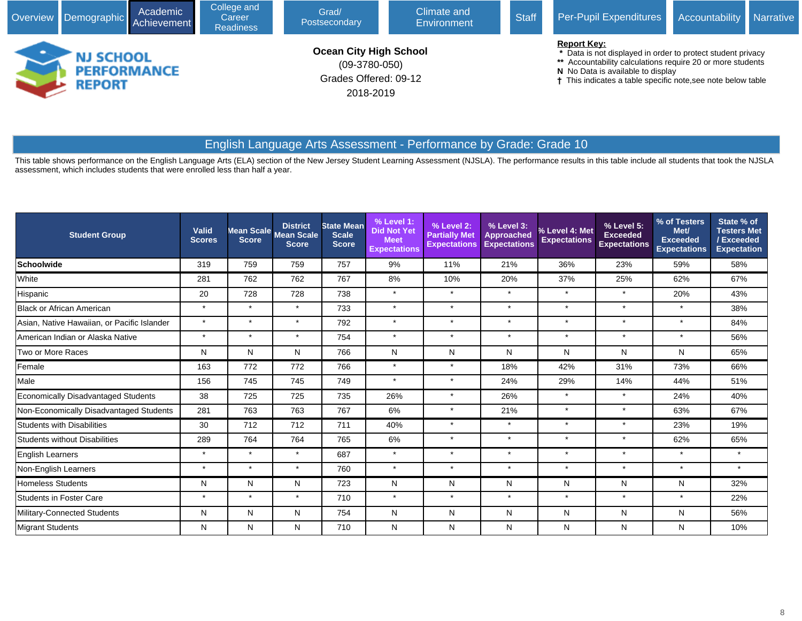| College and<br>Academic<br>Overview Demographic Achievement<br>Career<br><b>Readiness</b> |                                                  |  |  | Grad/<br>Postsecondary                                                                 | Climate and<br>Environment | Per-Pupil Expenditures<br>Accountability<br><b>Narrative</b> |                                                                                                                                                                                                                                                                 |  |  |
|-------------------------------------------------------------------------------------------|--------------------------------------------------|--|--|----------------------------------------------------------------------------------------|----------------------------|--------------------------------------------------------------|-----------------------------------------------------------------------------------------------------------------------------------------------------------------------------------------------------------------------------------------------------------------|--|--|
|                                                                                           | <b>NJ SCHOOL</b><br><b>PERFORMANCE</b><br>REPORT |  |  | <b>Ocean City High School</b><br>$(09-3780-050)$<br>Grades Offered: 09-12<br>2018-2019 |                            |                                                              | <b>Report Key:</b><br>* Data is not displayed in order to protect student privacy<br>** Accountability calculations require 20 or more students<br>N No Data is available to display<br><sup>†</sup> This indicates a table specific note, see note below table |  |  |

# English Language Arts Assessment - Performance by Grade: Grade 10

This table shows performance on the English Language Arts (ELA) section of the New Jersey Student Learning Assessment (NJSLA). The performance results in this table include all students that took the NJSLA assessment, which includes students that were enrolled less than half a year.

| <b>Student Group</b>                        | Valid<br><b>Scores</b> | <b>Score</b> | <b>District</b><br>Mean Scale Mean Scale<br><b>Score</b> | <b>State Mean</b><br><b>Scale</b><br><b>Score</b> | % Level 1:<br><b>Did Not Yet</b><br><b>Meet</b><br><b>Expectations</b> | % Level 2:<br><b>Partially Met</b><br><b>Expectations</b> | % Level 3:<br><b>Approached</b><br><b>Expectations</b> | % Level 4: Met<br><b>Expectations</b> | % Level 5:<br><b>Exceeded</b><br><b>Expectations</b> | % of Testers<br>Met/<br><b>Exceeded</b><br><b>Expectations</b> | State % of<br><b>Testers Met</b><br><b>Exceeded</b><br><b>Expectation</b> |
|---------------------------------------------|------------------------|--------------|----------------------------------------------------------|---------------------------------------------------|------------------------------------------------------------------------|-----------------------------------------------------------|--------------------------------------------------------|---------------------------------------|------------------------------------------------------|----------------------------------------------------------------|---------------------------------------------------------------------------|
| <b>Schoolwide</b>                           | 319                    | 759          | 759                                                      | 757                                               | 9%                                                                     | 11%                                                       | 21%                                                    | 36%                                   | 23%                                                  | 59%                                                            | 58%                                                                       |
| White                                       | 281                    | 762          | 762                                                      | 767                                               | 8%                                                                     | 10%                                                       | 20%                                                    | 37%                                   | 25%                                                  | 62%                                                            | 67%                                                                       |
| Hispanic                                    | 20                     | 728          | 728                                                      | 738                                               | $\star$                                                                | $\star$                                                   | $\star$                                                | $\star$                               | $\star$                                              | 20%                                                            | 43%                                                                       |
| Black or African American                   | $\star$                | $\star$      | $\star$                                                  | 733                                               | $\star$                                                                | $\star$                                                   | $\star$                                                | $\star$                               | $\star$                                              | $\star$                                                        | 38%                                                                       |
| Asian, Native Hawaiian, or Pacific Islander | $\star$                | $\star$      | $\star$                                                  | 792                                               | $\star$                                                                | $\star$                                                   | $\star$                                                | $\star$                               | $\star$                                              | $\star$                                                        | 84%                                                                       |
| American Indian or Alaska Native            | $\star$                | $\star$      | $\star$                                                  | 754                                               | $\star$                                                                | $\star$                                                   | $\star$                                                | $\star$                               | $\star$                                              | $\star$                                                        | 56%                                                                       |
| Two or More Races                           | N                      | N            | N                                                        | 766                                               | N                                                                      | N                                                         | N                                                      | N                                     | N                                                    | N                                                              | 65%                                                                       |
| Female                                      | 163                    | 772          | 772                                                      | 766                                               | $\star$                                                                | $\star$                                                   | 18%                                                    | 42%                                   | 31%                                                  | 73%                                                            | 66%                                                                       |
| Male                                        | 156                    | 745          | 745                                                      | 749                                               | $\star$                                                                | $\star$                                                   | 24%                                                    | 29%                                   | 14%                                                  | 44%                                                            | 51%                                                                       |
| <b>Economically Disadvantaged Students</b>  | 38                     | 725          | 725                                                      | 735                                               | 26%                                                                    | $\star$                                                   | 26%                                                    | $\star$                               | $\star$                                              | 24%                                                            | 40%                                                                       |
| Non-Economically Disadvantaged Students     | 281                    | 763          | 763                                                      | 767                                               | 6%                                                                     | $\star$                                                   | 21%                                                    | $\star$                               | $\star$                                              | 63%                                                            | 67%                                                                       |
| <b>Students with Disabilities</b>           | 30                     | 712          | 712                                                      | 711                                               | 40%                                                                    | $\star$                                                   | $\star$                                                | $\star$                               | $\star$                                              | 23%                                                            | 19%                                                                       |
| Students without Disabilities               | 289                    | 764          | 764                                                      | 765                                               | 6%                                                                     | $\star$                                                   | $\star$                                                | $\star$                               | $\star$                                              | 62%                                                            | 65%                                                                       |
| <b>English Learners</b>                     | $\star$                | $\star$      | $\star$                                                  | 687                                               | $\star$                                                                | $\star$                                                   | $\star$                                                | $\star$                               | $\star$                                              | $\star$                                                        | $\star$                                                                   |
| Non-English Learners                        | $\star$                | $\star$      | $\star$                                                  | 760                                               | $\star$                                                                | $\star$                                                   | $\star$                                                | $\star$                               | $\star$                                              | $\star$                                                        | $\star$                                                                   |
| <b>Homeless Students</b>                    | N                      | N            | N                                                        | 723                                               | N                                                                      | N                                                         | N                                                      | N                                     | N                                                    | N                                                              | 32%                                                                       |
| <b>Students in Foster Care</b>              | $\star$                | $\star$      | $\star$                                                  | 710                                               | $\star$                                                                | $\star$                                                   | $\star$                                                | $\star$                               | $\star$                                              | $\star$                                                        | 22%                                                                       |
| Military-Connected Students                 | N                      | N            | N                                                        | 754                                               | N                                                                      | N                                                         | N                                                      | N                                     | N                                                    | N                                                              | 56%                                                                       |
| Migrant Students                            | N                      | N            | N                                                        | 710                                               | N                                                                      | N                                                         | N                                                      | N                                     | N                                                    | N                                                              | 10%                                                                       |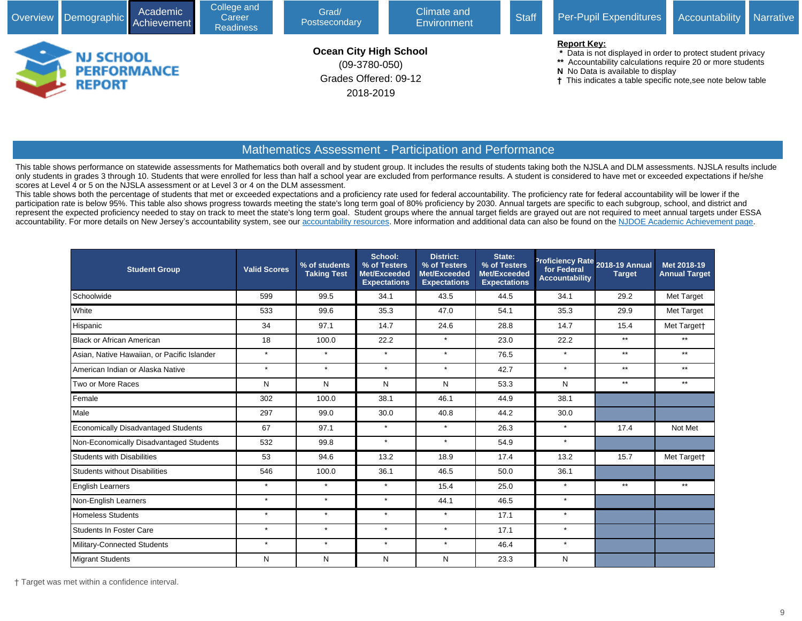|               | Academic<br>Overview Demographic Achievement | College and<br>Career<br><b>Readiness</b> | Grad/<br>Postsecondary                                                                 | Climate and<br><b>Environment</b> | <b>Staff</b> | Per-Pupil Expenditures                                                                                                                                                                                                                               | Accountability | <b>Narrative</b> |
|---------------|----------------------------------------------|-------------------------------------------|----------------------------------------------------------------------------------------|-----------------------------------|--------------|------------------------------------------------------------------------------------------------------------------------------------------------------------------------------------------------------------------------------------------------------|----------------|------------------|
| <b>REPORT</b> | <b>NJ SCHOOL</b><br><b>PERFORMANCE</b>       |                                           | <b>Ocean City High School</b><br>$(09-3780-050)$<br>Grades Offered: 09-12<br>2018-2019 |                                   |              | <b>Report Key:</b><br>* Data is not displayed in order to protect student privacy<br>** Accountability calculations require 20 or more students<br>N No Data is available to display<br>† This indicates a table specific note, see note below table |                |                  |

## Mathematics Assessment - Participation and Performance

This table shows performance on statewide assessments for Mathematics both overall and by student group. It includes the results of students taking both the NJSLA and DLM assessments. NJSLA results include only students in grades 3 through 10. Students that were enrolled for less than half a school year are excluded from performance results. A student is considered to have met or exceeded expectations if he/she scores at Level 4 or 5 on the NJSLA assessment or at Level 3 or 4 on the DLM assessment.

This table shows both the percentage of students that met or exceeded expectations and a proficiency rate used for federal accountability. The proficiency rate for federal accountability will be lower if the participation rate is below 95%. This table also shows progress towards meeting the state's long term goal of 80% proficiency by 2030. Annual targets are specific to each subgroup, school, and district and represent the expected proficiency needed to stay on track to meet the state's long term goal. Student groups where the annual target fields are grayed out are not required to meet annual targets under ESSA accountability. For more details on New Jersey's accountability system, see our [accountability resources](javascript:void(window.open(). More information and additional data can also be found on the [NJDOE Academic Achievement page.](javascript:void(window.open()

| <b>Student Group</b>                        | <b>Valid Scores</b> | % of students<br><b>Taking Test</b> | School:<br>% of Testers<br>Met/Exceeded<br><b>Expectations</b> | <b>District:</b><br>% of Testers<br>Met/Exceeded<br><b>Expectations</b> | State:<br>% of Testers<br>Met/Exceeded<br><b>Expectations</b> | for Federal<br><b>Accountability</b> | Proficiency Rate 2018-19 Annual<br><b>Target</b> | Met 2018-19<br><b>Annual Target</b> |
|---------------------------------------------|---------------------|-------------------------------------|----------------------------------------------------------------|-------------------------------------------------------------------------|---------------------------------------------------------------|--------------------------------------|--------------------------------------------------|-------------------------------------|
| Schoolwide                                  | 599                 | 99.5                                | 34.1                                                           | 43.5                                                                    | 44.5                                                          | 34.1                                 | 29.2                                             | Met Target                          |
| White                                       | 533                 | 99.6                                | 35.3                                                           | 47.0                                                                    | 54.1                                                          | 35.3                                 | 29.9                                             | Met Target                          |
| Hispanic                                    | 34                  | 97.1                                | 14.7                                                           | 24.6                                                                    | 28.8                                                          | 14.7                                 | 15.4                                             | Met Target†                         |
| Black or African American                   | 18                  | 100.0                               | 22.2                                                           | $\star$                                                                 | 23.0                                                          | 22.2                                 | $***$                                            | $**$                                |
| Asian, Native Hawaiian, or Pacific Islander | $\star$             | $\star$                             | $\star$                                                        | $\star$                                                                 | 76.5                                                          | $\star$                              | $***$                                            | $***$                               |
| American Indian or Alaska Native            | $\star$             | $\star$                             | $\star$                                                        | $\star$                                                                 | 42.7                                                          | $\star$                              | $***$                                            | $***$                               |
| Two or More Races                           | N                   | N                                   | N                                                              | N                                                                       | 53.3                                                          | N                                    | $**$                                             | $**$                                |
| Female                                      | 302                 | 100.0                               | 38.1                                                           | 46.1                                                                    | 44.9                                                          | 38.1                                 |                                                  |                                     |
| Male                                        | 297                 | 99.0                                | 30.0                                                           | 40.8                                                                    | 44.2                                                          | 30.0                                 |                                                  |                                     |
| <b>Economically Disadvantaged Students</b>  | 67                  | 97.1                                | $\star$                                                        | $\star$                                                                 | 26.3                                                          | $\star$                              | 17.4                                             | Not Met                             |
| Non-Economically Disadvantaged Students     | 532                 | 99.8                                | $\star$                                                        | $\star$                                                                 | 54.9                                                          | $\star$                              |                                                  |                                     |
| Students with Disabilities                  | 53                  | 94.6                                | 13.2                                                           | 18.9                                                                    | 17.4                                                          | 13.2                                 | 15.7                                             | Met Target†                         |
| Students without Disabilities               | 546                 | 100.0                               | 36.1                                                           | 46.5                                                                    | 50.0                                                          | 36.1                                 |                                                  |                                     |
| <b>English Learners</b>                     | $\star$             | $\star$                             | $\star$                                                        | 15.4                                                                    | 25.0                                                          | $\star$                              | $***$                                            | $**$                                |
| Non-English Learners                        | $\star$             | $\star$                             | $\star$                                                        | 44.1                                                                    | 46.5                                                          | $\star$                              |                                                  |                                     |
| Homeless Students                           | $\star$             | $\star$                             | $\star$                                                        | $\star$                                                                 | 17.1                                                          | $\star$                              |                                                  |                                     |
| Students In Foster Care                     | $\star$             | $\star$                             | $\star$                                                        | $\star$                                                                 | 17.1                                                          | $\star$                              |                                                  |                                     |
| Military-Connected Students                 | $\star$             | $\star$                             | $\star$                                                        | $\star$                                                                 | 46.4                                                          | $\star$                              |                                                  |                                     |
| Migrant Students                            | N                   | N                                   | N                                                              | N                                                                       | 23.3                                                          | N                                    |                                                  |                                     |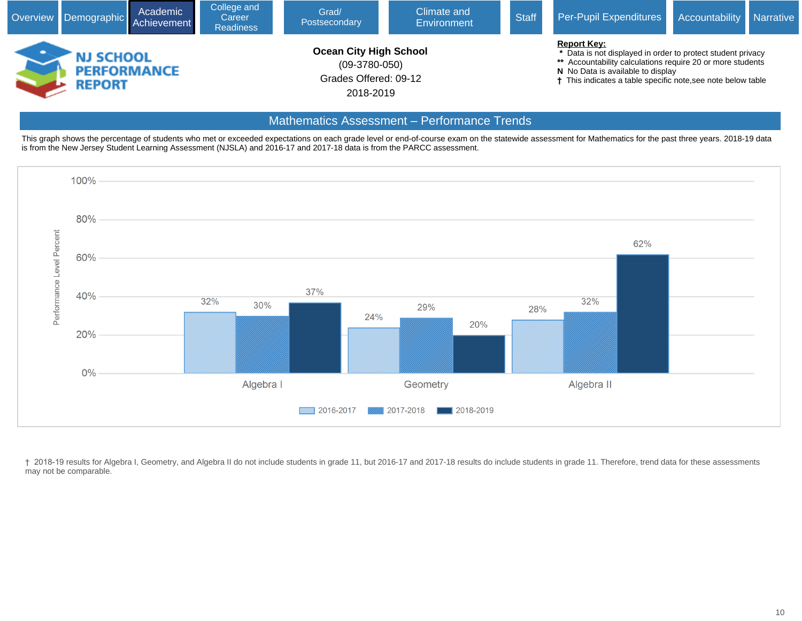

## Mathematics Assessment – Performance Trends

This graph shows the percentage of students who met or exceeded expectations on each grade level or end-of-course exam on the statewide assessment for Mathematics for the past three years. 2018-19 data is from the New Jersey Student Learning Assessment (NJSLA) and 2016-17 and 2017-18 data is from the PARCC assessment.



† 2018-19 results for Algebra I, Geometry, and Algebra II do not include students in grade 11, but 2016-17 and 2017-18 results do include students in grade 11. Therefore, trend data for these assessments may not be comparable.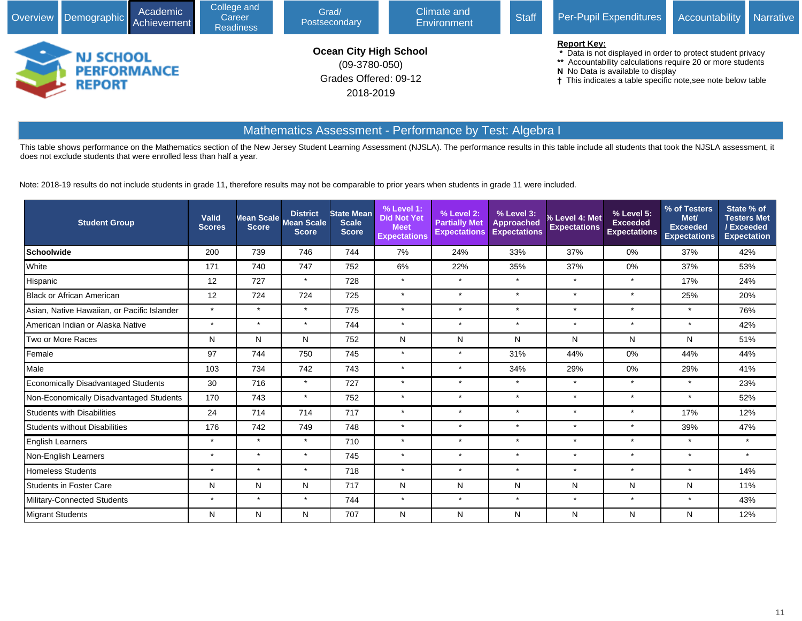

## Mathematics Assessment - Performance by Test: Algebra I

This table shows performance on the Mathematics section of the New Jersey Student Learning Assessment (NJSLA). The performance results in this table include all students that took the NJSLA assessment, it does not exclude students that were enrolled less than half a year.

Note: 2018-19 results do not include students in grade 11, therefore results may not be comparable to prior years when students in grade 11 were included.

| <b>Student Group</b>                        | Valid<br><b>Scores</b> | <b>Score</b> | <b>District</b><br>Mean Scale Mean Scale<br><b>Score</b> | <b>State Mean</b><br><b>Scale</b><br><b>Score</b> | % Level 1:<br><b>Did Not Yet</b><br><b>Meet</b><br><b>Expectations</b> | % Level 2:<br><b>Partially Met</b><br><b>Expectations</b> | % Level 3:<br>Approached<br><b>Expectations</b> | % Level 4: Met<br><b>Expectations</b> | $%$ Level 5:<br><b>Exceeded</b><br><b>Expectations</b> | % of Testers<br>Met/<br><b>Exceeded</b><br><b>Expectations</b> | State % of<br><b>Testers Met</b><br>/Exceeded<br><b>Expectation</b> |
|---------------------------------------------|------------------------|--------------|----------------------------------------------------------|---------------------------------------------------|------------------------------------------------------------------------|-----------------------------------------------------------|-------------------------------------------------|---------------------------------------|--------------------------------------------------------|----------------------------------------------------------------|---------------------------------------------------------------------|
| Schoolwide                                  | 200                    | 739          | 746                                                      | 744                                               | 7%                                                                     | 24%                                                       | 33%                                             | 37%                                   | 0%                                                     | 37%                                                            | 42%                                                                 |
| White                                       | 171                    | 740          | 747                                                      | 752                                               | 6%                                                                     | 22%                                                       | 35%                                             | 37%                                   | 0%                                                     | 37%                                                            | 53%                                                                 |
| Hispanic                                    | 12                     | 727          | $\star$                                                  | 728                                               | $\star$                                                                | $\star$                                                   | $\star$                                         | $\star$                               | $\star$                                                | 17%                                                            | 24%                                                                 |
| Black or African American                   | 12                     | 724          | 724                                                      | 725                                               | $\star$                                                                | $\star$                                                   | $\star$                                         | $\star$                               | $\star$                                                | 25%                                                            | 20%                                                                 |
| Asian, Native Hawaiian, or Pacific Islander | $\star$                | $\star$      | $\star$                                                  | 775                                               | $\star$                                                                | $\star$                                                   | $\star$                                         | $\star$                               | $\star$                                                | $\star$                                                        | 76%                                                                 |
| American Indian or Alaska Native            | $\star$                | $\star$      | $\star$                                                  | 744                                               | $\star$                                                                | $\star$                                                   | $\star$                                         | $\star$                               | $\star$                                                | $\star$                                                        | 42%                                                                 |
| Two or More Races                           | N                      | N            | N                                                        | 752                                               | N                                                                      | N                                                         | N                                               | N                                     | N                                                      | N                                                              | 51%                                                                 |
| Female                                      | 97                     | 744          | 750                                                      | 745                                               | $\star$                                                                | $\star$                                                   | 31%                                             | 44%                                   | 0%                                                     | 44%                                                            | 44%                                                                 |
| Male                                        | 103                    | 734          | 742                                                      | 743                                               | $\star$                                                                | $\star$                                                   | 34%                                             | 29%                                   | $0\%$                                                  | 29%                                                            | 41%                                                                 |
| <b>Economically Disadvantaged Students</b>  | 30                     | 716          | $\star$                                                  | 727                                               | $\star$                                                                | $\star$                                                   | $\star$                                         | $\star$                               | $\star$                                                | $\star$                                                        | 23%                                                                 |
| Non-Economically Disadvantaged Students     | 170                    | 743          | $\star$                                                  | 752                                               | $\star$                                                                | $\star$                                                   | $\star$                                         | $\star$                               | $\star$                                                | $\star$                                                        | 52%                                                                 |
| Students with Disabilities                  | 24                     | 714          | 714                                                      | 717                                               | $\star$                                                                | $\star$                                                   | $\star$                                         | $\star$                               | $\star$                                                | 17%                                                            | 12%                                                                 |
| <b>Students without Disabilities</b>        | 176                    | 742          | 749                                                      | 748                                               | $\star$                                                                | $\star$                                                   | $\star$                                         | $\star$                               | $\star$                                                | 39%                                                            | 47%                                                                 |
| <b>English Learners</b>                     | $\star$                | $\star$      | $\star$                                                  | 710                                               | $\star$                                                                | $\star$                                                   | $\star$                                         | $\star$                               | $\star$                                                | $\star$                                                        | $\star$                                                             |
| Non-English Learners                        | $\star$                | $\star$      | $\star$                                                  | 745                                               | $\star$                                                                | $\star$                                                   | $\star$                                         | $\star$                               | $\star$                                                | $\star$                                                        | $\star$                                                             |
| <b>Homeless Students</b>                    | $\star$                | $\star$      | $\star$                                                  | 718                                               | $\star$                                                                | $\star$                                                   | $\star$                                         | $\star$                               | $\star$                                                | $\star$                                                        | 14%                                                                 |
| <b>Students in Foster Care</b>              | N                      | N            | N                                                        | 717                                               | N                                                                      | N                                                         | N                                               | N                                     | N                                                      | N                                                              | 11%                                                                 |
| Military-Connected Students                 | $\star$                | $\star$      | $\star$                                                  | 744                                               | $\star$                                                                | $\star$                                                   | $\star$                                         | $\star$                               | $\star$                                                | $\star$                                                        | 43%                                                                 |
| Migrant Students                            | N                      | N            | N                                                        | 707                                               | N                                                                      | N                                                         | N                                               | N                                     | N                                                      | N                                                              | 12%                                                                 |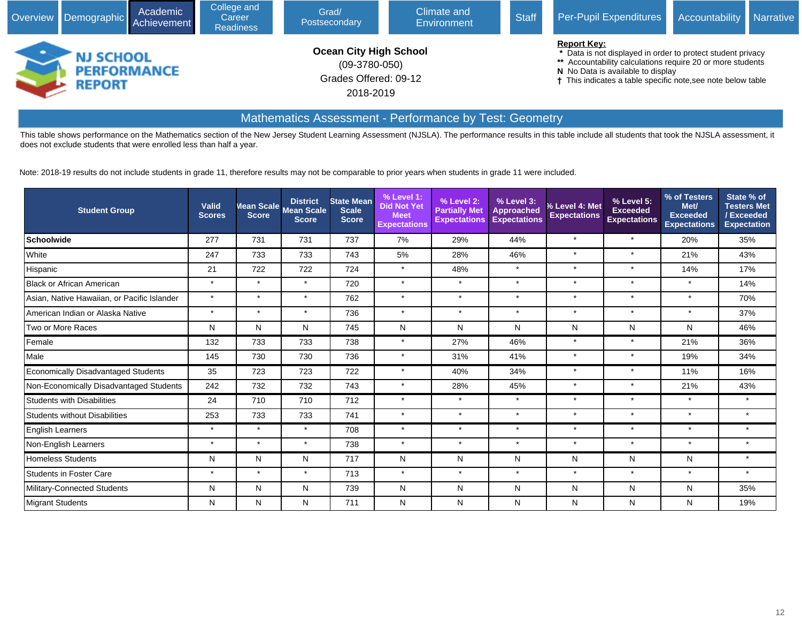

## Mathematics Assessment - Performance by Test: Geometry

This table shows performance on the Mathematics section of the New Jersey Student Learning Assessment (NJSLA). The performance results in this table include all students that took the NJSLA assessment, it does not exclude students that were enrolled less than half a year.

Note: 2018-19 results do not include students in grade 11, therefore results may not be comparable to prior years when students in grade 11 were included.

| <b>Student Group</b>                        | <b>Valid</b><br><b>Scores</b> | <b>Score</b> | <b>District</b><br>Mean Scale Mean Scale<br><b>Score</b> | <b>State Mean</b><br><b>Scale</b><br><b>Score</b> | % Level 1:<br><b>Did Not Yet</b><br><b>Meet</b><br><b>Expectations</b> | % Level 2:<br><b>Partially Met</b><br><b>Expectations</b> | % Level 3:<br><b>Approached</b><br><b>Expectations</b> | % Level 4: Met<br><b>Expectations</b> | % Level 5:<br><b>Exceeded</b><br><b>Expectations</b> | % of Testers<br>Met/<br>Exceeded<br><b>Expectations</b> | State % of<br><b>Testers Met</b><br>/Exceeded<br><b>Expectation</b> |
|---------------------------------------------|-------------------------------|--------------|----------------------------------------------------------|---------------------------------------------------|------------------------------------------------------------------------|-----------------------------------------------------------|--------------------------------------------------------|---------------------------------------|------------------------------------------------------|---------------------------------------------------------|---------------------------------------------------------------------|
| Schoolwide                                  | 277                           | 731          | 731                                                      | 737                                               | 7%                                                                     | 29%                                                       | 44%                                                    | $\star$                               | $\star$                                              | 20%                                                     | 35%                                                                 |
| <b>White</b>                                | 247                           | 733          | 733                                                      | 743                                               | 5%                                                                     | 28%                                                       | 46%                                                    | $\star$                               | $\star$                                              | 21%                                                     | 43%                                                                 |
| Hispanic                                    | 21                            | 722          | 722                                                      | 724                                               | $\star$                                                                | 48%                                                       | $\star$                                                | $\star$                               | $\star$                                              | 14%                                                     | 17%                                                                 |
| Black or African American                   | $\star$                       | $\star$      | $\star$                                                  | 720                                               | $\star$                                                                | $\star$                                                   | $\star$                                                | $\star$                               | $\star$                                              | $\star$                                                 | 14%                                                                 |
| Asian, Native Hawaiian, or Pacific Islander | $\star$                       | $\star$      | $\star$                                                  | 762                                               | $\star$                                                                | $\star$                                                   | $\star$                                                | $\star$                               | $\star$                                              | $\star$                                                 | 70%                                                                 |
| American Indian or Alaska Native            | $\star$                       | $\star$      | $\star$                                                  | 736                                               | $\star$                                                                | $\star$                                                   | $\ddot{\phantom{1}}$                                   | $\star$                               | $\star$                                              | $\star$                                                 | 37%                                                                 |
| Two or More Races                           | N                             | N            | N                                                        | 745                                               | N                                                                      | N                                                         | N                                                      | N                                     | N                                                    | N                                                       | 46%                                                                 |
| Female                                      | 132                           | 733          | 733                                                      | 738                                               | $\star$                                                                | 27%                                                       | 46%                                                    | $\star$                               | $\star$                                              | 21%                                                     | 36%                                                                 |
| Male                                        | 145                           | 730          | 730                                                      | 736                                               | $\star$                                                                | 31%                                                       | 41%                                                    | $\star$                               | $\star$                                              | 19%                                                     | 34%                                                                 |
| Economically Disadvantaged Students         | 35                            | 723          | 723                                                      | 722                                               | $\star$                                                                | 40%                                                       | 34%                                                    | $\star$                               | $\star$                                              | 11%                                                     | 16%                                                                 |
| Non-Economically Disadvantaged Students     | 242                           | 732          | 732                                                      | 743                                               | $\star$                                                                | 28%                                                       | 45%                                                    | $\star$                               | $\star$                                              | 21%                                                     | 43%                                                                 |
| Students with Disabilities                  | 24                            | 710          | 710                                                      | 712                                               | $\star$                                                                | $\star$                                                   | $\star$                                                | $\star$                               | $\star$                                              | $\star$                                                 | $\star$                                                             |
| Students without Disabilities               | 253                           | 733          | 733                                                      | 741                                               | $\star$                                                                | $\star$                                                   | $\star$                                                | $\star$                               | $\star$                                              | $\star$                                                 | $\star$                                                             |
| <b>English Learners</b>                     | $\star$                       | $\star$      | $\star$                                                  | 708                                               | $\star$                                                                | $\star$                                                   | $\star$                                                | $\star$                               | $\star$                                              | $\star$                                                 | $\star$                                                             |
| Non-English Learners                        | $\star$                       | $\star$      | $\star$                                                  | 738                                               | $\star$                                                                | $\star$                                                   | $\star$                                                | $\star$                               | $\star$                                              | $\star$                                                 | $\star$                                                             |
| Homeless Students                           | N                             | N            | N                                                        | 717                                               | N                                                                      | N                                                         | N                                                      | N                                     | N                                                    | N                                                       | $\star$                                                             |
| Students in Foster Care                     | $\star$                       | $\star$      | $\star$                                                  | 713                                               | $\star$                                                                | $\star$                                                   | $\star$                                                | $\star$                               | $\star$                                              | $\star$                                                 |                                                                     |
| Military-Connected Students                 | N                             | N            | N                                                        | 739                                               | N                                                                      | N                                                         | N                                                      | N                                     | N                                                    | N                                                       | 35%                                                                 |
| <b>Migrant Students</b>                     | N                             | N            | ${\sf N}$                                                | 711                                               | N                                                                      | N                                                         | N                                                      | N                                     | N                                                    | N                                                       | 19%                                                                 |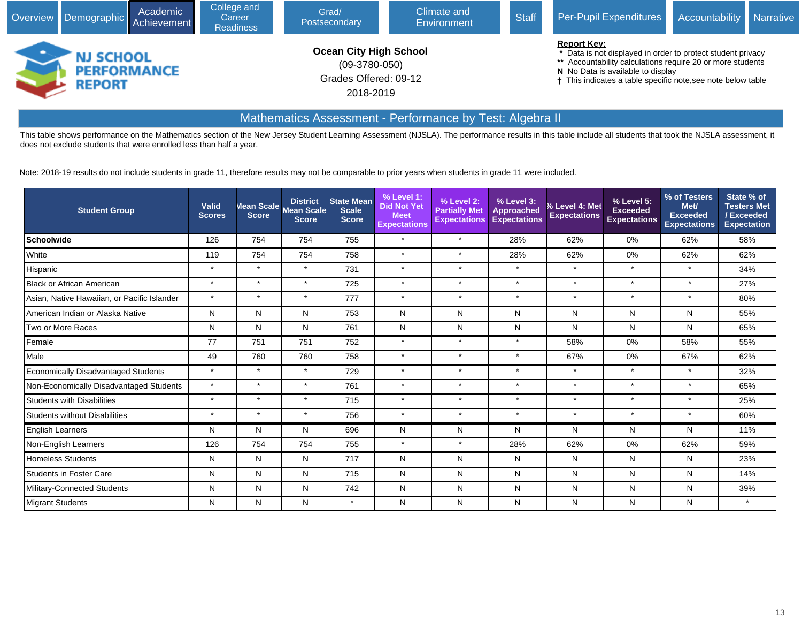

## Mathematics Assessment - Performance by Test: Algebra II

This table shows performance on the Mathematics section of the New Jersey Student Learning Assessment (NJSLA). The performance results in this table include all students that took the NJSLA assessment, it does not exclude students that were enrolled less than half a year.

Note: 2018-19 results do not include students in grade 11, therefore results may not be comparable to prior years when students in grade 11 were included.

| <b>Student Group</b>                        | <b>Valid</b><br><b>Scores</b> |         | <b>District</b><br>Mean Scale Mean Scale<br><b>Score</b> | <b>State Mean</b><br><b>Scale</b><br><b>Score</b> | % Level 1:<br><b>Did Not Yet</b><br><b>Meet</b><br><b>Expectations</b> | % Level 2:<br><b>Partially Met</b><br><b>Expectations</b> | % Level 3:<br><b>Approached</b><br><b>Expectations</b> | % Level 4: Met<br><b>Expectations</b> | % Level 5:<br><b>Exceeded</b><br><b>Expectations</b> | % of Testers<br>Met/<br>Exceeded<br><b>Expectations</b> | State % of<br><b>Testers Met</b><br><b>Exceeded</b><br><b>Expectation</b> |
|---------------------------------------------|-------------------------------|---------|----------------------------------------------------------|---------------------------------------------------|------------------------------------------------------------------------|-----------------------------------------------------------|--------------------------------------------------------|---------------------------------------|------------------------------------------------------|---------------------------------------------------------|---------------------------------------------------------------------------|
| Schoolwide                                  | 126                           | 754     | 754                                                      | 755                                               | $\star$                                                                | $\star$                                                   | 28%                                                    | 62%                                   | 0%                                                   | 62%                                                     | 58%                                                                       |
| <b>White</b>                                | 119                           | 754     | 754                                                      | 758                                               | $\star$                                                                | $\star$                                                   | 28%                                                    | 62%                                   | 0%                                                   | 62%                                                     | 62%                                                                       |
| Hispanic                                    | $\star$                       | $\star$ | $\star$                                                  | 731                                               | $\star$                                                                | $\star$                                                   | $\star$                                                | $\star$                               | $\star$                                              | $\star$                                                 | 34%                                                                       |
| <b>Black or African American</b>            | $\star$                       | $\star$ | $\star$                                                  | 725                                               | $\star$                                                                | $\star$                                                   | $\star$                                                | $\star$                               | $\star$                                              | $\star$                                                 | 27%                                                                       |
| Asian, Native Hawaiian, or Pacific Islander | $\star$                       | $\star$ | $\star$                                                  | 777                                               | $\star$                                                                | $\star$                                                   | $\star$                                                | $\star$                               | $\star$                                              | $\star$                                                 | 80%                                                                       |
| American Indian or Alaska Native            | N                             | N       | N                                                        | 753                                               | N                                                                      | N                                                         | N                                                      | N                                     | N                                                    | N                                                       | 55%                                                                       |
| Two or More Races                           | N                             | N       | N                                                        | 761                                               | N                                                                      | N                                                         | N                                                      | N                                     | N                                                    | N                                                       | 65%                                                                       |
| Female                                      | 77                            | 751     | 751                                                      | 752                                               | $\star$                                                                | $\star$                                                   | $\star$                                                | 58%                                   | 0%                                                   | 58%                                                     | 55%                                                                       |
| Male                                        | 49                            | 760     | 760                                                      | 758                                               | $\star$                                                                | $\star$                                                   | $\star$                                                | 67%                                   | 0%                                                   | 67%                                                     | 62%                                                                       |
| Economically Disadvantaged Students         | $\star$                       | $\star$ | $\star$                                                  | 729                                               | $\star$                                                                | $\star$                                                   | $\star$                                                | $\star$                               | $\star$                                              | $\star$                                                 | 32%                                                                       |
| Non-Economically Disadvantaged Students     | $\star$                       | $\star$ | $\star$                                                  | 761                                               | $\star$                                                                | $\star$                                                   | $\star$                                                | $\star$                               | $\star$                                              | $\star$                                                 | 65%                                                                       |
| Students with Disabilities                  | $\star$                       | $\star$ | $\star$                                                  | 715                                               | $\star$                                                                | $\star$                                                   | $\star$                                                | $\star$                               | $\star$                                              | $\star$                                                 | 25%                                                                       |
| Students without Disabilities               | $\star$                       | $\star$ | $\star$                                                  | 756                                               | $\star$                                                                | $\star$                                                   | $\star$                                                | $\star$                               | $\star$                                              | $\star$                                                 | 60%                                                                       |
| <b>English Learners</b>                     | N                             | N       | N                                                        | 696                                               | N                                                                      | N                                                         | N                                                      | N                                     | N                                                    | N                                                       | 11%                                                                       |
| Non-English Learners                        | 126                           | 754     | 754                                                      | 755                                               | $\star$                                                                | $\star$                                                   | 28%                                                    | 62%                                   | 0%                                                   | 62%                                                     | 59%                                                                       |
| Homeless Students                           | N                             | N       | N                                                        | 717                                               | N                                                                      | N                                                         | N                                                      | N                                     | N                                                    | N                                                       | 23%                                                                       |
| Students in Foster Care                     | N                             | N       | N                                                        | 715                                               | N                                                                      | N                                                         | N                                                      | N                                     | N                                                    | N                                                       | 14%                                                                       |
| Military-Connected Students                 | N                             | N       | N                                                        | 742                                               | N                                                                      | N                                                         | N                                                      | N                                     | N                                                    | N                                                       | 39%                                                                       |
| <b>Migrant Students</b>                     | N                             | N       | N                                                        | $\star$                                           | N                                                                      | N                                                         | Ν                                                      | N                                     | N                                                    | N                                                       | $\star$                                                                   |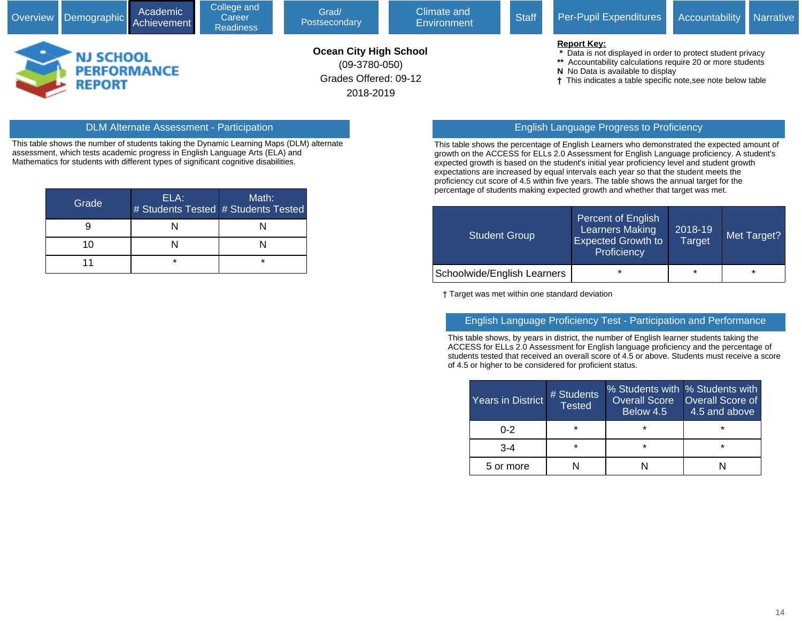Grades Offered: 09-12

2018-2019

- **N** No Data is available to display
- **†** This indicates a table specific note,see note below table

#### DLM Alternate Assessment - Participation English Language Progress to Proficiency

**REPORT** 

This table shows the number of students taking the Dynamic Learning Maps (DLM) alternate assessment, which tests academic progress in English Language Arts (ELA) and Mathematics for students with different types of significant cognitive disabilities.

| Grade | ELA: | Math:<br># Students Tested # Students Tested |
|-------|------|----------------------------------------------|
|       |      |                                              |
| 10    |      |                                              |
|       | ÷    | $\star$                                      |

This table shows the percentage of English Learners who demonstrated the expected amount of growth on the ACCESS for ELLs 2.0 Assessment for English Language proficiency. A student's expected growth is based on the student's initial year proficiency level and student growth expectations are increased by equal intervals each year so that the student meets the proficiency cut score of 4.5 within five years. The table shows the annual target for the percentage of students making expected growth and whether that target was met.

| <b>Student Group</b>        | <b>Percent of English</b><br><b>Learners Making</b><br><b>Expected Growth to</b><br>Proficiency | 2018-19<br><b>Target</b> | Met Target? |
|-----------------------------|-------------------------------------------------------------------------------------------------|--------------------------|-------------|
| Schoolwide/English Learners | $\star$                                                                                         | $\star$                  | $\star$     |

† Target was met within one standard deviation

#### English Language Proficiency Test - Participation and Performance

This table shows, by years in district, the number of English learner students taking the ACCESS for ELLs 2.0 Assessment for English language proficiency and the percentage of students tested that received an overall score of 4.5 or above. Students must receive a score of 4.5 or higher to be considered for proficient status.

| Years in District | # Students<br><b>Tested</b> | Overall Score<br>Below 4.5 | % Students with % Students with<br><b>Overall Score of</b><br>4.5 and above |  |  |
|-------------------|-----------------------------|----------------------------|-----------------------------------------------------------------------------|--|--|
| $0 - 2$           | $\star$                     | $\star$                    | ÷                                                                           |  |  |
| $3 - 4$           | ¥                           | $\star$                    | $\star$                                                                     |  |  |
| 5 or more         |                             |                            |                                                                             |  |  |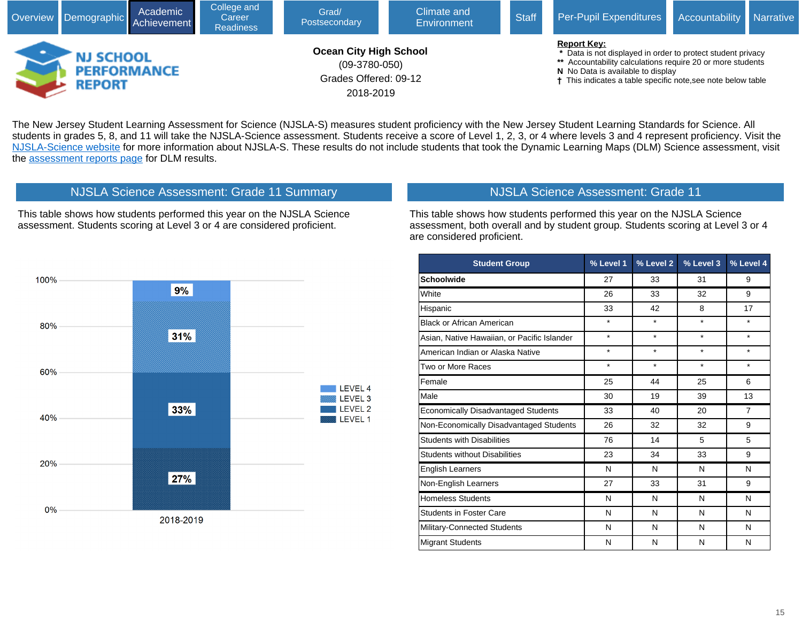

The New Jersey Student Learning Assessment for Science (NJSLA-S) measures student proficiency with the New Jersey Student Learning Standards for Science. All students in grades 5, 8, and 11 will take the NJSLA-Science assessment. Students receive a score of Level 1, 2, 3, or 4 where levels 3 and 4 represent proficiency. Visit the [NJSLA-Science website](javascript:void(window.open() for more information about NJSLA-S. These results do not include students that took the Dynamic Learning Maps (DLM) Science assessment, visit the [assessment reports page](javascript:void(window.open() for DLM results.



This table shows how students performed this year on the NJSLA Science assessment. Students scoring at Level 3 or 4 are considered proficient.

NJSLA Science Assessment: Grade 11 Summary

NJSLA Science Assessment: Grade 11

This table shows how students performed this year on the NJSLA Science assessment, both overall and by student group. Students scoring at Level 3 or 4 are considered proficient.

| <b>Student Group</b>                        | % Level 1 | % Level 2 | % Level 3 | % Level 4      |
|---------------------------------------------|-----------|-----------|-----------|----------------|
| <b>Schoolwide</b>                           | 27        | 33        | 31        | 9              |
| White                                       | 26        | 33        | 32        | 9              |
| Hispanic                                    | 33        | 42        | 8         | 17             |
| <b>Black or African American</b>            | $\star$   | $\star$   | $\star$   | $\star$        |
| Asian, Native Hawaiian, or Pacific Islander | $\star$   | $\star$   | $\star$   | $\star$        |
| American Indian or Alaska Native            | $\star$   | $\star$   | $\star$   | $\star$        |
| Two or More Races                           | $\star$   | $\star$   | $\star$   | $\star$        |
| Female                                      | 25        | 44        | 25        | 6              |
| Male                                        | 30        | 19        | 39        | 13             |
| <b>Economically Disadvantaged Students</b>  | 33        | 40        | 20        | $\overline{7}$ |
| Non-Economically Disadvantaged Students     | 26        | 32        | 32        | 9              |
| <b>Students with Disabilities</b>           | 76        | 14        | 5         | 5              |
| <b>Students without Disabilities</b>        | 23        | 34        | 33        | 9              |
| <b>English Learners</b>                     | N         | N         | N         | N              |
| Non-English Learners                        | 27        | 33        | 31        | 9              |
| <b>Homeless Students</b>                    | N         | N         | N         | N              |
| <b>Students in Foster Care</b>              | N         | N         | N         | N              |
| Military-Connected Students                 | N         | N         | N         | N              |
| <b>Migrant Students</b>                     | N         | N         | N         | N              |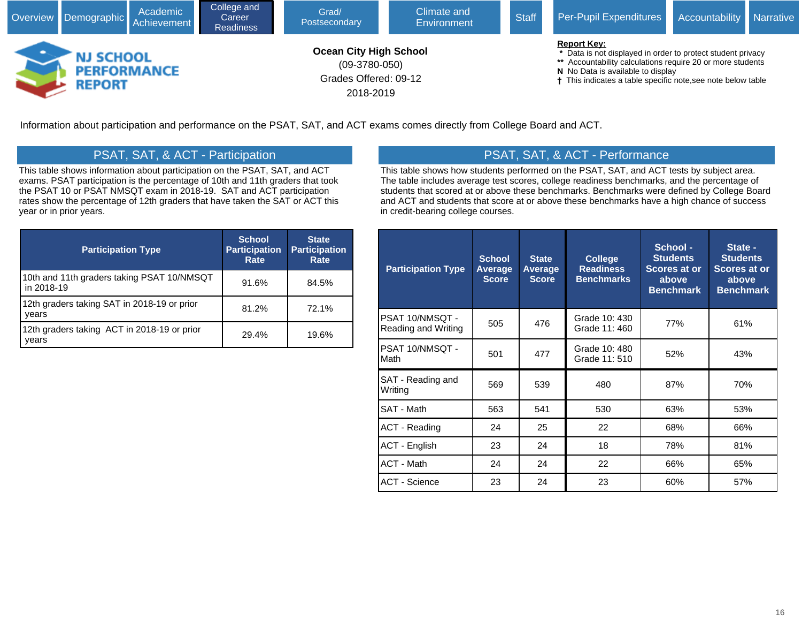

Information about participation and performance on the PSAT, SAT, and ACT exams comes directly from College Board and ACT.

# PSAT, SAT, & ACT - Participation

This table shows information about participation on the PSAT, SAT, and ACT exams. PSAT participation is the percentage of 10th and 11th graders that took the PSAT 10 or PSAT NMSQT exam in 2018-19. SAT and ACT participation rates show the percentage of 12th graders that have taken the SAT or ACT this year or in prior years.

| <b>Participation Type</b>                                | <b>School</b><br><b>Participation</b><br>Rate | <b>State</b><br><b>Participation</b><br>Rate |
|----------------------------------------------------------|-----------------------------------------------|----------------------------------------------|
| 10th and 11th graders taking PSAT 10/NMSQT<br>in 2018-19 | 91.6%                                         | 84.5%                                        |
| 12th graders taking SAT in 2018-19 or prior<br>years     | 81.2%                                         | 72.1%                                        |
| 12th graders taking ACT in 2018-19 or prior<br>vears     | 29.4%                                         | 19.6%                                        |

# PSAT, SAT, & ACT - Performance

This table shows how students performed on the PSAT, SAT, and ACT tests by subject area. The table includes average test scores, college readiness benchmarks, and the percentage of students that scored at or above these benchmarks. Benchmarks were defined by College Board and ACT and students that score at or above these benchmarks have a high chance of success in credit-bearing college courses.

| <b>Participation Type</b>              | <b>School</b><br>Average<br><b>Score</b> | <b>State</b><br>Average<br><b>Score</b> | <b>College</b><br><b>Readiness</b><br><b>Benchmarks</b> | School -<br><b>Students</b><br><b>Scores at or</b><br>above<br><b>Benchmark</b> | State -<br><b>Students</b><br>Scores at or<br>above<br><b>Benchmark</b> |
|----------------------------------------|------------------------------------------|-----------------------------------------|---------------------------------------------------------|---------------------------------------------------------------------------------|-------------------------------------------------------------------------|
| PSAT 10/NMSQT -<br>Reading and Writing | 505                                      | 476                                     | Grade 10: 430<br>Grade 11: 460                          | 77%                                                                             | 61%                                                                     |
| PSAT 10/NMSQT -<br>Math                | 501                                      | 477                                     | Grade 10: 480<br>Grade 11: 510                          | 52%                                                                             | 43%                                                                     |
| SAT - Reading and<br>Writing           | 569                                      | 539                                     | 480                                                     | 87%                                                                             | 70%                                                                     |
| SAT - Math                             | 563                                      | 541                                     | 530                                                     | 63%                                                                             | 53%                                                                     |
| <b>ACT - Reading</b>                   | 24                                       | 25                                      | 22                                                      | 68%                                                                             | 66%                                                                     |
| <b>ACT - English</b>                   | 23                                       | 24                                      | 18                                                      | 78%                                                                             | 81%                                                                     |
| <b>ACT - Math</b>                      | 24                                       | 24                                      | 22                                                      | 66%                                                                             | 65%                                                                     |
| <b>ACT - Science</b>                   | 23                                       | 24                                      | 23                                                      | 60%                                                                             | 57%                                                                     |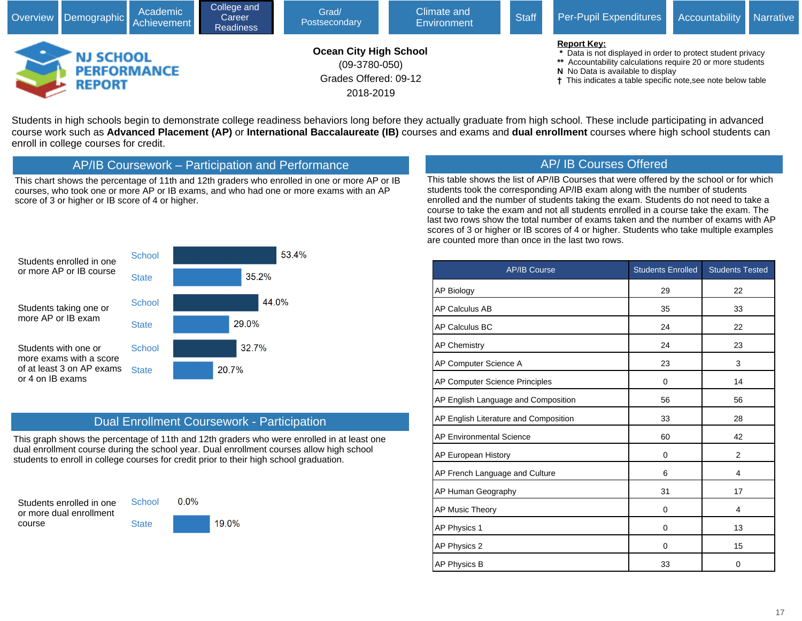

Students in high schools begin to demonstrate college readiness behaviors long before they actually graduate from high school. These include participating in advanced course work such as **Advanced Placement (AP)** or **International Baccalaureate (IB)** courses and exams and **dual enrollment** courses where high school students can enroll in college courses for credit.

## AP/IB Coursework – Participation and Performance

This chart shows the percentage of 11th and 12th graders who enrolled in one or more AP or IB courses, who took one or more AP or IB exams, and who had one or more exams with an AP score of 3 or higher or IB score of 4 or higher.



This table shows the list of AP/IB Courses that were offered by the school or for which students took the corresponding AP/IB exam along with the number of students enrolled and the number of students taking the exam. Students do not need to take a course to take the exam and not all students enrolled in a course take the exam. The last two rows show the total number of exams taken and the number of exams with AP scores of 3 or higher or IB scores of 4 or higher. Students who take multiple examples are counted more than once in the last two rows.



## Dual Enrollment Coursework - Participation

This graph shows the percentage of 11th and 12th graders who were enrolled in at least one dual enrollment course during the school year. Dual enrollment courses allow high school students to enroll in college courses for credit prior to their high school graduation.

Students enrolled in one or more dual enrollment course



**State** 

19.0%

| <b>AP/IB Course</b>                   | <b>Students Enrolled</b> | <b>Students Tested</b> |
|---------------------------------------|--------------------------|------------------------|
| <b>AP Biology</b>                     | 29                       | 22                     |
| AP Calculus AB                        | 35                       | 33                     |
| AP Calculus BC                        | 24                       | 22                     |
| <b>AP Chemistry</b>                   | 24                       | 23                     |
| AP Computer Science A                 | 23                       | 3                      |
| AP Computer Science Principles        | 0                        | 14                     |
| AP English Language and Composition   | 56                       | 56                     |
| AP English Literature and Composition | 33                       | 28                     |
| <b>AP Environmental Science</b>       | 60                       | 42                     |
| AP European History                   | 0                        | $\overline{2}$         |
| AP French Language and Culture        | 6                        | 4                      |
| AP Human Geography                    | 31                       | 17                     |
| AP Music Theory                       | 0                        | 4                      |
| AP Physics 1                          | 0                        | 13                     |
| AP Physics 2                          | $\mathbf 0$              | 15                     |
| <b>AP Physics B</b>                   | 33                       | 0                      |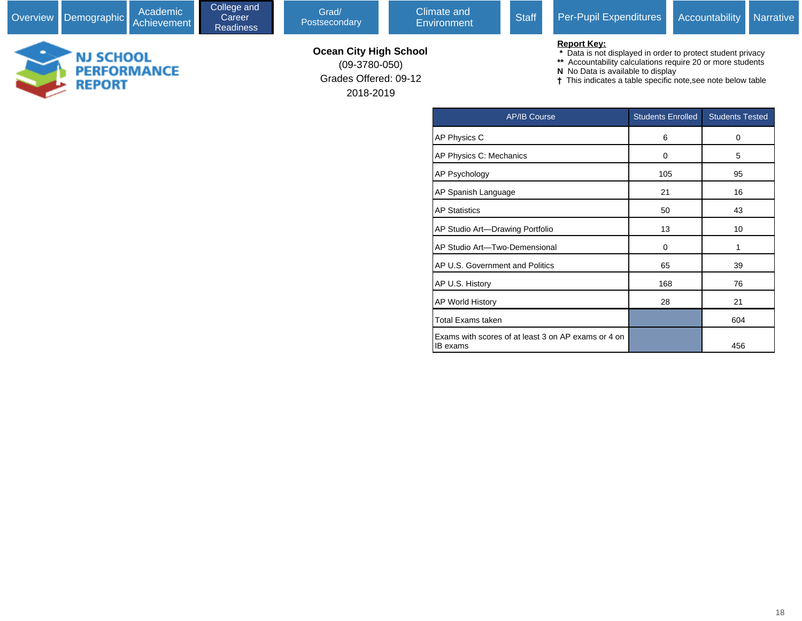**NJ SCHOOL<br>PERFORMANCE<br>REPORT** 

Postsecondary

Grades Offered: 09-12

(09-3780-050)

2018-2019

**Ocean City High School**

#### **Report Key:**

- **\*** Data is not displayed in order to protect student privacy
- **\*\*** Accountability calculations require 20 or more students
- **N** No Data is available to display
- **†** This indicates a table specific note,see note below table

| <b>AP/IB Course</b>                                             | <b>Students Enrolled</b> | <b>Students Tested</b> |
|-----------------------------------------------------------------|--------------------------|------------------------|
| AP Physics C                                                    | 6                        | 0                      |
| AP Physics C: Mechanics                                         | 0                        | 5                      |
| AP Psychology                                                   | 105                      | 95                     |
| AP Spanish Language                                             | 21                       | 16                     |
| <b>AP Statistics</b>                                            | 50                       | 43                     |
| AP Studio Art-Drawing Portfolio                                 | 13                       | 10                     |
| AP Studio Art-Two-Demensional                                   | 0                        | 1                      |
| AP U.S. Government and Politics                                 | 65                       | 39                     |
| AP U.S. History                                                 | 168                      | 76                     |
| <b>AP World History</b>                                         | 28                       | 21                     |
| <b>Total Exams taken</b>                                        |                          | 604                    |
| Exams with scores of at least 3 on AP exams or 4 on<br>IB exams |                          | 456                    |

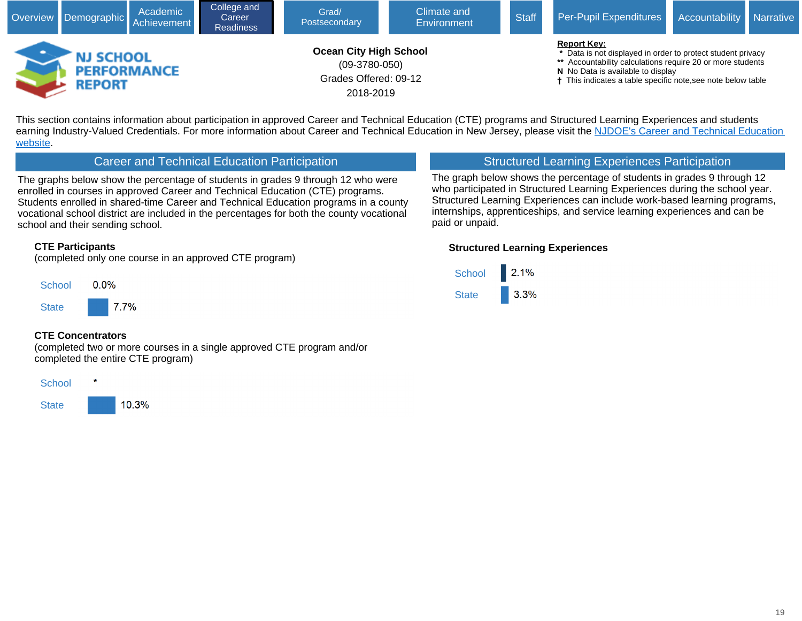

This section contains information about participation in approved Career and Technical Education (CTE) programs and Structured Learning Experiences and students earning Industry-Valued Credentials. For more information about Career and Technical Education in New Jersey, please visit the NJDOE's Career and Technical Education [website.](javascript:void(window.open()

## Career and Technical Education Participation

The graphs below show the percentage of students in grades 9 through 12 who were enrolled in courses in approved Career and Technical Education (CTE) programs. Students enrolled in shared-time Career and Technical Education programs in a county vocational school district are included in the percentages for both the county vocational school and their sending school.

#### **CTE Participants**

(completed only one course in an approved CTE program)



#### **CTE Concentrators**

(completed two or more courses in a single approved CTE program and/or completed the entire CTE program)



## Structured Learning Experiences Participation

The graph below shows the percentage of students in grades 9 through 12 who participated in Structured Learning Experiences during the school year. Structured Learning Experiences can include work-based learning programs, internships, apprenticeships, and service learning experiences and can be paid or unpaid.

#### **Structured Learning Experiences**

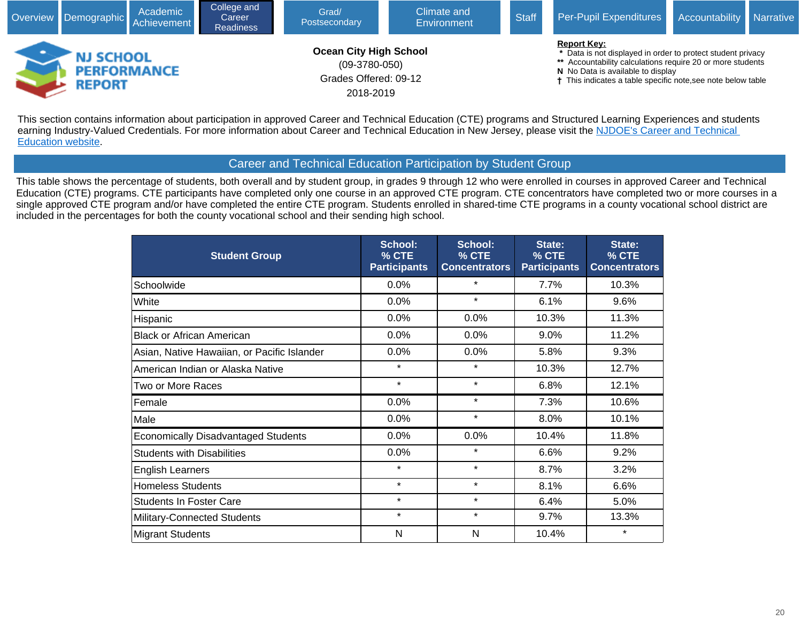

This section contains information about participation in approved Career and Technical Education (CTE) programs and Structured Learning Experiences and students earning Industry-Valued Credentials. For more information about Career and Technical Education in New Jersey, please visit the NJDOE's Career and Technical [Education website](javascript:void(window.open().

## Career and Technical Education Participation by Student Group

This table shows the percentage of students, both overall and by student group, in grades 9 through 12 who were enrolled in courses in approved Career and Technical Education (CTE) programs. CTE participants have completed only one course in an approved CTE program. CTE concentrators have completed two or more courses in a single approved CTE program and/or have completed the entire CTE program. Students enrolled in shared-time CTE programs in a county vocational school district are included in the percentages for both the county vocational school and their sending high school.

| <b>Student Group</b>                        | School:<br>% CTE<br><b>Participants</b> | School:<br>% CTE<br><b>Concentrators</b> | State:<br>% CTE<br><b>Participants</b> | State:<br>% CTE<br><b>Concentrators</b> |
|---------------------------------------------|-----------------------------------------|------------------------------------------|----------------------------------------|-----------------------------------------|
| Schoolwide                                  | 0.0%                                    | $\star$                                  | 7.7%                                   | 10.3%                                   |
| White                                       | 0.0%                                    | $\star$                                  | 6.1%                                   | 9.6%                                    |
| Hispanic                                    | 0.0%                                    | 0.0%                                     | 10.3%                                  | 11.3%                                   |
| <b>Black or African American</b>            | 0.0%                                    | 0.0%                                     | 9.0%                                   | 11.2%                                   |
| Asian, Native Hawaiian, or Pacific Islander | 0.0%                                    | 0.0%                                     | 5.8%                                   | 9.3%                                    |
| American Indian or Alaska Native            | $\star$                                 | $\star$                                  | 10.3%                                  | 12.7%                                   |
| Two or More Races                           | $\star$                                 | $\star$                                  | 6.8%                                   | 12.1%                                   |
| Female                                      | 0.0%                                    | $\star$                                  | 7.3%                                   | 10.6%                                   |
| Male                                        | 0.0%                                    | $\star$                                  | 8.0%                                   | 10.1%                                   |
| <b>Economically Disadvantaged Students</b>  | 0.0%                                    | 0.0%                                     | 10.4%                                  | 11.8%                                   |
| <b>Students with Disabilities</b>           | 0.0%                                    | $\star$                                  | 6.6%                                   | 9.2%                                    |
| <b>English Learners</b>                     | $\star$                                 | $\star$                                  | 8.7%                                   | 3.2%                                    |
| <b>Homeless Students</b>                    | $\star$                                 | $\star$                                  | 8.1%                                   | 6.6%                                    |
| <b>Students In Foster Care</b>              | $\star$                                 | $\star$                                  | 6.4%                                   | 5.0%                                    |
| Military-Connected Students                 | $\star$                                 | $\star$                                  | 9.7%                                   | 13.3%                                   |
| <b>Migrant Students</b>                     | N                                       | N                                        | 10.4%                                  | $\star$                                 |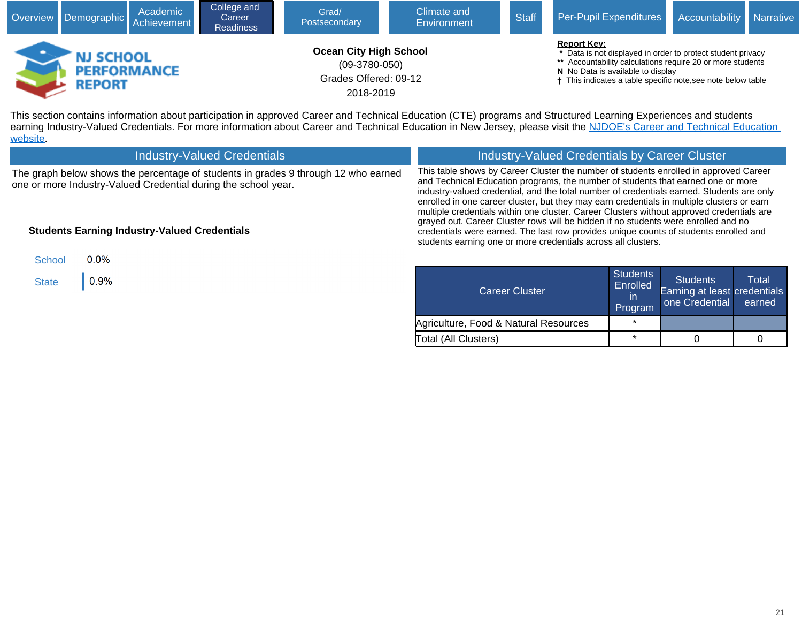

This section contains information about participation in approved Career and Technical Education (CTE) programs and Structured Learning Experiences and students earning Industry-Valued Credentials. For more information about Career and Technical Education in New Jersey, please visit the NJDOE's Career and Technical Education **[website](javascript:void(window.open()** 

| <b>Industry-Valued Credentials</b>                                                                                                                                                                          | <b>Industry-Valued Credentials by Career Cluster</b>                                                                                                                                                                                                                                                                                                                                                                                                                                                                                                                                                                                                                                                              |                                               |                                                                   |                 |  |  |  |
|-------------------------------------------------------------------------------------------------------------------------------------------------------------------------------------------------------------|-------------------------------------------------------------------------------------------------------------------------------------------------------------------------------------------------------------------------------------------------------------------------------------------------------------------------------------------------------------------------------------------------------------------------------------------------------------------------------------------------------------------------------------------------------------------------------------------------------------------------------------------------------------------------------------------------------------------|-----------------------------------------------|-------------------------------------------------------------------|-----------------|--|--|--|
| The graph below shows the percentage of students in grades 9 through 12 who earned<br>one or more Industry-Valued Credential during the school year.<br><b>Students Earning Industry-Valued Credentials</b> | This table shows by Career Cluster the number of students enrolled in approved Career<br>and Technical Education programs, the number of students that earned one or more<br>industry-valued credential, and the total number of credentials earned. Students are only<br>enrolled in one career cluster, but they may earn credentials in multiple clusters or earn<br>multiple credentials within one cluster. Career Clusters without approved credentials are<br>grayed out. Career Cluster rows will be hidden if no students were enrolled and no<br>credentials were earned. The last row provides unique counts of students enrolled and<br>students earning one or more credentials across all clusters. |                                               |                                                                   |                 |  |  |  |
| $0.0\%$<br>School                                                                                                                                                                                           |                                                                                                                                                                                                                                                                                                                                                                                                                                                                                                                                                                                                                                                                                                                   |                                               |                                                                   |                 |  |  |  |
| 0.9%<br><b>State</b>                                                                                                                                                                                        | Career Cluster                                                                                                                                                                                                                                                                                                                                                                                                                                                                                                                                                                                                                                                                                                    | <b>Students</b><br>Enrolled<br>-in<br>Drogram | <b>Students</b><br>Earning at least credentials<br>one Credential | Total<br>earned |  |  |  |

Program

Total (All Clusters)  $\begin{array}{|c|c|c|c|c|c|c|c|c|} \hline \end{array}$   $\begin{array}{|c|c|c|c|c|c|} \hline \begin{array}{ccc} \bullet & \bullet & \bullet & \bullet & \bullet \end{array} & \begin{array}{c} \bullet & \bullet & \bullet & \bullet \end{array} & \begin{array}{c} \bullet & \bullet & \bullet & \bullet \end{array} & \begin{array}{c} \bullet & \bullet & \bullet & \bullet \end{array} & \begin{array}{c} \bullet & \bullet & \bullet & \bullet & \bullet \end{array} & \begin{array}{c} \bullet & \bullet & \bullet &$ 

Agriculture, Food & Natural Resources | \*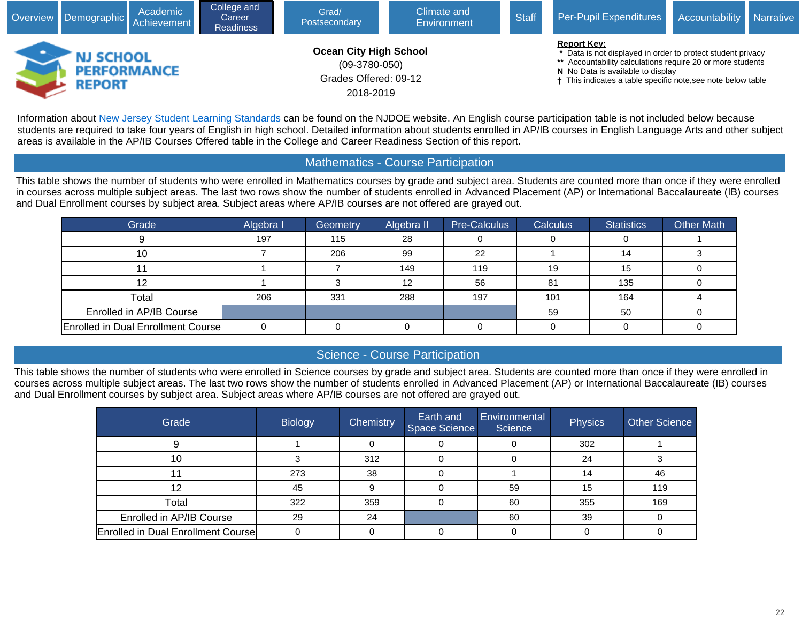

Information about [New Jersey Student Learning Standards](javascript:void(window.open() can be found on the NJDOE website. An English course participation table is not included below because students are required to take four years of English in high school. Detailed information about students enrolled in AP/IB courses in English Language Arts and other subject areas is available in the AP/IB Courses Offered table in the College and Career Readiness Section of this report.

## Mathematics - Course Participation

This table shows the number of students who were enrolled in Mathematics courses by grade and subject area. Students are counted more than once if they were enrolled in courses across multiple subject areas. The last two rows show the number of students enrolled in Advanced Placement (AP) or International Baccalaureate (IB) courses and Dual Enrollment courses by subject area. Subject areas where AP/IB courses are not offered are grayed out.

| Grade                                      | Algebra I | Geometry | Algebra II | Pre-Calculus | <b>Calculus</b> | <b>Statistics</b> | <b>Other Math</b> |
|--------------------------------------------|-----------|----------|------------|--------------|-----------------|-------------------|-------------------|
|                                            | 197       | 115      | 28         |              |                 |                   |                   |
| 10                                         |           | 206      | 99         | 22           |                 | 14                |                   |
|                                            |           |          | 149        | 119          | 19              | 15                |                   |
| 12                                         |           |          | 12         | 56           | 81              | 135               |                   |
| Total                                      | 206       | 331      | 288        | 197          | 101             | 164               |                   |
| Enrolled in AP/IB Course                   |           |          |            |              | 59              | 50                |                   |
| <b>Enrolled in Dual Enrollment Coursel</b> |           |          |            |              |                 |                   |                   |

## Science - Course Participation

This table shows the number of students who were enrolled in Science courses by grade and subject area. Students are counted more than once if they were enrolled in courses across multiple subject areas. The last two rows show the number of students enrolled in Advanced Placement (AP) or International Baccalaureate (IB) courses and Dual Enrollment courses by subject area. Subject areas where AP/IB courses are not offered are grayed out.

| Grade                                      | <b>Biology</b> | Chemistry | Earth and<br>Space Science | Environmental<br>Science | Physics | Other Science |
|--------------------------------------------|----------------|-----------|----------------------------|--------------------------|---------|---------------|
|                                            |                |           |                            |                          | 302     |               |
| ιu                                         |                | 312       |                            |                          | 24      |               |
|                                            | 273            | 38        |                            |                          | 14      | 46            |
| 12                                         | 45             |           |                            | 59                       | 15      | 119           |
| Total                                      | 322            | 359       |                            | 60                       | 355     | 169           |
| Enrolled in AP/IB Course                   | 29             | 24        |                            | 60                       | 39      |               |
| <b>Enrolled in Dual Enrollment Coursel</b> |                |           |                            |                          |         |               |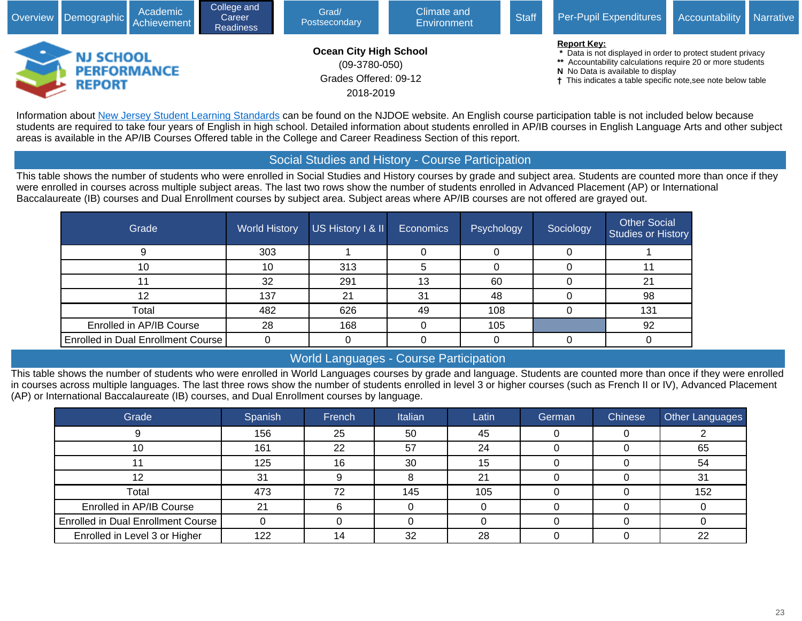

Information about [New Jersey Student Learning Standards](javascript:void(window.open() can be found on the NJDOE website. An English course participation table is not included below because students are required to take four years of English in high school. Detailed information about students enrolled in AP/IB courses in English Language Arts and other subject areas is available in the AP/IB Courses Offered table in the College and Career Readiness Section of this report.

## Social Studies and History - Course Participation

This table shows the number of students who were enrolled in Social Studies and History courses by grade and subject area. Students are counted more than once if they were enrolled in courses across multiple subject areas. The last two rows show the number of students enrolled in Advanced Placement (AP) or International Baccalaureate (IB) courses and Dual Enrollment courses by subject area. Subject areas where AP/IB courses are not offered are grayed out.

| Grade                                     | <b>World History</b> | US History I & II | 'Economics | Psychology | Sociology | <b>Other Social</b><br>Studies or History |
|-------------------------------------------|----------------------|-------------------|------------|------------|-----------|-------------------------------------------|
|                                           | 303                  |                   |            |            |           |                                           |
|                                           | 10                   | 313               |            |            |           |                                           |
|                                           | 32                   | 291               | 13         | 60         |           | 21                                        |
|                                           | 137                  | 21                | 31         | 48         |           | 98                                        |
| Total                                     | 482                  | 626               | 49         | 108        |           | 131                                       |
| Enrolled in AP/IB Course                  | 28                   | 168               |            | 105        |           | 92                                        |
| <b>Enrolled in Dual Enrollment Course</b> |                      |                   |            |            |           |                                           |

## World Languages - Course Participation

This table shows the number of students who were enrolled in World Languages courses by grade and language. Students are counted more than once if they were enrolled in courses across multiple languages. The last three rows show the number of students enrolled in level 3 or higher courses (such as French II or IV), Advanced Placement (AP) or International Baccalaureate (IB) courses, and Dual Enrollment courses by language.

| Grade                                     | Spanish | French | Italian | Latin | German | <b>Chinese</b> | Other Languages |
|-------------------------------------------|---------|--------|---------|-------|--------|----------------|-----------------|
|                                           | 156     | 25     | 50      | 45    |        |                |                 |
| 10                                        | 161     | 22     | 57      | 24    |        |                | 65              |
|                                           | 125     | 16     | 30      | 15    |        |                | 54              |
|                                           | 31      |        |         | 21    |        |                | 31              |
| Total                                     | 473     | 72     | 145     | 105   |        |                | 152             |
| Enrolled in AP/IB Course                  | 21      |        |         |       |        |                |                 |
| <b>Enrolled in Dual Enrollment Course</b> |         |        |         |       |        |                |                 |
| Enrolled in Level 3 or Higher             | 122     | 14     | 32      | 28    |        |                | 22              |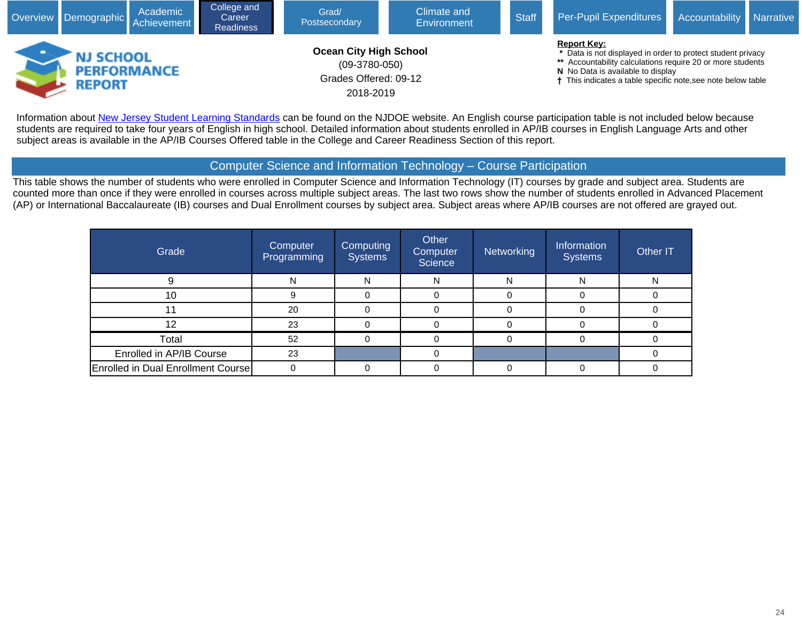

Information about [New Jersey Student Learning Standards](javascript:void(window.open() can be found on the NJDOE website. An English course participation table is not included below because students are required to take four years of English in high school. Detailed information about students enrolled in AP/IB courses in English Language Arts and other subject areas is available in the AP/IB Courses Offered table in the College and Career Readiness Section of this report.

## Computer Science and Information Technology – Course Participation

This table shows the number of students who were enrolled in Computer Science and Information Technology (IT) courses by grade and subject area. Students are counted more than once if they were enrolled in courses across multiple subject areas. The last two rows show the number of students enrolled in Advanced Placement (AP) or International Baccalaureate (IB) courses and Dual Enrollment courses by subject area. Subject areas where AP/IB courses are not offered are grayed out.

| Grade                                     | Computer<br>Programming | <b>Computing</b><br><b>Systems</b> | Other<br>Computer<br>Science | Networking | Information<br><b>Systems</b> | Other IT |
|-------------------------------------------|-------------------------|------------------------------------|------------------------------|------------|-------------------------------|----------|
|                                           | N                       | Ν                                  | N                            | N          | N                             | N        |
| 10                                        |                         |                                    |                              |            |                               |          |
| -1                                        | 20                      |                                    |                              | 0          |                               |          |
| 12                                        | 23                      | 0                                  |                              | 0          |                               |          |
| Total                                     | 52                      |                                    |                              |            |                               |          |
| Enrolled in AP/IB Course                  | 23                      |                                    |                              |            |                               |          |
| <b>Enrolled in Dual Enrollment Course</b> |                         |                                    |                              |            |                               |          |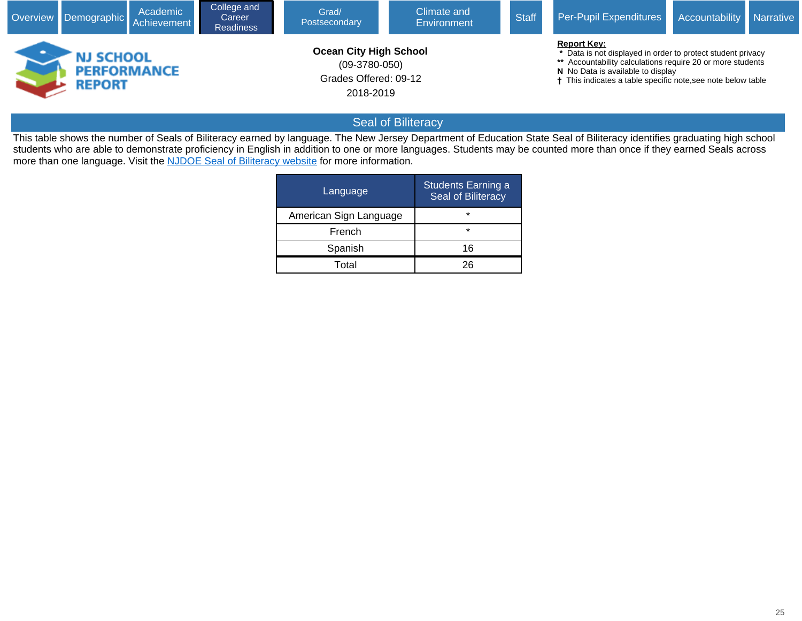|                                                         | Academic<br>Overview Demographic Achievement | College and<br>Career<br><b>Readiness</b> | Climate and<br>Grad/<br>Postsecondary<br>Environment                                   |  | <b>Staff</b> | Per-Pupil Expenditures Accountability Narrative                                                                                                                                                                                                                 |  |
|---------------------------------------------------------|----------------------------------------------|-------------------------------------------|----------------------------------------------------------------------------------------|--|--------------|-----------------------------------------------------------------------------------------------------------------------------------------------------------------------------------------------------------------------------------------------------------------|--|
| <b>NJ SCHOOL</b><br><b>PERFORMANCE</b><br><b>REPORT</b> |                                              |                                           | <b>Ocean City High School</b><br>$(09-3780-050)$<br>Grades Offered: 09-12<br>2018-2019 |  |              | <b>Report Key:</b><br>* Data is not displayed in order to protect student privacy<br>** Accountability calculations require 20 or more students<br>N No Data is available to display<br><sup>†</sup> This indicates a table specific note, see note below table |  |

# Seal of Biliteracy

This table shows the number of Seals of Biliteracy earned by language. The New Jersey Department of Education State Seal of Biliteracy identifies graduating high school students who are able to demonstrate proficiency in English in addition to one or more languages. Students may be counted more than once if they earned Seals across more than one language. Visit the [NJDOE Seal of Biliteracy website](javascript:void(window.open() for more information.

| Language               | <b>Students Earning a</b><br>Seal of Biliteracy |
|------------------------|-------------------------------------------------|
| American Sign Language | $\star$                                         |
| French                 | $\star$                                         |
| Spanish                | 16                                              |
| Total                  | ንፍ                                              |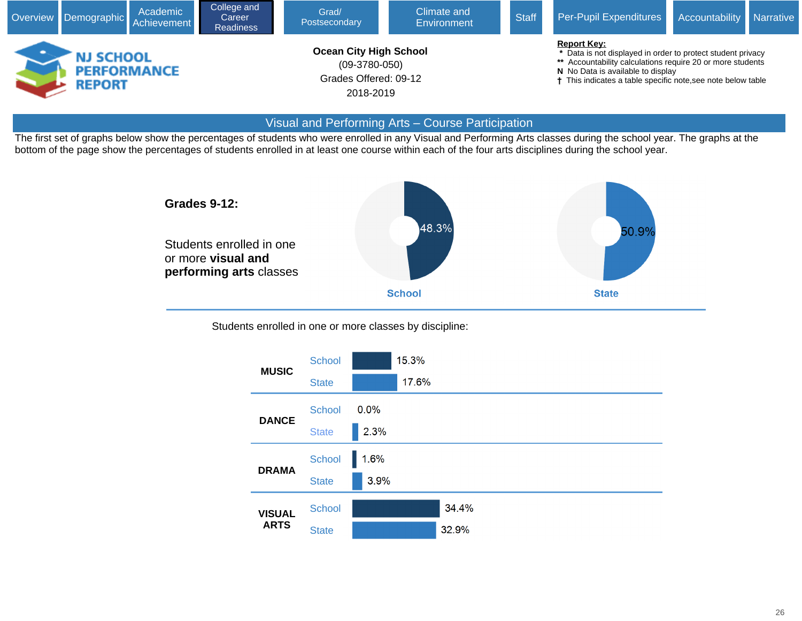

#### Visual and Performing Arts – Course Participation

The first set of graphs below show the percentages of students who were enrolled in any Visual and Performing Arts classes during the school year. The graphs at the bottom of the page show the percentages of students enrolled in at least one course within each of the four arts disciplines during the school year.



Students enrolled in one or more classes by discipline:

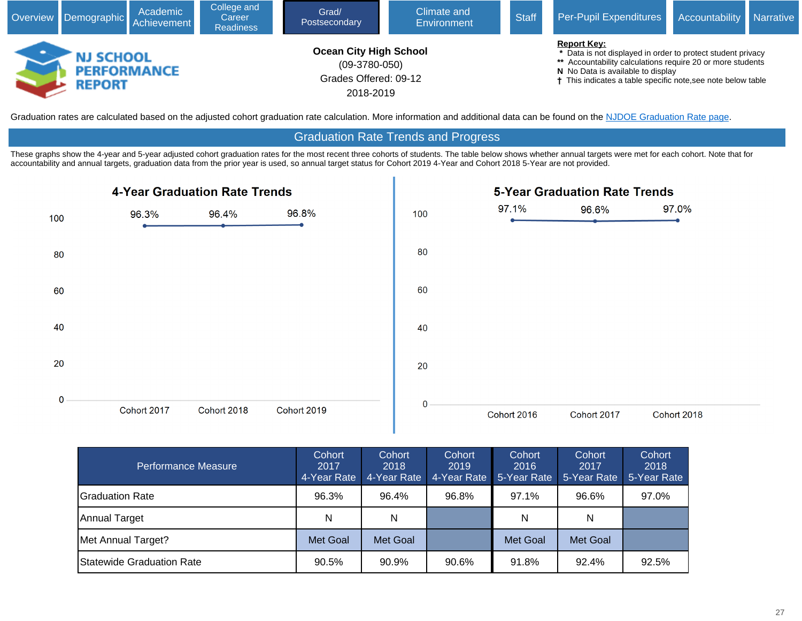

Graduation rates are calculated based on the adjusted cohort graduation rate calculation. More information and additional data can be found on the [NJDOE Graduation Rate page.](javascript:void(window.open()

#### Graduation Rate Trends and Progress

These graphs show the 4-year and 5-year adjusted cohort graduation rates for the most recent three cohorts of students. The table below shows whether annual targets were met for each cohort. Note that for accountability and annual targets, graduation data from the prior year is used, so annual target status for Cohort 2019 4-Year and Cohort 2018 5-Year are not provided.



| Performance Measure               | Cohort<br>2017<br>4-Year Rate | Cohort<br>2018<br>4-Year Rate | Cohort<br>2019<br>4-Year Rate | Cohort<br>2016<br>5-Year Rate | Cohort<br>2017<br>5-Year Rate | Cohort<br>2018<br>5-Year Rate |
|-----------------------------------|-------------------------------|-------------------------------|-------------------------------|-------------------------------|-------------------------------|-------------------------------|
| IGraduation Rate                  | 96.3%                         | 96.4%                         | 96.8%                         | 97.1%                         | 96.6%                         | 97.0%                         |
| Annual Target                     | N                             | N                             |                               | N                             | N                             |                               |
| Met Annual Target?                | Met Goal                      | Met Goal                      |                               | Met Goal                      | Met Goal                      |                               |
| <b>IStatewide Graduation Rate</b> | 90.5%                         | 90.9%                         | 90.6%                         | 91.8%                         | 92.4%                         | 92.5%                         |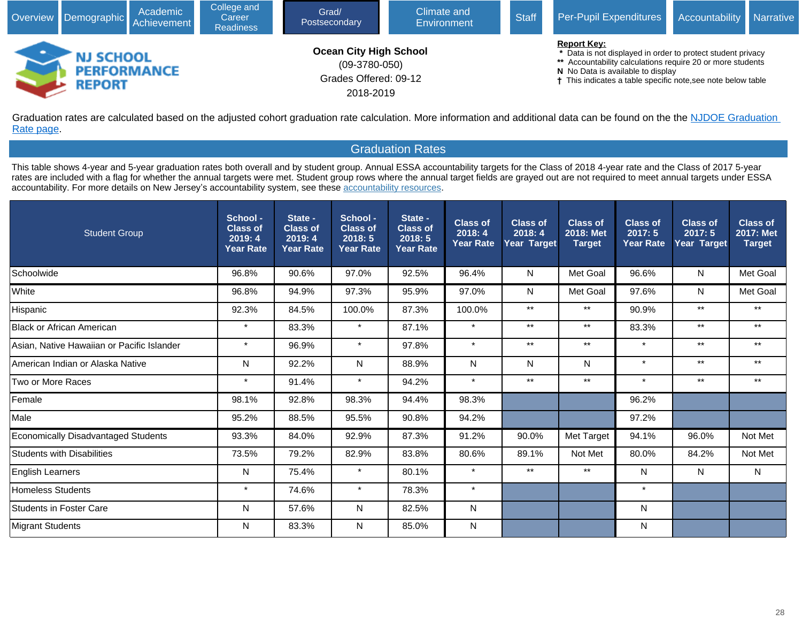

Graduation rates are calculated based on the adjusted cohort graduation rate calculation. More information and additional data can be found on the the NJDOE Graduation [Rate page](javascript:void(window.open().

## Graduation Rates

This table shows 4-year and 5-year graduation rates both overall and by student group. Annual ESSA accountability targets for the Class of 2018 4-year rate and the Class of 2017 5-year rates are included with a flag for whether the annual targets were met. Student group rows where the annual target fields are grayed out are not required to meet annual targets under ESSA accountability. For more details on New Jersey's accountability system, see these [accountability resources.](javascript:void(window.open()

| <b>Student Group</b>                       | School -<br><b>Class of</b><br>2019:4<br><b>Year Rate</b> | State -<br><b>Class of</b><br>2019:4<br><b>Year Rate</b> | School -<br><b>Class of</b><br>2018:5<br><b>Year Rate</b> | State -<br><b>Class of</b><br>2018:5<br><b>Year Rate</b> | <b>Class of</b><br>2018:4<br>Year Rate | <b>Class of</b><br>2018:4<br>Year Target | <b>Class of</b><br>2018: Met<br><b>Target</b> | <b>Class of</b><br>2017:5<br><b>Year Rate</b> | <b>Class of</b><br>2017:5<br>Year Target | <b>Class of</b><br>2017: Met<br><b>Target</b> |
|--------------------------------------------|-----------------------------------------------------------|----------------------------------------------------------|-----------------------------------------------------------|----------------------------------------------------------|----------------------------------------|------------------------------------------|-----------------------------------------------|-----------------------------------------------|------------------------------------------|-----------------------------------------------|
| Schoolwide                                 | 96.8%                                                     | 90.6%                                                    | 97.0%                                                     | 92.5%                                                    | 96.4%                                  | N                                        | Met Goal                                      | 96.6%                                         | N                                        | Met Goal                                      |
| White                                      | 96.8%                                                     | 94.9%                                                    | 97.3%                                                     | 95.9%                                                    | 97.0%                                  | N                                        | Met Goal                                      | 97.6%                                         | N                                        | Met Goal                                      |
| Hispanic                                   | 92.3%                                                     | 84.5%                                                    | 100.0%                                                    | 87.3%                                                    | 100.0%                                 | $***$                                    | $***$                                         | 90.9%                                         | $***$                                    | $***$                                         |
| <b>Black or African American</b>           | $\star$                                                   | 83.3%                                                    | $\star$                                                   | 87.1%                                                    | $\star$                                | $***$                                    | $***$                                         | 83.3%                                         | $\star\star$                             | $^{\star\star}$                               |
| Asian. Native Hawaiian or Pacific Islander | $\star$                                                   | 96.9%                                                    | $\star$                                                   | 97.8%                                                    | $\star$                                | $***$                                    | $***$                                         | $\star$                                       | $***$                                    | $***$                                         |
| American Indian or Alaska Native           | N                                                         | 92.2%                                                    | N                                                         | 88.9%                                                    | N                                      | N                                        | N                                             | $\star$                                       | $***$                                    | $***$                                         |
| Two or More Races                          | $\star$                                                   | 91.4%                                                    | $\star$                                                   | 94.2%                                                    | $\star$                                | $***$                                    | $***$                                         | $\star$                                       | $***$                                    | $***$                                         |
| Female                                     | 98.1%                                                     | 92.8%                                                    | 98.3%                                                     | 94.4%                                                    | 98.3%                                  |                                          |                                               | 96.2%                                         |                                          |                                               |
| Male                                       | 95.2%                                                     | 88.5%                                                    | 95.5%                                                     | 90.8%                                                    | 94.2%                                  |                                          |                                               | 97.2%                                         |                                          |                                               |
| <b>Economically Disadvantaged Students</b> | 93.3%                                                     | 84.0%                                                    | 92.9%                                                     | 87.3%                                                    | 91.2%                                  | 90.0%                                    | Met Target                                    | 94.1%                                         | 96.0%                                    | Not Met                                       |
| <b>Students with Disabilities</b>          | 73.5%                                                     | 79.2%                                                    | 82.9%                                                     | 83.8%                                                    | 80.6%                                  | 89.1%                                    | Not Met                                       | 80.0%                                         | 84.2%                                    | Not Met                                       |
| <b>English Learners</b>                    | N                                                         | 75.4%                                                    | $\star$                                                   | 80.1%                                                    | $\pmb{\star}$                          | $***$                                    | $***$                                         | N                                             | N                                        | N                                             |
| <b>Homeless Students</b>                   | $\star$                                                   | 74.6%                                                    | $\star$                                                   | 78.3%                                                    | $\star$                                |                                          |                                               | $\star$                                       |                                          |                                               |
| <b>Students in Foster Care</b>             | N                                                         | 57.6%                                                    | N                                                         | 82.5%                                                    | N                                      |                                          |                                               | N                                             |                                          |                                               |
| <b>Migrant Students</b>                    | N                                                         | 83.3%                                                    | N                                                         | 85.0%                                                    | N                                      |                                          |                                               | N                                             |                                          |                                               |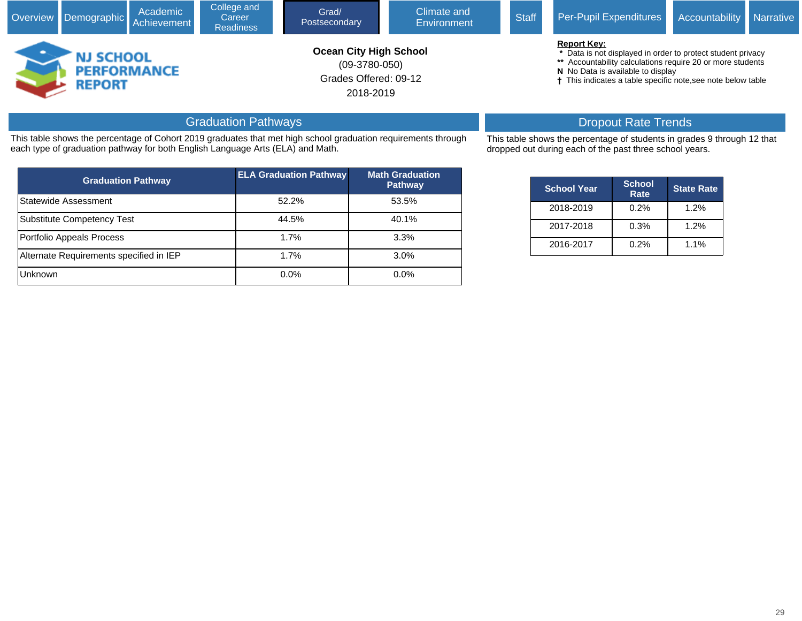|                                                  |  | Academic<br>Overview Demographic Achievement | College and<br>Career<br><b>Readiness</b> | Grad/<br>Postsecondary                                                                 | Climate and<br>Environment | <b>Staff</b> | Per-Pupil Expenditures                                                                                                                                                                                                                               | <b>Accountability</b> Narrative |  |  |  |
|--------------------------------------------------|--|----------------------------------------------|-------------------------------------------|----------------------------------------------------------------------------------------|----------------------------|--------------|------------------------------------------------------------------------------------------------------------------------------------------------------------------------------------------------------------------------------------------------------|---------------------------------|--|--|--|
| <b>NJ SCHOOL</b><br><b>PERFORMANCE</b><br>REPORT |  |                                              |                                           | <b>Ocean City High School</b><br>$(09-3780-050)$<br>Grades Offered: 09-12<br>2018-2019 |                            |              | <b>Report Key:</b><br>* Data is not displayed in order to protect student privacy<br>** Accountability calculations require 20 or more students<br>N No Data is available to display<br>† This indicates a table specific note, see note below table |                                 |  |  |  |

# Graduation Pathways

This table shows the percentage of Cohort 2019 graduates that met high school graduation requirements through each type of graduation pathway for both English Language Arts (ELA) and Math.

| <b>Graduation Pathway</b>               | <b>ELA Graduation Pathway</b> | <b>Math Graduation</b><br><b>Pathway</b> |
|-----------------------------------------|-------------------------------|------------------------------------------|
| Statewide Assessment                    | 52.2%                         | 53.5%                                    |
| Substitute Competency Test              | 44.5%                         | 40.1%                                    |
| Portfolio Appeals Process               | 1.7%                          | 3.3%                                     |
| Alternate Requirements specified in IEP | 1.7%                          | 3.0%                                     |
| <b>Unknown</b>                          | 0.0%                          | 0.0%                                     |

# Dropout Rate Trends

This table shows the percentage of students in grades 9 through 12 that dropped out during each of the past three school years.

| <b>School Year</b> | <b>School</b><br>Rate | <b>State Rate</b> |
|--------------------|-----------------------|-------------------|
| 2018-2019          | 0.2%                  | 1.2%              |
| 2017-2018          | 0.3%                  | 1.2%              |
| 2016-2017          | 0.2%                  | 1.1%              |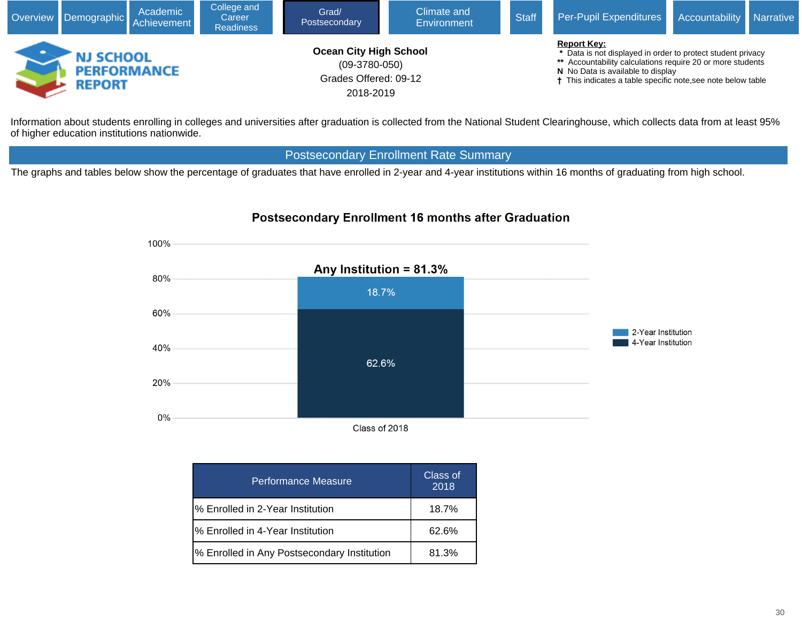

Information about students enrolling in colleges and universities after graduation is collected from the National Student Clearinghouse, which collects data from at least 95% of higher education institutions nationwide.

## Postsecondary Enrollment Rate Summary

The graphs and tables below show the percentage of graduates that have enrolled in 2-year and 4-year institutions within 16 months of graduating from high school.

## **Postsecondary Enrollment 16 months after Graduation**



| Performance Measure                         | Class of<br>2018 |
|---------------------------------------------|------------------|
| % Enrolled in 2-Year Institution            | $18.7\%$         |
| % Enrolled in 4-Year Institution            | 62.6%            |
| % Enrolled in Any Postsecondary Institution | 81.3%            |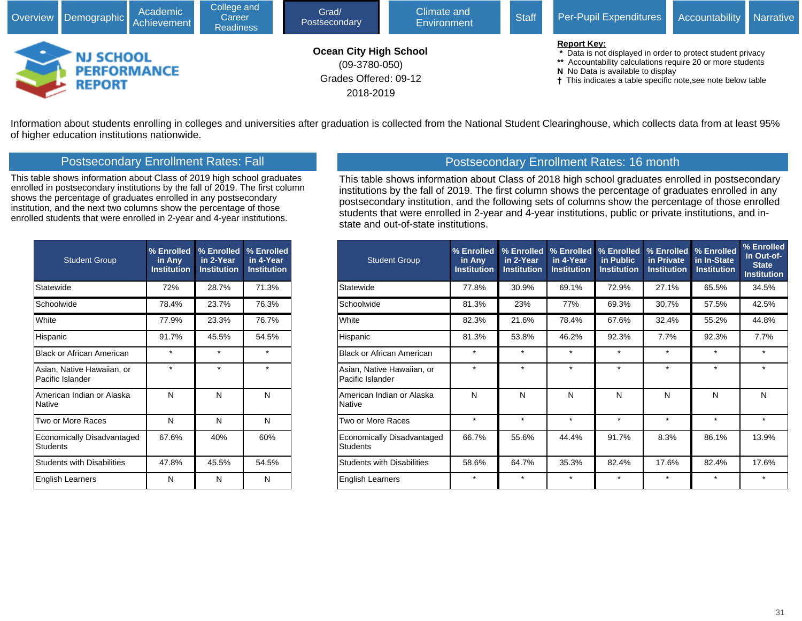

Information about students enrolling in colleges and universities after graduation is collected from the National Student Clearinghouse, which collects data from at least 95% of higher education institutions nationwide.

## Postsecondary Enrollment Rates: Fall

This table shows information about Class of 2019 high school graduates enrolled in postsecondary institutions by the fall of 2019. The first column shows the percentage of graduates enrolled in any postsecondary institution, and the next two columns show the percentage of those enrolled students that were enrolled in 2-year and 4-year institutions.

| <b>Student Group</b>                           | % Enrolled<br>in Any<br><b>Institution</b> | % Enrolled<br>in 2-Year<br><b>Institution</b> | % Enrolled<br>in 4-Year<br><b>Institution</b> |
|------------------------------------------------|--------------------------------------------|-----------------------------------------------|-----------------------------------------------|
| Statewide                                      | 72%                                        | 28.7%                                         | 71.3%                                         |
| Schoolwide                                     | 78.4%                                      | 23.7%                                         | 76.3%                                         |
| White                                          | 77.9%                                      | 23.3%                                         | 76.7%                                         |
| Hispanic                                       | 91.7%                                      | 45.5%                                         | 54.5%                                         |
| Black or African American                      | $\star$                                    | $\star$                                       | $\star$                                       |
| Asian, Native Hawaiian, or<br>Pacific Islander | $\star$                                    | $\star$                                       | $\star$                                       |
| American Indian or Alaska<br><b>Native</b>     | N                                          | N                                             | N                                             |
| Two or More Races                              | N                                          | N                                             | N                                             |
| Economically Disadvantaged<br><b>Students</b>  | 67.6%                                      | 40%                                           | 60%                                           |
| <b>Students with Disabilities</b>              | 47.8%                                      | 45.5%                                         | 54.5%                                         |
| English Learners                               | N                                          | N                                             | N                                             |

## Postsecondary Enrollment Rates: 16 month

This table shows information about Class of 2018 high school graduates enrolled in postsecondary institutions by the fall of 2019. The first column shows the percentage of graduates enrolled in any postsecondary institution, and the following sets of columns show the percentage of those enrolled students that were enrolled in 2-year and 4-year institutions, public or private institutions, and instate and out-of-state institutions.

| <b>Student Group</b>                           | % Enrolled<br>in Any<br><b>Institution</b> | % Enrolled<br>in 2-Year<br><b>Institution</b> | % Enrolled<br>in 4-Year<br><b>Institution</b> | % Enrolled<br>in Public<br><b>Institution</b> | % Enrolled<br>in Private<br><b>Institution</b> | % Enrolled<br>in In-State<br><b>Institution</b> | % Enrolled<br>in Out-of-<br><b>State</b><br><b>Institution</b> |
|------------------------------------------------|--------------------------------------------|-----------------------------------------------|-----------------------------------------------|-----------------------------------------------|------------------------------------------------|-------------------------------------------------|----------------------------------------------------------------|
| Statewide                                      | 77.8%                                      | 30.9%                                         | 69.1%                                         | 72.9%                                         | 27.1%                                          | 65.5%                                           | 34.5%                                                          |
| Schoolwide                                     | 81.3%                                      | 23%                                           | 77%                                           | 69.3%                                         | 30.7%                                          | 57.5%                                           | 42.5%                                                          |
| White                                          | 82.3%                                      | 21.6%                                         | 78.4%                                         | 67.6%                                         | 32.4%                                          | 55.2%                                           | 44.8%                                                          |
| Hispanic                                       | 81.3%                                      | 53.8%                                         | 46.2%                                         | 92.3%                                         | 7.7%                                           | 92.3%                                           | 7.7%                                                           |
| <b>Black or African American</b>               | $\star$                                    | $\star$                                       | $\star$                                       | $\star$                                       | $\star$                                        | $\star$                                         | $\star$                                                        |
| Asian, Native Hawaiian, or<br>Pacific Islander | $\star$                                    | $\star$                                       | $\star$                                       | $\star$                                       | $\star$                                        | $\star$                                         | $\star$                                                        |
| American Indian or Alaska<br>Native            | N                                          | N                                             | N                                             | N                                             | N                                              | N                                               | N                                                              |
| Two or More Races                              | $\star$                                    | $\star$                                       | $\star$                                       | $\star$                                       | $\star$                                        | $\star$                                         | $\star$                                                        |
| Economically Disadvantaged<br><b>Students</b>  | 66.7%                                      | 55.6%                                         | 44.4%                                         | 91.7%                                         | 8.3%                                           | 86.1%                                           | 13.9%                                                          |
| <b>Students with Disabilities</b>              | 58.6%                                      | 64.7%                                         | 35.3%                                         | 82.4%                                         | 17.6%                                          | 82.4%                                           | 17.6%                                                          |
| <b>English Learners</b>                        | $\star$                                    | $\star$                                       | $\star$                                       | $\star$                                       | $\star$                                        | $\star$                                         | $\star$                                                        |
|                                                |                                            |                                               |                                               |                                               |                                                |                                                 |                                                                |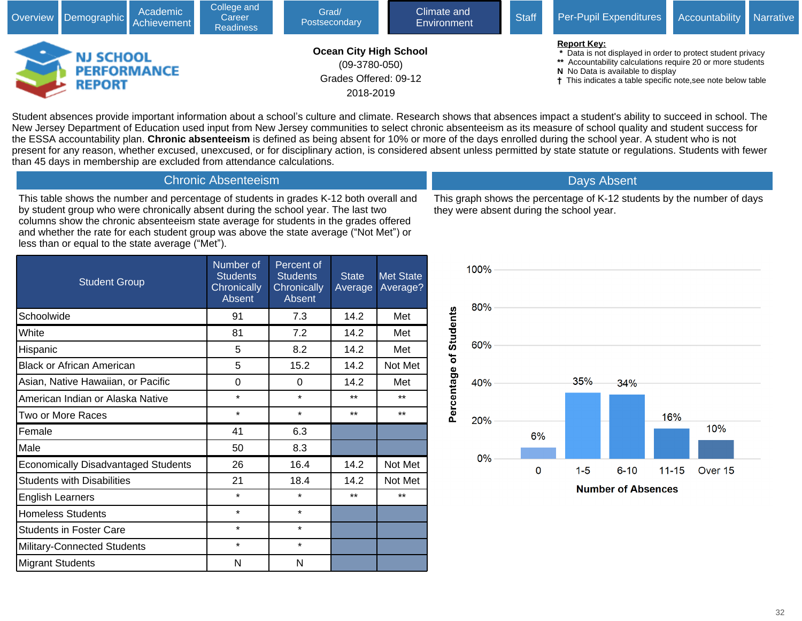|                                                  | Overview Demographic Achievement | Academic | College and<br>Career<br><b>Readiness</b> | Grad/<br>Postsecondary                                                                 | Climate and<br>Environment | <b>Staff</b>                                                                                                                                                                                                                                         | Per-Pupil Expenditures | Accountability | <b>Narrative</b> |
|--------------------------------------------------|----------------------------------|----------|-------------------------------------------|----------------------------------------------------------------------------------------|----------------------------|------------------------------------------------------------------------------------------------------------------------------------------------------------------------------------------------------------------------------------------------------|------------------------|----------------|------------------|
| <b>NJ SCHOOL</b><br><b>PERFORMANCE</b><br>REPORT |                                  |          |                                           | <b>Ocean City High School</b><br>$(09-3780-050)$<br>Grades Offered: 09-12<br>2018-2019 |                            | <b>Report Key:</b><br>* Data is not displayed in order to protect student privacy<br>** Accountability calculations require 20 or more students<br>N No Data is available to display<br>† This indicates a table specific note, see note below table |                        |                |                  |

Student absences provide important information about a school's culture and climate. Research shows that absences impact a student's ability to succeed in school. The New Jersey Department of Education used input from New Jersey communities to select chronic absenteeism as its measure of school quality and student success for the ESSA accountability plan. **Chronic absenteeism** is defined as being absent for 10% or more of the days enrolled during the school year. A student who is not present for any reason, whether excused, unexcused, or for disciplinary action, is considered absent unless permitted by state statute or regulations. Students with fewer than 45 days in membership are excluded from attendance calculations.

# Chronic Absenteeism

This table shows the number and percentage of students in grades K-12 both overall and by student group who were chronically absent during the school year. The last two columns show the chronic absenteeism state average for students in the grades offered and whether the rate for each student group was above the state average ("Not Met") or less than or equal to the state average ("Met").

This graph shows the percentage of K-12 students by the number of days they were absent during the school year.

Days Absent

| <b>Student Group</b>                       | Number of<br><b>Students</b><br>Chronically<br>Absent | Percent of<br><b>Students</b><br>Chronically<br>Absent | <b>State</b><br>Average | <b>Met State</b><br>Average? |
|--------------------------------------------|-------------------------------------------------------|--------------------------------------------------------|-------------------------|------------------------------|
| Schoolwide                                 | 91                                                    | 7.3                                                    | 14.2                    | Met                          |
| White                                      | 81                                                    | 7.2                                                    | 14.2                    | Met                          |
| Hispanic                                   | 5                                                     | 8.2                                                    | 14.2                    | Met                          |
| <b>Black or African American</b>           | 5                                                     | 15.2                                                   | 14.2                    | Not Met                      |
| Asian, Native Hawaiian, or Pacific         | 0                                                     | 0                                                      | 14.2                    | Met                          |
| American Indian or Alaska Native           | $\star$                                               | $\star$                                                | $***$                   | $***$                        |
| Two or More Races                          | $\star$                                               | $\star$                                                | $***$                   | $***$                        |
| Female                                     | 41                                                    | 6.3                                                    |                         |                              |
| Male                                       | 50                                                    | 8.3                                                    |                         |                              |
| <b>Economically Disadvantaged Students</b> | 26                                                    | 16.4                                                   | 14.2                    | Not Met                      |
| <b>Students with Disabilities</b>          | 21                                                    | 18.4                                                   | 14.2                    | Not Met                      |
| English Learners                           | $\star$                                               | $\star$                                                | $***$                   | $***$                        |
| <b>Homeless Students</b>                   | $\star$                                               | $\star$                                                |                         |                              |
| Students in Foster Care                    | $\star$                                               | $\star$                                                |                         |                              |
| Military-Connected Students                | $\star$                                               | $\star$                                                |                         |                              |
| <b>Migrant Students</b>                    | N                                                     | N                                                      |                         |                              |

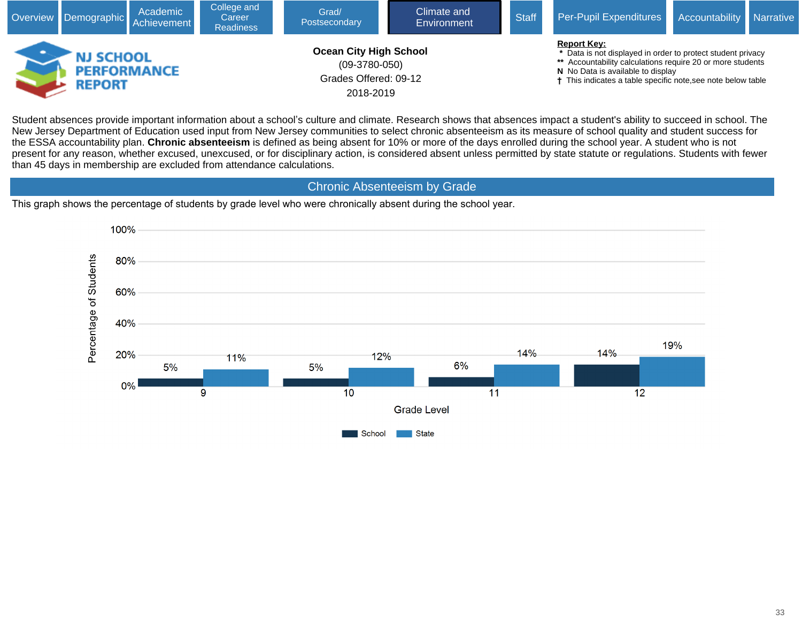

Student absences provide important information about a school's culture and climate. Research shows that absences impact a student's ability to succeed in school. The New Jersey Department of Education used input from New Jersey communities to select chronic absenteeism as its measure of school quality and student success for the ESSA accountability plan. **Chronic absenteeism** is defined as being absent for 10% or more of the days enrolled during the school year. A student who is not present for any reason, whether excused, unexcused, or for disciplinary action, is considered absent unless permitted by state statute or regulations. Students with fewer than 45 days in membership are excluded from attendance calculations.

## Chronic Absenteeism by Grade

This graph shows the percentage of students by grade level who were chronically absent during the school year.

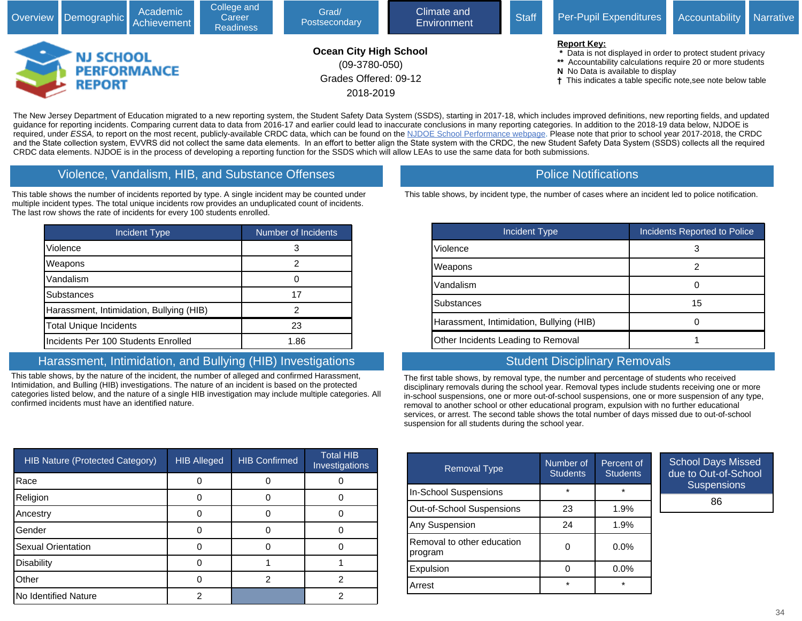

The New Jersey Department of Education migrated to a new reporting system, the Student Safety Data System (SSDS), starting in 2017-18, which includes improved definitions, new reporting fields, and updated guidance for reporting incidents. Comparing current data to data from 2016-17 and earlier could lead to inaccurate conclusions in many reporting categories. In addition to the 2018-19 data below, NJDOE is required, under ESSA, to report on the most recent, publicly-available CRDC data, which can be found on the [NJDOE School Performance webpage.](javascript:void(window.open() Please note that prior to school year 2017-2018, the CRDC and the State collection system, EVVRS did not collect the same data elements. In an effort to better align the State system with the CRDC, the new Student Safety Data System (SSDS) collects all the required CRDC data elements. NJDOE is in the process of developing a reporting function for the SSDS which will allow LEAs to use the same data for both submissions.

#### Violence, Vandalism, HIB, and Substance Offenses

This table shows the number of incidents reported by type. A single incident may be counted under multiple incident types. The total unique incidents row provides an unduplicated count of incidents. The last row shows the rate of incidents for every 100 students enrolled.

| <b>Incident Type</b>                     | Number of Incidents |
|------------------------------------------|---------------------|
| Violence                                 | 3                   |
| Weapons                                  | 2                   |
| Vandalism                                |                     |
| <b>Substances</b>                        | 17                  |
| Harassment, Intimidation, Bullying (HIB) | 2                   |
| <b>Total Unique Incidents</b>            | 23                  |
| Incidents Per 100 Students Enrolled      | 1.86                |

## Harassment, Intimidation, and Bullying (HIB) Investigations

This table shows, by the nature of the incident, the number of alleged and confirmed Harassment, Intimidation, and Bulling (HIB) investigations. The nature of an incident is based on the protected categories listed below, and the nature of a single HIB investigation may include multiple categories. All confirmed incidents must have an identified nature.

| <b>HIB Nature (Protected Category)</b> | <b>HIB Alleged</b> | <b>HIB Confirmed</b> | <b>Total HIB</b><br>Investigations |
|----------------------------------------|--------------------|----------------------|------------------------------------|
| Race                                   |                    |                      |                                    |
| Religion                               |                    |                      |                                    |
| Ancestry                               |                    |                      |                                    |
| Gender                                 |                    |                      |                                    |
| Sexual Orientation                     |                    |                      |                                    |
| <b>Disability</b>                      |                    |                      |                                    |
| Other                                  |                    | 2                    |                                    |
| No Identified Nature                   | ◠                  |                      |                                    |

#### Police Notifications

This table shows, by incident type, the number of cases where an incident led to police notification.

| Incident Type                            | <b>Incidents Reported to Police</b> |
|------------------------------------------|-------------------------------------|
| Violence                                 |                                     |
| Weapons                                  |                                     |
| Vandalism                                |                                     |
| <b>Substances</b>                        | 15                                  |
| Harassment, Intimidation, Bullying (HIB) |                                     |
| Other Incidents Leading to Removal       |                                     |

## Student Disciplinary Removals

The first table shows, by removal type, the number and percentage of students who received disciplinary removals during the school year. Removal types include students receiving one or more in-school suspensions, one or more out-of-school suspensions, one or more suspension of any type, removal to another school or other educational program, expulsion with no further educational services, or arrest. The second table shows the total number of days missed due to out-of-school suspension for all students during the school year.

| <b>Removal Type</b>                   | Number of<br><b>Students</b> | Percent of<br><b>Students</b> | Scho<br>due |
|---------------------------------------|------------------------------|-------------------------------|-------------|
| In-School Suspensions                 | $\star$                      | $\star$                       |             |
| Out-of-School Suspensions             | 23                           | 1.9%                          |             |
| Any Suspension                        | 24                           | 1.9%                          |             |
| Removal to other education<br>program |                              | $0.0\%$                       |             |
| Expulsion                             |                              | $0.0\%$                       |             |
| Arrest                                | $\star$                      | $\star$                       |             |

ool Days Missed to Out-of-School Suspensions

86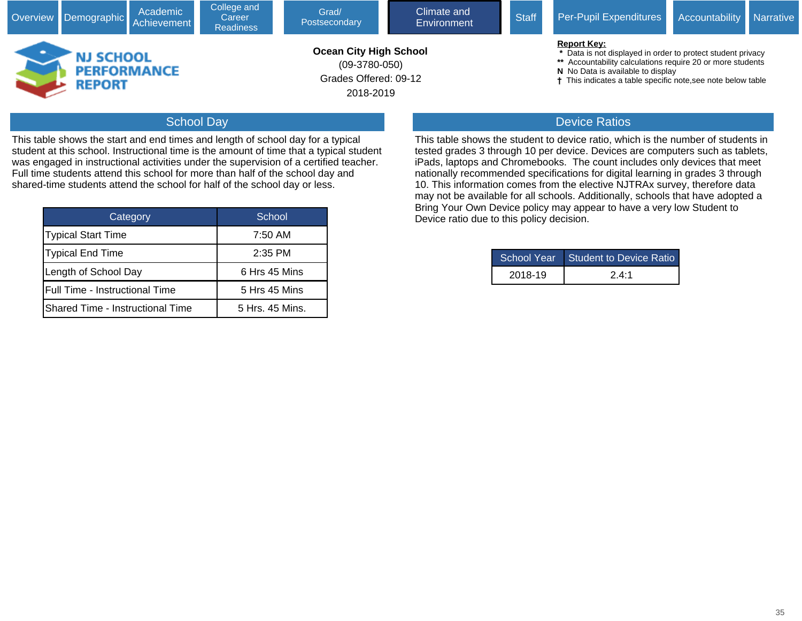|                                   | Academic<br>Overview Demographic Achievement | College and<br>Career<br><b>Readiness</b> | Grad/<br>Postsecondary                                                                 | Climate and<br>Environment | <b>Staff</b> | Per-Pupil Expenditures                                                                                                                                                                                                                               | <b>Accountability</b> Narrative |  |
|-----------------------------------|----------------------------------------------|-------------------------------------------|----------------------------------------------------------------------------------------|----------------------------|--------------|------------------------------------------------------------------------------------------------------------------------------------------------------------------------------------------------------------------------------------------------------|---------------------------------|--|
| <b>NJ SCHOOL</b><br><b>REPORT</b> | <b>PERFORMANCE</b>                           |                                           | <b>Ocean City High School</b><br>$(09-3780-050)$<br>Grades Offered: 09-12<br>2018-2019 |                            |              | <b>Report Key:</b><br>* Data is not displayed in order to protect student privacy<br>** Accountability calculations require 20 or more students<br>N No Data is available to display<br>† This indicates a table specific note, see note below table |                                 |  |

## School Day

This table shows the start and end times and length of school day for a typical student at this school. Instructional time is the amount of time that a typical student was engaged in instructional activities under the supervision of a certified teacher. Full time students attend this school for more than half of the school day and shared-time students attend the school for half of the school day or less.

| Category                         | School          |  |  |
|----------------------------------|-----------------|--|--|
| <b>Typical Start Time</b>        | 7:50 AM         |  |  |
| Typical End Time                 | $2:35$ PM       |  |  |
| Length of School Day             | 6 Hrs 45 Mins   |  |  |
| Full Time - Instructional Time   | 5 Hrs 45 Mins   |  |  |
| Shared Time - Instructional Time | 5 Hrs. 45 Mins. |  |  |

## Device Ratios

This table shows the student to device ratio, which is the number of students in tested grades 3 through 10 per device. Devices are computers such as tablets, iPads, laptops and Chromebooks. The count includes only devices that meet nationally recommended specifications for digital learning in grades 3 through 10. This information comes from the elective NJTRAx survey, therefore data may not be available for all schools. Additionally, schools that have adopted a Bring Your Own Device policy may appear to have a very low Student to Device ratio due to this policy decision.

|         | School Year Student to Device Ratio |  |  |
|---------|-------------------------------------|--|--|
| 2018-19 | 24.1                                |  |  |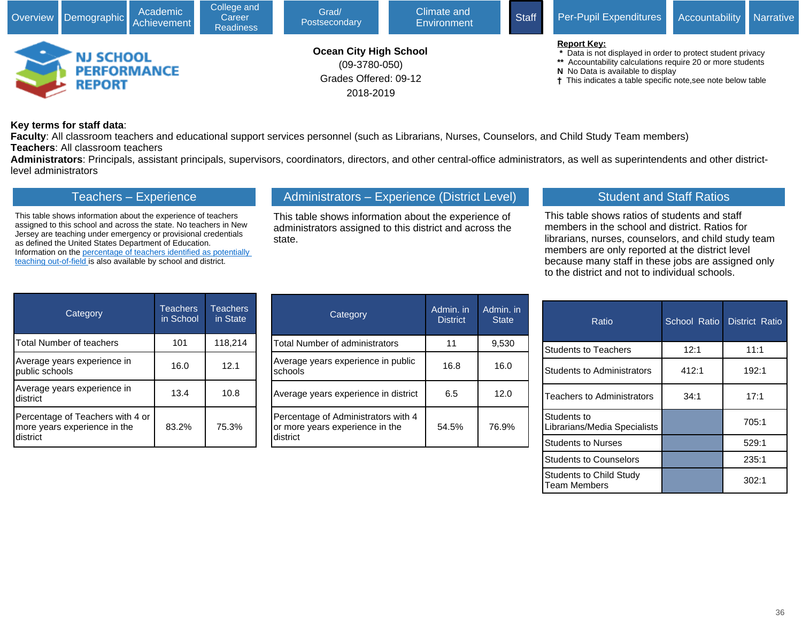

#### **Key terms for staff data**:

**Faculty**: All classroom teachers and educational support services personnel (such as Librarians, Nurses, Counselors, and Child Study Team members) **Teachers**: All classroom teachers

**Administrators**: Principals, assistant principals, supervisors, coordinators, directors, and other central-office administrators, as well as superintendents and other districtlevel administrators

## Teachers – Experience

This table shows information about the experience of teachers assigned to this school and across the state. No teachers in New Jersey are teaching under emergency or provisional credentials as defined the United States Department of Education. Information on the [percentage of teachers identified as potentially](javascript:void(window.open(window.location.origin%20+%20)  [teaching out-of-field](javascript:void(window.open(window.location.origin%20+%20) is also available by school and district.

## Administrators – Experience (District Level)

This table shows information about the experience of administrators assigned to this district and across the state.

## Student and Staff Ratios

This table shows ratios of students and staff members in the school and district. Ratios for librarians, nurses, counselors, and child study team members are only reported at the district level because many staff in these jobs are assigned only to the district and not to individual schools.

| Category                                                                     | <b>Teachers</b><br>in School | <b>Teachers</b><br>in State |
|------------------------------------------------------------------------------|------------------------------|-----------------------------|
| <b>Total Number of teachers</b>                                              | 101                          | 118,214                     |
| Average years experience in<br>public schools                                | 16.0                         | 12.1                        |
| Average years experience in<br>district                                      | 13.4                         | 10.8                        |
| Percentage of Teachers with 4 or<br>more years experience in the<br>district | 83.2%                        | 75.3%                       |

| Category                                                                           | Admin. in<br><b>District</b> | Admin. in<br><b>State</b> |
|------------------------------------------------------------------------------------|------------------------------|---------------------------|
| <b>Total Number of administrators</b>                                              | 11                           | 9,530                     |
| Average years experience in public<br>schools                                      | 16.8                         | 16.0                      |
| Average years experience in district                                               | 6.5                          | 12.0                      |
| Percentage of Administrators with 4<br>or more years experience in the<br>district | 54.5%                        | 76.9%                     |

| Ratio                                          | School Ratio | District Ratio |
|------------------------------------------------|--------------|----------------|
| <b>Students to Teachers</b>                    | 12:1         | 11:1           |
| <b>Students to Administrators</b>              | 412:1        | 192:1          |
| Teachers to Administrators                     | 34:1         | 17:1           |
| Students to<br>Librarians/Media Specialists    |              | 705:1          |
| <b>Students to Nurses</b>                      |              | 529:1          |
| <b>Students to Counselors</b>                  |              | 235:1          |
| <b>Students to Child Study</b><br>Team Members |              | 302:1          |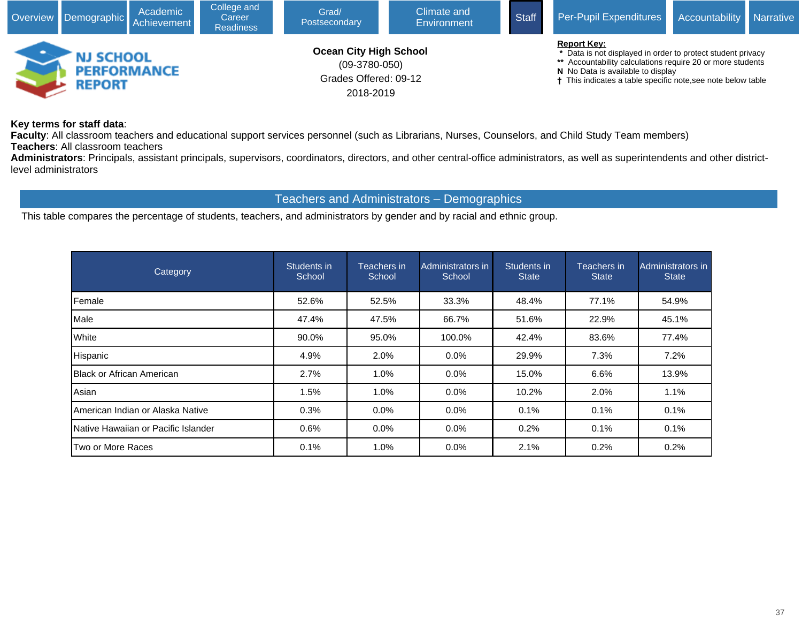

#### **Key terms for staff data**:

**Faculty**: All classroom teachers and educational support services personnel (such as Librarians, Nurses, Counselors, and Child Study Team members) **Teachers**: All classroom teachers

**Administrators**: Principals, assistant principals, supervisors, coordinators, directors, and other central-office administrators, as well as superintendents and other districtlevel administrators

#### Teachers and Administrators – Demographics

This table compares the percentage of students, teachers, and administrators by gender and by racial and ethnic group.

| <b>Category</b>                             | Students in<br>School | Teachers in<br>School | Administrators in<br>School | Students in<br>State | Teachers in l<br><b>State</b> | Administrators in<br><b>State</b> |
|---------------------------------------------|-----------------------|-----------------------|-----------------------------|----------------------|-------------------------------|-----------------------------------|
| <b>IFemale</b>                              | 52.6%                 | 52.5%                 | 33.3%                       | 48.4%                | 77.1%                         | 54.9%                             |
| <b>I</b> Male                               | 47.4%                 | 47.5%                 | 66.7%                       | 51.6%                | 22.9%                         | 45.1%                             |
| <b>White</b>                                | 90.0%                 | 95.0%                 | 100.0%                      | 42.4%                | 83.6%                         | 77.4%                             |
| Hispanic                                    | 4.9%                  | 2.0%                  | $0.0\%$                     | 29.9%                | 7.3%                          | 7.2%                              |
| <b>IBlack or African American</b>           | 2.7%                  | 1.0%                  | $0.0\%$                     | 15.0%                | 6.6%                          | 13.9%                             |
| Asian                                       | 1.5%                  | 1.0%                  | $0.0\%$                     | 10.2%                | 2.0%                          | 1.1%                              |
| IAmerican Indian or Alaska Native           | 0.3%                  | 0.0%                  | 0.0%                        | 0.1%                 | 0.1%                          | 0.1%                              |
| <b>INative Hawaiian or Pacific Islander</b> | 0.6%                  | 0.0%                  | $0.0\%$                     | 0.2%                 | 0.1%                          | 0.1%                              |
| Two or More Races                           | 0.1%                  | 1.0%                  | $0.0\%$                     | 2.1%                 | 0.2%                          | 0.2%                              |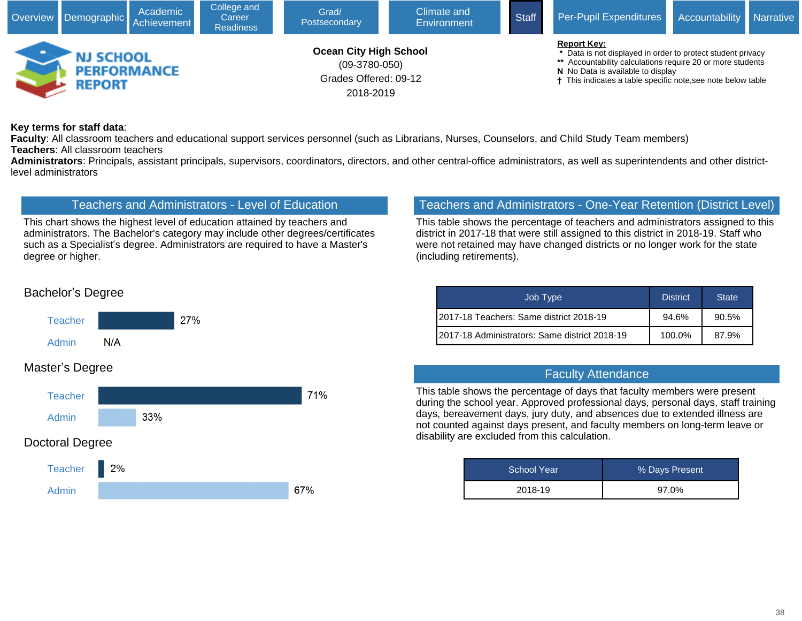

#### **Key terms for staff data**:

**Faculty**: All classroom teachers and educational support services personnel (such as Librarians, Nurses, Counselors, and Child Study Team members) **Teachers**: All classroom teachers

**Administrators**: Principals, assistant principals, supervisors, coordinators, directors, and other central-office administrators, as well as superintendents and other districtlevel administrators

## Teachers and Administrators - Level of Education

This chart shows the highest level of education attained by teachers and administrators. The Bachelor's category may include other degrees/certificates such as a Specialist's degree. Administrators are required to have a Master's degree or higher.

## Teachers and Administrators - One-Year Retention (District Level)

This table shows the percentage of teachers and administrators assigned to this district in 2017-18 that were still assigned to this district in 2018-19. Staff who were not retained may have changed districts or no longer work for the state (including retirements).

| Job Type                                       | <b>District</b> | <b>State</b> |  |
|------------------------------------------------|-----------------|--------------|--|
| I2017-18 Teachers: Same district 2018-19       | 94.6%           | 90.5%        |  |
| I2017-18 Administrators: Same district 2018-19 | 100.0%          | 87.9%        |  |

#### Faculty Attendance

This table shows the percentage of days that faculty members were present during the school year. Approved professional days, personal days, staff training days, bereavement days, jury duty, and absences due to extended illness are not counted against days present, and faculty members on long-term leave or disability are excluded from this calculation.

| School Year | % Days Present |  |  |
|-------------|----------------|--|--|
| 2018-19     | 97.0%          |  |  |

## Bachelor's Degree



## Master's Degree

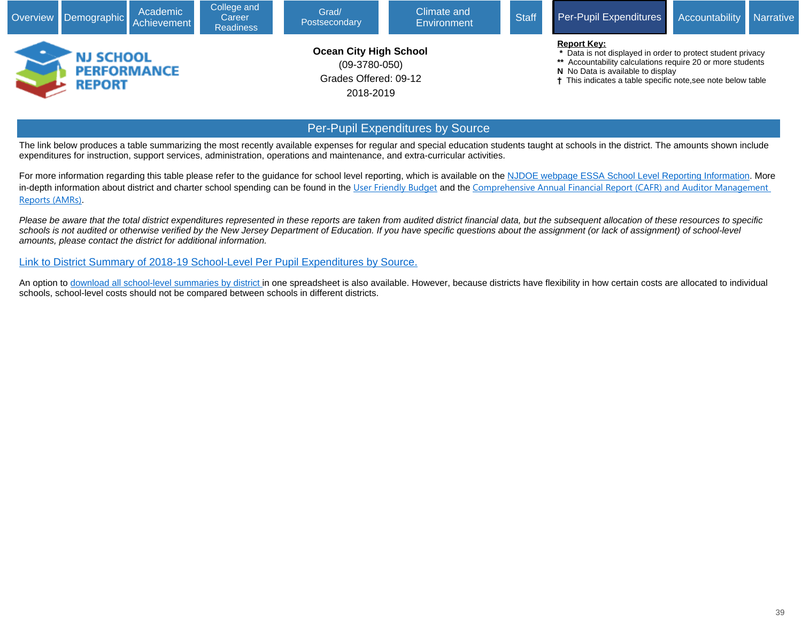

## Per-Pupil Expenditures by Source

The link below produces a table summarizing the most recently available expenses for regular and special education students taught at schools in the district. The amounts shown include expenditures for instruction, support services, administration, operations and maintenance, and extra-curricular activities.

For more information regarding this table please refer to the guidance for school level reporting, which is available on the [NJDOE webpage ESSA School Level Reporting Information](javascript:void(window.open(). More in-depth information about district and charter school spending can be found in the [User Friendly Budget](javascript:void(window.open() and the Comprehensive Annual Financial Report (CAFR) and Auditor Management [Reports \(AMRs\)](javascript:void(window.open().

Please be aware that the total district expenditures represented in these reports are taken from audited district financial data, but the subsequent allocation of these resources to specific schools is not audited or otherwise verified by the New Jersey Department of Education. If you have specific questions about the assignment (or lack of assignment) of school-level amounts, please contact the district for additional information.

[Link to District Summary of 2018-19 School-Level Per Pupil Expenditures by Source](javascript:void(window.open()[.](https://www.nj.gov/education/finance/fp/cafr/search/)

An option to [download all school-level summaries by district](javascript:void(window.open() in one spreadsheet is also available. However, because districts have flexibility in how certain costs are allocated to individual schools, school-level costs should not be compared between schools in different districts.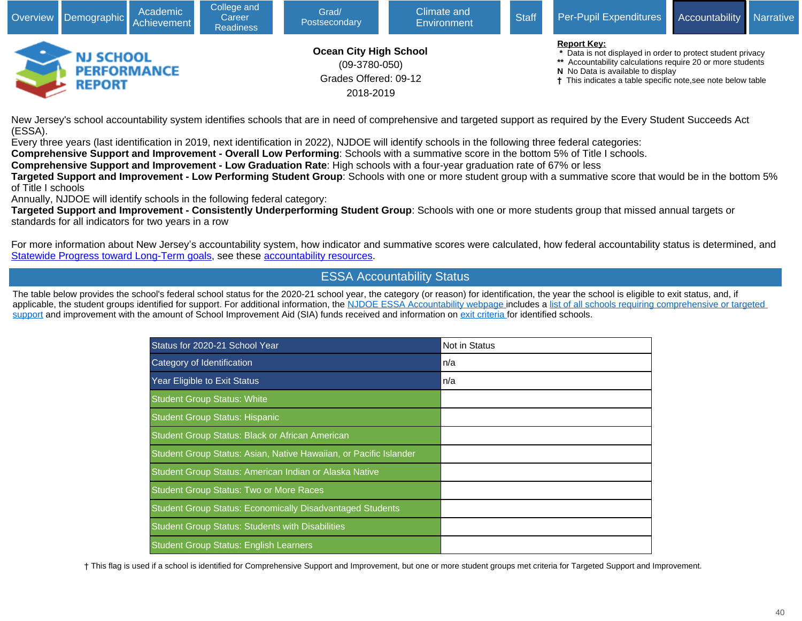

New Jersey's school accountability system identifies schools that are in need of comprehensive and targeted support as required by the Every Student Succeeds Act (ESSA).

Every three years (last identification in 2019, next identification in 2022), NJDOE will identify schools in the following three federal categories:

**Comprehensive Support and Improvement - Overall Low Performing**: Schools with a summative score in the bottom 5% of Title I schools.

**Comprehensive Support and Improvement - Low Graduation Rate**: High schools with a four-year graduation rate of 67% or less

**Targeted Support and Improvement - Low Performing Student Group**: Schools with one or more student group with a summative score that would be in the bottom 5% of Title I schools

Annually, NJDOE will identify schools in the following federal category:

**Targeted Support and Improvement - Consistently Underperforming Student Group**: Schools with one or more students group that missed annual targets or standards for all indicators for two years in a row

For more information about New Jersey's accountability system, how indicator and summative scores were calculated, how federal accountability status is determined, and [Statewide Progress toward Long-Term goals](javascript:void(window.open(), see these [accountability resources.](javascript:void(window.open()

## ESSA Accountability Status

The table below provides the school's federal school status for the 2020-21 school year, the category (or reason) for identification, the year the school is eligible to exit status, and, if applicable, the student groups identified for support. For additional information, the [NJDOE ESSA Accountability webpage](javascript:void(window.open() includes a list of all schools requiring comprehensive or targeted [support](javascript:void(window.open() and improvement with the amount of School Improvement Aid (SIA) funds received and information on [exit criteria](javascript:void(window.open() for identified schools.

| Status for 2020-21 School Year                                    | <b>Not in Status</b> |
|-------------------------------------------------------------------|----------------------|
| Category of Identification                                        | n/a                  |
| Year Eligible to Exit Status                                      | n/a                  |
| <b>Student Group Status: White</b>                                |                      |
| <b>Student Group Status: Hispanic</b>                             |                      |
| Student Group Status: Black or African American                   |                      |
| Student Group Status: Asian, Native Hawaiian, or Pacific Islander |                      |
| Student Group Status: American Indian or Alaska Native            |                      |
| <b>Student Group Status: Two or More Races</b>                    |                      |
| <b>Student Group Status: Economically Disadvantaged Students</b>  |                      |
| <b>Student Group Status: Students with Disabilities</b>           |                      |
| <b>Student Group Status: English Learners</b>                     |                      |

† This flag is used if a school is identified for Comprehensive Support and Improvement, but one or more student groups met criteria for Targeted Support and Improvement.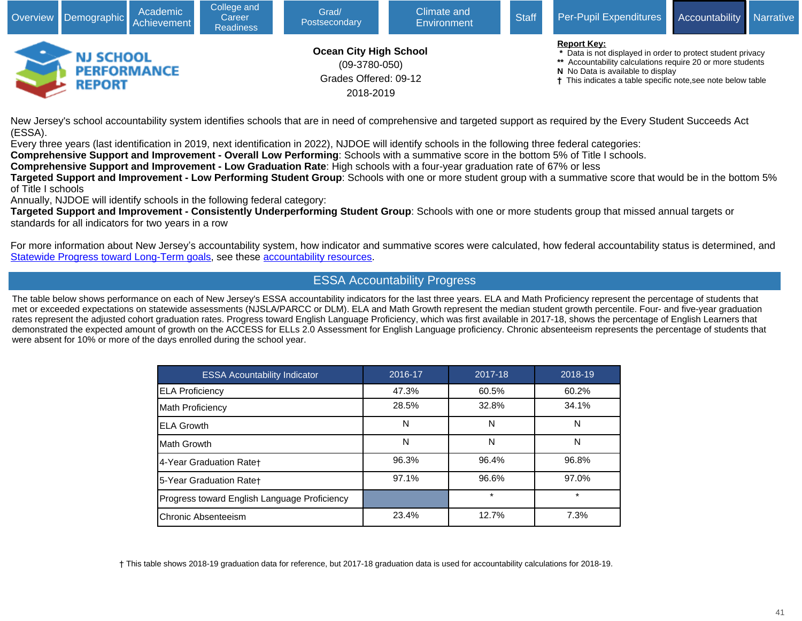

New Jersey's school accountability system identifies schools that are in need of comprehensive and targeted support as required by the Every Student Succeeds Act (ESSA).

Every three years (last identification in 2019, next identification in 2022), NJDOE will identify schools in the following three federal categories:

**Comprehensive Support and Improvement - Overall Low Performing**: Schools with a summative score in the bottom 5% of Title I schools.

**Comprehensive Support and Improvement - Low Graduation Rate**: High schools with a four-year graduation rate of 67% or less

**Targeted Support and Improvement - Low Performing Student Group**: Schools with one or more student group with a summative score that would be in the bottom 5% of Title I schools

Annually, NJDOE will identify schools in the following federal category:

**Targeted Support and Improvement - Consistently Underperforming Student Group**: Schools with one or more students group that missed annual targets or standards for all indicators for two years in a row

For more information about New Jersey's accountability system, how indicator and summative scores were calculated, how federal accountability status is determined, and [Statewide Progress toward Long-Term goals](javascript:void(window.open(), see these [accountability resources](javascript:void(window.open().

## ESSA Accountability Progress

The table below shows performance on each of New Jersey's ESSA accountability indicators for the last three years. ELA and Math Proficiency represent the percentage of students that met or exceeded expectations on statewide assessments (NJSLA/PARCC or DLM). ELA and Math Growth represent the median student growth percentile. Four- and five-year graduation rates represent the adjusted cohort graduation rates. Progress toward English Language Proficiency, which was first available in 2017-18, shows the percentage of English Learners that demonstrated the expected amount of growth on the ACCESS for ELLs 2.0 Assessment for English Language proficiency. Chronic absenteeism represents the percentage of students that were absent for 10% or more of the days enrolled during the school year.

| <b>ESSA Acountability Indicator</b>          | 2016-17 | 2017-18 | 2018-19 |
|----------------------------------------------|---------|---------|---------|
| <b>ELA Proficiency</b>                       | 47.3%   | 60.5%   | 60.2%   |
| Math Proficiency                             | 28.5%   | 32.8%   | 34.1%   |
| <b>ELA Growth</b>                            | N       | N       | N       |
| IMath Growth                                 | Ν       | N       | N       |
| 4-Year Graduation Rate+                      | 96.3%   | 96.4%   | 96.8%   |
| 5-Year Graduation Rate+                      | 97.1%   | 96.6%   | 97.0%   |
| Progress toward English Language Proficiency |         | $\star$ | $\star$ |
| Chronic Absenteeism                          | 23.4%   | 12.7%   | 7.3%    |

† This table shows 2018-19 graduation data for reference, but 2017-18 graduation data is used for accountability calculations for 2018-19.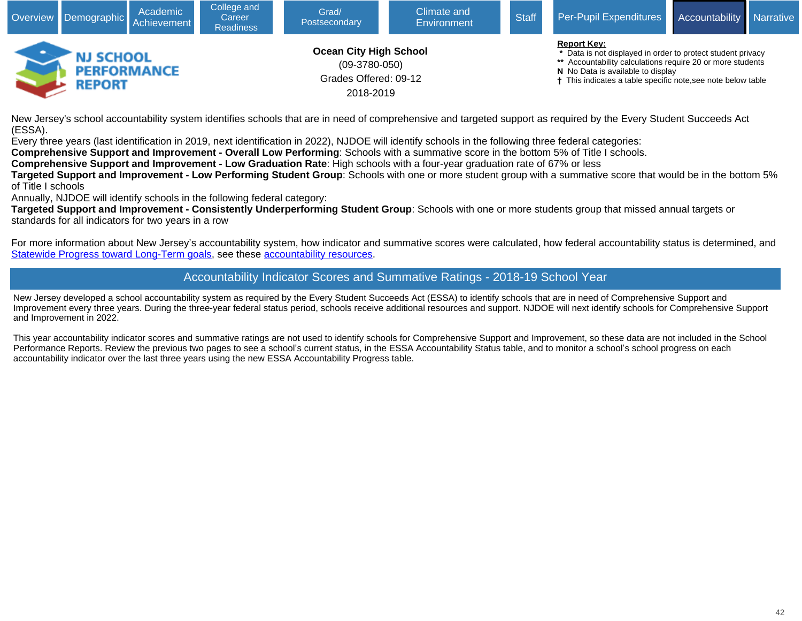

New Jersey's school accountability system identifies schools that are in need of comprehensive and targeted support as required by the Every Student Succeeds Act (ESSA).

Every three years (last identification in 2019, next identification in 2022), NJDOE will identify schools in the following three federal categories:

**Comprehensive Support and Improvement - Overall Low Performing**: Schools with a summative score in the bottom 5% of Title I schools.

**Comprehensive Support and Improvement - Low Graduation Rate**: High schools with a four-year graduation rate of 67% or less

**Targeted Support and Improvement - Low Performing Student Group**: Schools with one or more student group with a summative score that would be in the bottom 5% of Title I schools

Annually, NJDOE will identify schools in the following federal category:

**Targeted Support and Improvement - Consistently Underperforming Student Group**: Schools with one or more students group that missed annual targets or standards for all indicators for two years in a row

For more information about New Jersey's accountability system, how indicator and summative scores were calculated, how federal accountability status is determined, and [Statewide Progress toward Long-Term goals](javascript:void(window.open(), see these [accountability resources.](javascript:void(window.open()

## Accountability Indicator Scores and Summative Ratings - 2018-19 School Year

New Jersey developed a school accountability system as required by the Every Student Succeeds Act (ESSA) to identify schools that are in need of Comprehensive Support and Improvement every three years. During the three-year federal status period, schools receive additional resources and support. NJDOE will next identify schools for Comprehensive Support and Improvement in 2022.

This year accountability indicator scores and summative ratings are not used to identify schools for Comprehensive Support and Improvement, so these data are not included in the School Performance Reports. Review the previous two pages to see a school's current status, in the ESSA Accountability Status table, and to monitor a school's school progress on each accountability indicator over the last three years using the new ESSA Accountability Progress table.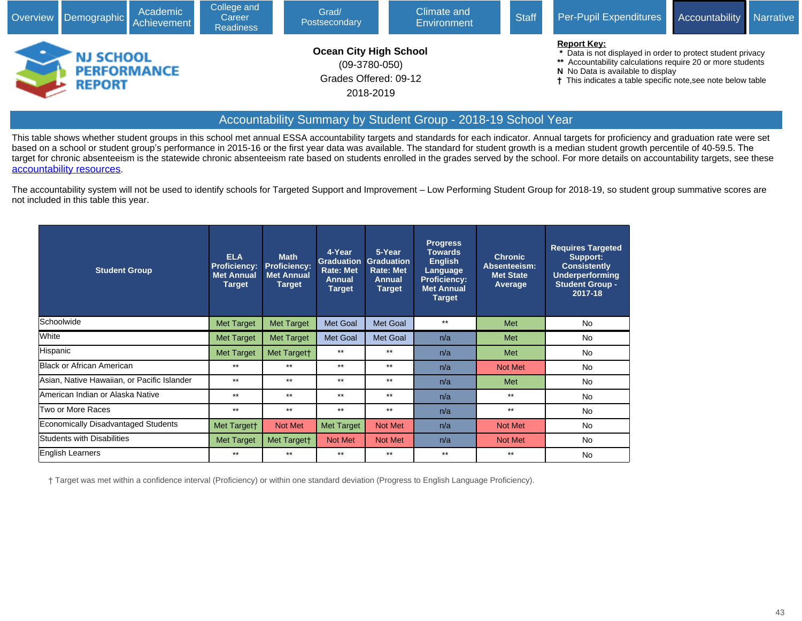

#### Accountability Summary by Student Group - 2018-19 School Year

This table shows whether student groups in this school met annual ESSA accountability targets and standards for each indicator. Annual targets for proficiency and graduation rate were set based on a school or student group's performance in 2015-16 or the first year data was available. The standard for student growth is a median student growth percentile of 40-59.5. The target for chronic absenteeism is the statewide chronic absenteeism rate based on students enrolled in the grades served by the school. For more details on accountability targets, see these [accountability resources](javascript:void(window.open().

The accountability system will not be used to identify schools for Targeted Support and Improvement – Low Performing Student Group for 2018-19, so student group summative scores are not included in this table this year.

| <b>Student Group</b>                        | <b>ELA</b><br>Proficiency:<br><b>Met Annual</b><br><b>Target</b> | <b>Math</b><br><b>Proficiency:</b><br><b>Met Annual</b><br><b>Target</b> | 4-Year<br><b>Graduation</b><br><b>Rate: Met</b><br><b>Annual</b><br><b>Target</b> | 5-Year<br><b>Graduation</b><br><b>Rate: Met</b><br><b>Annual</b><br><b>Target</b> | <b>Progress</b><br><b>Towards</b><br><b>English</b><br>Language<br><b>Proficiency:</b><br><b>Met Annual</b><br><b>Target</b> | <b>Chronic</b><br>Absenteeism:<br><b>Met State</b><br>Average | <b>Requires Targeted</b><br>Support:<br><b>Consistently</b><br>Underperforming<br><b>Student Group -</b><br>2017-18 |
|---------------------------------------------|------------------------------------------------------------------|--------------------------------------------------------------------------|-----------------------------------------------------------------------------------|-----------------------------------------------------------------------------------|------------------------------------------------------------------------------------------------------------------------------|---------------------------------------------------------------|---------------------------------------------------------------------------------------------------------------------|
| <b>Schoolwide</b>                           | <b>Met Target</b>                                                | <b>Met Target</b>                                                        | Met Goal                                                                          | <b>Met Goal</b>                                                                   | $***$                                                                                                                        | Met                                                           | <b>No</b>                                                                                                           |
| White                                       | <b>Met Target</b>                                                | <b>Met Target</b>                                                        | Met Goal                                                                          | <b>Met Goal</b>                                                                   | n/a                                                                                                                          | Met                                                           | No                                                                                                                  |
| Hispanic                                    | Met Target                                                       | Met Targett                                                              | $***$                                                                             | $**$                                                                              | n/a                                                                                                                          | Met                                                           | No                                                                                                                  |
| Black or African American                   | $**$                                                             | $***$                                                                    | $***$                                                                             | $**$                                                                              | n/a                                                                                                                          | Not Met                                                       | No                                                                                                                  |
| Asian, Native Hawaiian, or Pacific Islander | $***$                                                            | $***$                                                                    | $***$                                                                             | $**$                                                                              | n/a                                                                                                                          | Met                                                           | No                                                                                                                  |
| lAmerican Indian or Alaska Native           | $***$                                                            | $***$                                                                    | $***$                                                                             | $**$                                                                              | n/a                                                                                                                          | $***$                                                         | No                                                                                                                  |
| Two or More Races                           | $***$                                                            | $***$                                                                    | $***$                                                                             | $***$                                                                             | n/a                                                                                                                          | $***$                                                         | No                                                                                                                  |
| <b>Economically Disadvantaged Students</b>  | Met Targett                                                      | Not Met                                                                  | <b>Met Target</b>                                                                 | Not Met                                                                           | n/a                                                                                                                          | Not Met                                                       | <b>No</b>                                                                                                           |
| Students with Disabilities                  | <b>Met Target</b>                                                | Met Target†                                                              | Not Met                                                                           | Not Met                                                                           | n/a                                                                                                                          | Not Met                                                       | No.                                                                                                                 |
| English Learners                            | $***$                                                            | $***$                                                                    | $***$                                                                             | $***$                                                                             | $***$                                                                                                                        | $***$                                                         | No                                                                                                                  |

† Target was met within a confidence interval (Proficiency) or within one standard deviation (Progress to English Language Proficiency).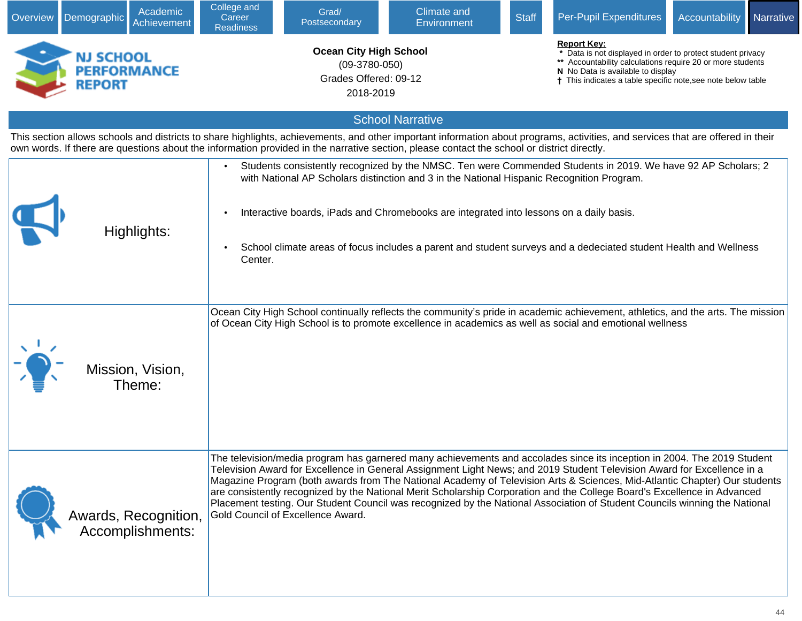| Overview | Demographic                                      | Academic<br>Achievement | College and<br>Career<br><b>Readiness</b> | Grad/<br>Postsecondary                                                                 | <b>Climate and</b><br><b>Environment</b>                                                                                                                                                                                                                                                                                                                                                                                                                                                                                                                                                                                                  | <b>Staff</b> | Per-Pupil Expenditures | Accountability                                                                                                                                                                                                                 | Narrative |  |
|----------|--------------------------------------------------|-------------------------|-------------------------------------------|----------------------------------------------------------------------------------------|-------------------------------------------------------------------------------------------------------------------------------------------------------------------------------------------------------------------------------------------------------------------------------------------------------------------------------------------------------------------------------------------------------------------------------------------------------------------------------------------------------------------------------------------------------------------------------------------------------------------------------------------|--------------|------------------------|--------------------------------------------------------------------------------------------------------------------------------------------------------------------------------------------------------------------------------|-----------|--|
|          | NJ SCHOOL<br><b>PERFORMANCE</b><br><b>REPORT</b> |                         |                                           | <b>Ocean City High School</b><br>$(09-3780-050)$<br>Grades Offered: 09-12<br>2018-2019 |                                                                                                                                                                                                                                                                                                                                                                                                                                                                                                                                                                                                                                           |              | <b>Report Key:</b>     | * Data is not displayed in order to protect student privacy<br>** Accountability calculations require 20 or more students<br>N No Data is available to display<br>† This indicates a table specific note, see note below table |           |  |
|          |                                                  |                         |                                           |                                                                                        | <b>School Narrative</b>                                                                                                                                                                                                                                                                                                                                                                                                                                                                                                                                                                                                                   |              |                        |                                                                                                                                                                                                                                |           |  |
|          |                                                  |                         |                                           |                                                                                        | This section allows schools and districts to share highlights, achievements, and other important information about programs, activities, and services that are offered in their<br>own words. If there are questions about the information provided in the narrative section, please contact the school or district directly.                                                                                                                                                                                                                                                                                                             |              |                        |                                                                                                                                                                                                                                |           |  |
|          | Highlights:                                      |                         | Center.                                   |                                                                                        | Students consistently recognized by the NMSC. Ten were Commended Students in 2019. We have 92 AP Scholars; 2<br>with National AP Scholars distinction and 3 in the National Hispanic Recognition Program.<br>Interactive boards, iPads and Chromebooks are integrated into lessons on a daily basis.<br>School climate areas of focus includes a parent and student surveys and a dedeciated student Health and Wellness                                                                                                                                                                                                                  |              |                        |                                                                                                                                                                                                                                |           |  |
|          | Mission, Vision,<br>Theme:                       |                         |                                           |                                                                                        | Ocean City High School continually reflects the community's pride in academic achievement, athletics, and the arts. The mission<br>of Ocean City High School is to promote excellence in academics as well as social and emotional wellness                                                                                                                                                                                                                                                                                                                                                                                               |              |                        |                                                                                                                                                                                                                                |           |  |
|          | Awards, Recognition,<br>Accomplishments:         |                         |                                           | Gold Council of Excellence Award.                                                      | The television/media program has garnered many achievements and accolades since its inception in 2004. The 2019 Student<br>Television Award for Excellence in General Assignment Light News; and 2019 Student Television Award for Excellence in a<br>Magazine Program (both awards from The National Academy of Television Arts & Sciences, Mid-Atlantic Chapter) Our students<br>are consistently recognized by the National Merit Scholarship Corporation and the College Board's Excellence in Advanced<br>Placement testing. Our Student Council was recognized by the National Association of Student Councils winning the National |              |                        |                                                                                                                                                                                                                                |           |  |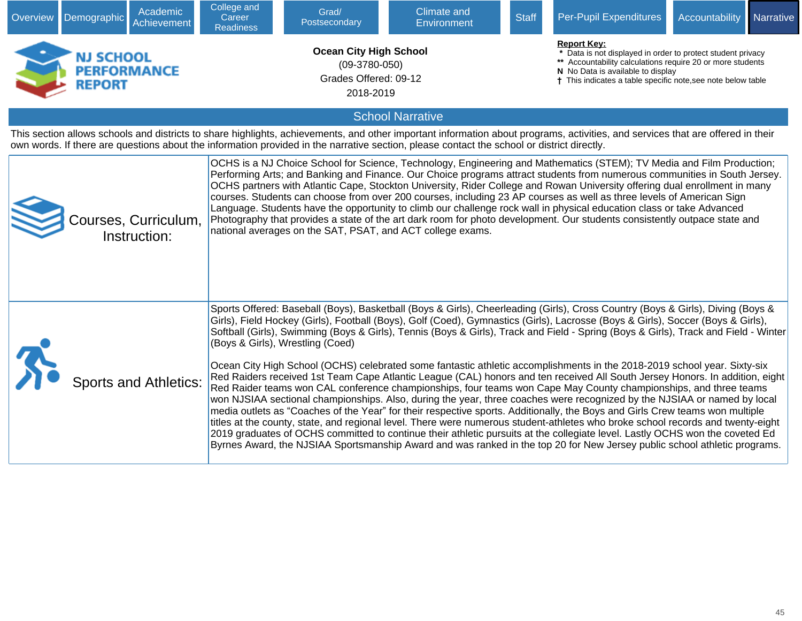| Overview | Academic<br>Demographic<br>Achievement                                                                                                                                                                                                                                                                                        | College and<br>Career<br><b>Readiness</b> | Grad/<br>Postsecondary                                                                 | <b>Climate and</b><br>Environment                          | <b>Staff</b>                                                                                                                                                                                                                                       | Per-Pupil Expenditures                                                                                                                                                                                                                                                                                                                                                                                                                                                                                                                                                                                                                                                                                                                                                                                                                                                                                                                                                                                                                                                                                                                                                                                                                                                                                                                                                                                                                               | Accountability | Narrative |  |  |
|----------|-------------------------------------------------------------------------------------------------------------------------------------------------------------------------------------------------------------------------------------------------------------------------------------------------------------------------------|-------------------------------------------|----------------------------------------------------------------------------------------|------------------------------------------------------------|----------------------------------------------------------------------------------------------------------------------------------------------------------------------------------------------------------------------------------------------------|------------------------------------------------------------------------------------------------------------------------------------------------------------------------------------------------------------------------------------------------------------------------------------------------------------------------------------------------------------------------------------------------------------------------------------------------------------------------------------------------------------------------------------------------------------------------------------------------------------------------------------------------------------------------------------------------------------------------------------------------------------------------------------------------------------------------------------------------------------------------------------------------------------------------------------------------------------------------------------------------------------------------------------------------------------------------------------------------------------------------------------------------------------------------------------------------------------------------------------------------------------------------------------------------------------------------------------------------------------------------------------------------------------------------------------------------------|----------------|-----------|--|--|
|          | <b>NJ SCHOOL</b><br><b>PERFORMANCE</b><br><b>REPORT</b>                                                                                                                                                                                                                                                                       |                                           | <b>Ocean City High School</b><br>$(09-3780-050)$<br>Grades Offered: 09-12<br>2018-2019 |                                                            | <b>Report Key:</b><br>Data is not displayed in order to protect student privacy<br>** Accountability calculations require 20 or more students<br>N No Data is available to display<br>† This indicates a table specific note, see note below table |                                                                                                                                                                                                                                                                                                                                                                                                                                                                                                                                                                                                                                                                                                                                                                                                                                                                                                                                                                                                                                                                                                                                                                                                                                                                                                                                                                                                                                                      |                |           |  |  |
|          |                                                                                                                                                                                                                                                                                                                               |                                           |                                                                                        | <b>School Narrative</b>                                    |                                                                                                                                                                                                                                                    |                                                                                                                                                                                                                                                                                                                                                                                                                                                                                                                                                                                                                                                                                                                                                                                                                                                                                                                                                                                                                                                                                                                                                                                                                                                                                                                                                                                                                                                      |                |           |  |  |
|          | This section allows schools and districts to share highlights, achievements, and other important information about programs, activities, and services that are offered in their<br>own words. If there are questions about the information provided in the narrative section, please contact the school or district directly. |                                           |                                                                                        |                                                            |                                                                                                                                                                                                                                                    |                                                                                                                                                                                                                                                                                                                                                                                                                                                                                                                                                                                                                                                                                                                                                                                                                                                                                                                                                                                                                                                                                                                                                                                                                                                                                                                                                                                                                                                      |                |           |  |  |
|          | Courses, Curriculum,<br>Instruction:                                                                                                                                                                                                                                                                                          |                                           |                                                                                        | national averages on the SAT, PSAT, and ACT college exams. |                                                                                                                                                                                                                                                    | OCHS is a NJ Choice School for Science, Technology, Engineering and Mathematics (STEM); TV Media and Film Production;<br>Performing Arts; and Banking and Finance. Our Choice programs attract students from numerous communities in South Jersey.<br>OCHS partners with Atlantic Cape, Stockton University, Rider College and Rowan University offering dual enrollment in many<br>courses. Students can choose from over 200 courses, including 23 AP courses as well as three levels of American Sign<br>Language. Students have the opportunity to climb our challenge rock wall in physical education class or take Advanced<br>Photography that provides a state of the art dark room for photo development. Our students consistently outpace state and                                                                                                                                                                                                                                                                                                                                                                                                                                                                                                                                                                                                                                                                                       |                |           |  |  |
|          | <b>Sports and Athletics:</b>                                                                                                                                                                                                                                                                                                  |                                           | (Boys & Girls), Wrestling (Coed)                                                       |                                                            |                                                                                                                                                                                                                                                    | Sports Offered: Baseball (Boys), Basketball (Boys & Girls), Cheerleading (Girls), Cross Country (Boys & Girls), Diving (Boys &<br>Girls), Field Hockey (Girls), Football (Boys), Golf (Coed), Gymnastics (Girls), Lacrosse (Boys & Girls), Soccer (Boys & Girls),<br>Softball (Girls), Swimming (Boys & Girls), Tennis (Boys & Girls), Track and Field - Spring (Boys & Girls), Track and Field - Winter<br>Ocean City High School (OCHS) celebrated some fantastic athletic accomplishments in the 2018-2019 school year. Sixty-six<br>Red Raiders received 1st Team Cape Atlantic League (CAL) honors and ten received All South Jersey Honors. In addition, eight<br>Red Raider teams won CAL conference championships, four teams won Cape May County championships, and three teams<br>won NJSIAA sectional championships. Also, during the year, three coaches were recognized by the NJSIAA or named by local<br>media outlets as "Coaches of the Year" for their respective sports. Additionally, the Boys and Girls Crew teams won multiple<br>titles at the county, state, and regional level. There were numerous student-athletes who broke school records and twenty-eight<br>2019 graduates of OCHS committed to continue their athletic pursuits at the collegiate level. Lastly OCHS won the coveted Ed<br>Byrnes Award, the NJSIAA Sportsmanship Award and was ranked in the top 20 for New Jersey public school athletic programs. |                |           |  |  |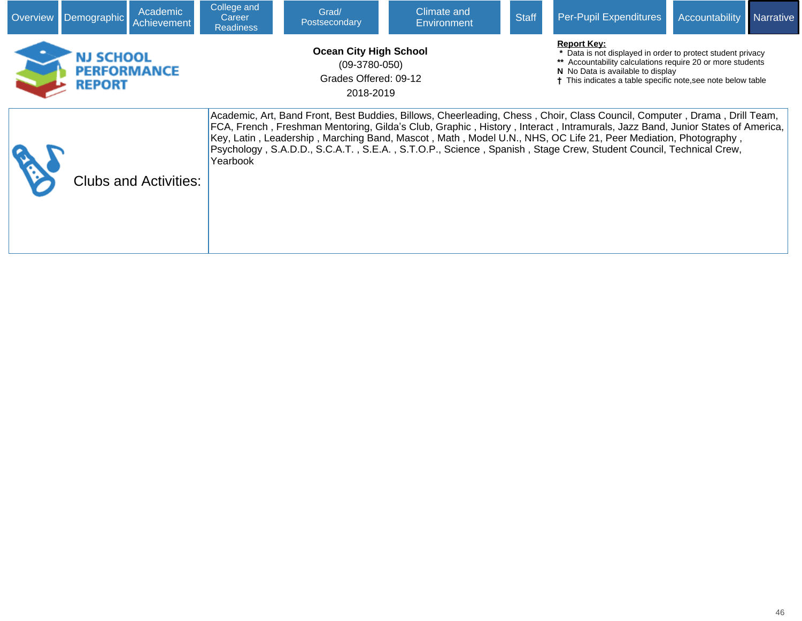| <b>Overview</b> | Demographic   | Academic<br>Achievement,                                                                                                                               | College and<br>Career<br><b>Readiness</b> | Grad/<br>Postsecondary | Climate and<br>Environment | <b>Staff</b>                                                                                                                                                                                                                 | Per-Pupil Expenditures                                                                                                                                                                                                                                                                                                                                                                                                                                                                          | <b>Accountability</b> | <b>Narrative</b> |
|-----------------|---------------|--------------------------------------------------------------------------------------------------------------------------------------------------------|-------------------------------------------|------------------------|----------------------------|------------------------------------------------------------------------------------------------------------------------------------------------------------------------------------------------------------------------------|-------------------------------------------------------------------------------------------------------------------------------------------------------------------------------------------------------------------------------------------------------------------------------------------------------------------------------------------------------------------------------------------------------------------------------------------------------------------------------------------------|-----------------------|------------------|
|                 | <b>REPORT</b> | <b>Report Key:</b><br><b>Ocean City High School</b><br><b>NJ SCHOOL</b><br>$(09-3780-050)$<br><b>PERFORMANCE</b><br>Grades Offered: 09-12<br>2018-2019 |                                           |                        |                            | * Data is not displayed in order to protect student privacy<br>** Accountability calculations require 20 or more students<br>N No Data is available to display<br>This indicates a table specific note, see note below table |                                                                                                                                                                                                                                                                                                                                                                                                                                                                                                 |                       |                  |
|                 |               | <b>Clubs and Activities:</b>                                                                                                                           | Yearbook                                  |                        |                            |                                                                                                                                                                                                                              | Academic, Art, Band Front, Best Buddies, Billows, Cheerleading, Chess, Choir, Class Council, Computer, Drama, Drill Team,<br>FCA, French, Freshman Mentoring, Gilda's Club, Graphic, History, Interact, Intramurals, Jazz Band, Junior States of America,<br>Key, Latin, Leadership, Marching Band, Mascot, Math, Model U.N., NHS, OC Life 21, Peer Mediation, Photography,<br>Psychology, S.A.D.D., S.C.A.T., S.E.A., S.T.O.P., Science, Spanish, Stage Crew, Student Council, Technical Crew, |                       |                  |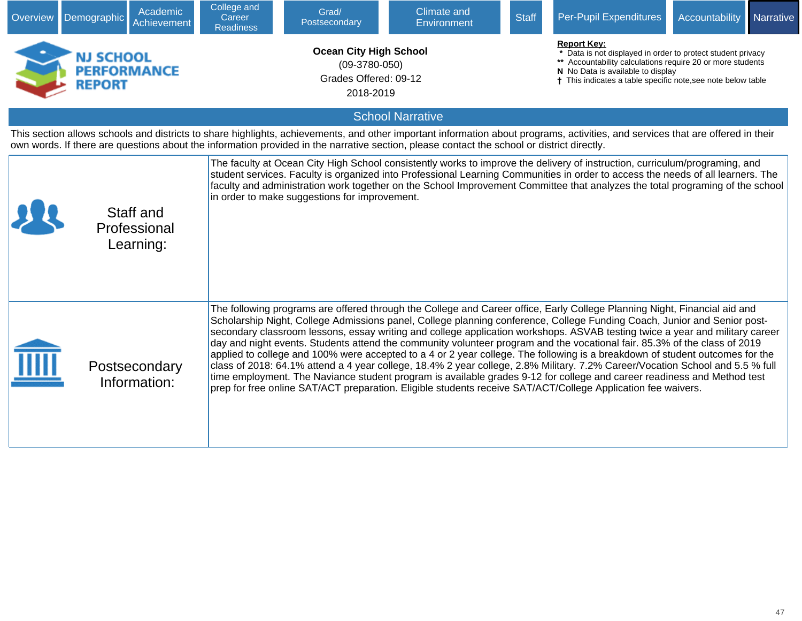| Overview | Academic<br>Demographic<br>Achievement                                                                                                                                                                                                                                                                                        | College and<br>Career<br><b>Readiness</b> | Grad/<br>Postsecondary                                                                 | <b>Climate and</b><br>Environment | <b>Staff</b> | Per-Pupil Expenditures                                                                                                                                                                                                                                                                                                                                                                                                                                                                                                                                                                                                                                                                                                                                                                                                                                                                                                                                                                                                         | Accountability | Narrative |  |
|----------|-------------------------------------------------------------------------------------------------------------------------------------------------------------------------------------------------------------------------------------------------------------------------------------------------------------------------------|-------------------------------------------|----------------------------------------------------------------------------------------|-----------------------------------|--------------|--------------------------------------------------------------------------------------------------------------------------------------------------------------------------------------------------------------------------------------------------------------------------------------------------------------------------------------------------------------------------------------------------------------------------------------------------------------------------------------------------------------------------------------------------------------------------------------------------------------------------------------------------------------------------------------------------------------------------------------------------------------------------------------------------------------------------------------------------------------------------------------------------------------------------------------------------------------------------------------------------------------------------------|----------------|-----------|--|
|          | <b>NJ SCHOOL</b><br><b>PERFORMANCE</b><br><b>REPORT</b>                                                                                                                                                                                                                                                                       |                                           | <b>Ocean City High School</b><br>$(09-3780-050)$<br>Grades Offered: 09-12<br>2018-2019 |                                   |              | <b>Report Key:</b><br>* Data is not displayed in order to protect student privacy<br>** Accountability calculations require 20 or more students<br>N No Data is available to display<br>† This indicates a table specific note, see note below table                                                                                                                                                                                                                                                                                                                                                                                                                                                                                                                                                                                                                                                                                                                                                                           |                |           |  |
|          |                                                                                                                                                                                                                                                                                                                               |                                           |                                                                                        | <b>School Narrative</b>           |              |                                                                                                                                                                                                                                                                                                                                                                                                                                                                                                                                                                                                                                                                                                                                                                                                                                                                                                                                                                                                                                |                |           |  |
|          | This section allows schools and districts to share highlights, achievements, and other important information about programs, activities, and services that are offered in their<br>own words. If there are questions about the information provided in the narrative section, please contact the school or district directly. |                                           |                                                                                        |                                   |              |                                                                                                                                                                                                                                                                                                                                                                                                                                                                                                                                                                                                                                                                                                                                                                                                                                                                                                                                                                                                                                |                |           |  |
|          | Staff and<br>Professional<br>Learning:                                                                                                                                                                                                                                                                                        |                                           | in order to make suggestions for improvement.                                          |                                   |              | The faculty at Ocean City High School consistently works to improve the delivery of instruction, curriculum/programing, and<br>student services. Faculty is organized into Professional Learning Communities in order to access the needs of all learners. The<br>faculty and administration work together on the School Improvement Committee that analyzes the total programing of the school                                                                                                                                                                                                                                                                                                                                                                                                                                                                                                                                                                                                                                |                |           |  |
|          | Postsecondary<br>Information:                                                                                                                                                                                                                                                                                                 |                                           |                                                                                        |                                   |              | The following programs are offered through the College and Career office, Early College Planning Night, Financial aid and<br>Scholarship Night, College Admissions panel, College planning conference, College Funding Coach, Junior and Senior post-<br>secondary classroom lessons, essay writing and college application workshops. ASVAB testing twice a year and military career<br>day and night events. Students attend the community volunteer program and the vocational fair. 85.3% of the class of 2019<br>applied to college and 100% were accepted to a 4 or 2 year college. The following is a breakdown of student outcomes for the<br>class of 2018: 64.1% attend a 4 year college, 18.4% 2 year college, 2.8% Military. 7.2% Career/Vocation School and 5.5 % full<br>time employment. The Naviance student program is available grades 9-12 for college and career readiness and Method test<br>prep for free online SAT/ACT preparation. Eligible students receive SAT/ACT/College Application fee waivers. |                |           |  |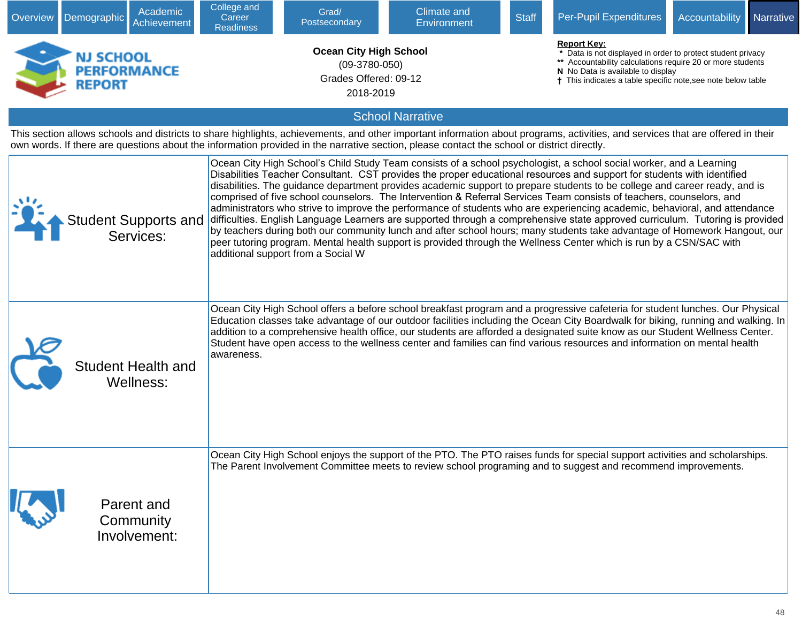| Overview | Academic<br>Demographic<br>Achievement                                                                                                                                                                                                                                                                                        | College and<br>Career<br><b>Readiness</b> | Grad/<br>Postsecondary                                                                 | <b>Climate and</b><br><b>Environment</b>                                                                                                                                                                                                                                                                                                                                                                                                                                                                                                                                                                                                                                                                                                                                                                                                                                                                                                                                                                                | <b>Staff</b> | Per-Pupil Expenditures                                                                                                                                                                                                                               | Accountability | Narrative |
|----------|-------------------------------------------------------------------------------------------------------------------------------------------------------------------------------------------------------------------------------------------------------------------------------------------------------------------------------|-------------------------------------------|----------------------------------------------------------------------------------------|-------------------------------------------------------------------------------------------------------------------------------------------------------------------------------------------------------------------------------------------------------------------------------------------------------------------------------------------------------------------------------------------------------------------------------------------------------------------------------------------------------------------------------------------------------------------------------------------------------------------------------------------------------------------------------------------------------------------------------------------------------------------------------------------------------------------------------------------------------------------------------------------------------------------------------------------------------------------------------------------------------------------------|--------------|------------------------------------------------------------------------------------------------------------------------------------------------------------------------------------------------------------------------------------------------------|----------------|-----------|
|          | NJ SCHOOL<br><b>PERFORMANCE</b><br><b>REPORT</b>                                                                                                                                                                                                                                                                              |                                           | <b>Ocean City High School</b><br>$(09-3780-050)$<br>Grades Offered: 09-12<br>2018-2019 |                                                                                                                                                                                                                                                                                                                                                                                                                                                                                                                                                                                                                                                                                                                                                                                                                                                                                                                                                                                                                         |              | <b>Report Kev:</b><br>* Data is not displayed in order to protect student privacy<br>** Accountability calculations require 20 or more students<br>N No Data is available to display<br>† This indicates a table specific note, see note below table |                |           |
|          |                                                                                                                                                                                                                                                                                                                               |                                           |                                                                                        | <b>School Narrative</b>                                                                                                                                                                                                                                                                                                                                                                                                                                                                                                                                                                                                                                                                                                                                                                                                                                                                                                                                                                                                 |              |                                                                                                                                                                                                                                                      |                |           |
|          | This section allows schools and districts to share highlights, achievements, and other important information about programs, activities, and services that are offered in their<br>own words. If there are questions about the information provided in the narrative section, please contact the school or district directly. |                                           |                                                                                        |                                                                                                                                                                                                                                                                                                                                                                                                                                                                                                                                                                                                                                                                                                                                                                                                                                                                                                                                                                                                                         |              |                                                                                                                                                                                                                                                      |                |           |
|          | <b>Student Supports and</b><br>Services:                                                                                                                                                                                                                                                                                      |                                           | additional support from a Social W                                                     | Ocean City High School's Child Study Team consists of a school psychologist, a school social worker, and a Learning<br>Disabilities Teacher Consultant. CST provides the proper educational resources and support for students with identified<br>disabilities. The guidance department provides academic support to prepare students to be college and career ready, and is<br>comprised of five school counselors. The Intervention & Referral Services Team consists of teachers, counselors, and<br>administrators who strive to improve the performance of students who are experiencing academic, behavioral, and attendance<br>difficulties. English Language Learners are supported through a comprehensive state approved curriculum. Tutoring is provided<br>by teachers during both our community lunch and after school hours; many students take advantage of Homework Hangout, our<br>peer tutoring program. Mental health support is provided through the Wellness Center which is run by a CSN/SAC with |              |                                                                                                                                                                                                                                                      |                |           |
|          | <b>Student Health and</b><br>Wellness:                                                                                                                                                                                                                                                                                        | awareness.                                |                                                                                        | Ocean City High School offers a before school breakfast program and a progressive cafeteria for student lunches. Our Physical<br>Education classes take advantage of our outdoor facilities including the Ocean City Boardwalk for biking, running and walking. In<br>addition to a comprehensive health office, our students are afforded a designated suite know as our Student Wellness Center.<br>Student have open access to the wellness center and families can find various resources and information on mental health                                                                                                                                                                                                                                                                                                                                                                                                                                                                                          |              |                                                                                                                                                                                                                                                      |                |           |
|          | Parent and<br>Community<br>Involvement:                                                                                                                                                                                                                                                                                       |                                           |                                                                                        | Ocean City High School enjoys the support of the PTO. The PTO raises funds for special support activities and scholarships.<br>The Parent Involvement Committee meets to review school programing and to suggest and recommend improvements.                                                                                                                                                                                                                                                                                                                                                                                                                                                                                                                                                                                                                                                                                                                                                                            |              |                                                                                                                                                                                                                                                      |                |           |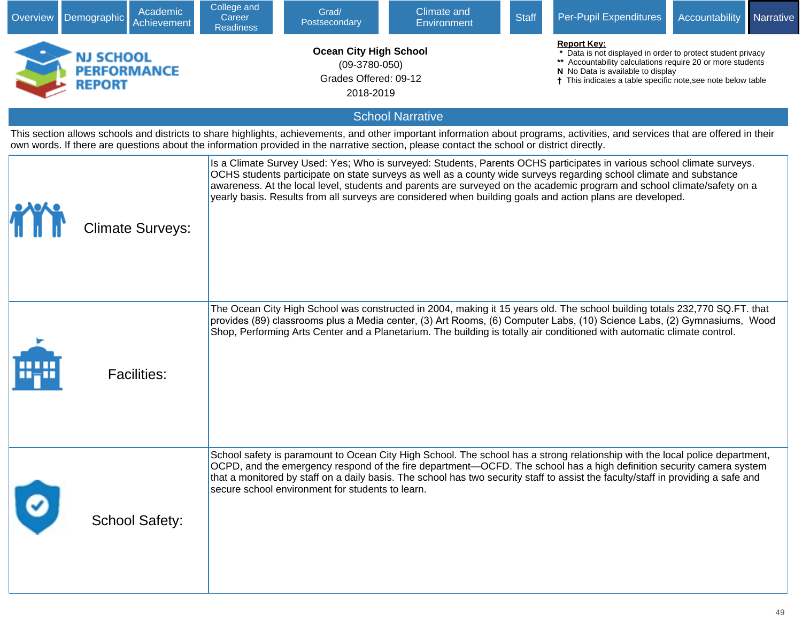| Overview | Academic<br>Demographic<br><b>Achievement</b>                                                                                                                                                                                                                                                                                 | College and<br>Career<br><b>Readiness</b> | Grad/<br>Postsecondary                                                                 | <b>Climate and</b><br>Environment                                                                                                                                                                                                                                                                                                                                                                                                                                                    | <b>Staff</b> | Per-Pupil Expenditures                                                                                                                                                                                                                               | Accountability | Narrative |
|----------|-------------------------------------------------------------------------------------------------------------------------------------------------------------------------------------------------------------------------------------------------------------------------------------------------------------------------------|-------------------------------------------|----------------------------------------------------------------------------------------|--------------------------------------------------------------------------------------------------------------------------------------------------------------------------------------------------------------------------------------------------------------------------------------------------------------------------------------------------------------------------------------------------------------------------------------------------------------------------------------|--------------|------------------------------------------------------------------------------------------------------------------------------------------------------------------------------------------------------------------------------------------------------|----------------|-----------|
|          | NJ SCHOOL<br><b>PERFORMANCE</b><br><b>REPORT</b>                                                                                                                                                                                                                                                                              |                                           | <b>Ocean City High School</b><br>$(09-3780-050)$<br>Grades Offered: 09-12<br>2018-2019 |                                                                                                                                                                                                                                                                                                                                                                                                                                                                                      |              | <b>Report Key:</b><br>* Data is not displayed in order to protect student privacy<br>** Accountability calculations require 20 or more students<br>N No Data is available to display<br>† This indicates a table specific note, see note below table |                |           |
|          |                                                                                                                                                                                                                                                                                                                               |                                           |                                                                                        | <b>School Narrative</b>                                                                                                                                                                                                                                                                                                                                                                                                                                                              |              |                                                                                                                                                                                                                                                      |                |           |
|          | This section allows schools and districts to share highlights, achievements, and other important information about programs, activities, and services that are offered in their<br>own words. If there are questions about the information provided in the narrative section, please contact the school or district directly. |                                           |                                                                                        |                                                                                                                                                                                                                                                                                                                                                                                                                                                                                      |              |                                                                                                                                                                                                                                                      |                |           |
|          | <b>Climate Surveys:</b>                                                                                                                                                                                                                                                                                                       |                                           |                                                                                        | Is a Climate Survey Used: Yes; Who is surveyed: Students, Parents OCHS participates in various school climate surveys.<br>OCHS students participate on state surveys as well as a county wide surveys regarding school climate and substance<br>awareness. At the local level, students and parents are surveyed on the academic program and school climate/safety on a<br>yearly basis. Results from all surveys are considered when building goals and action plans are developed. |              |                                                                                                                                                                                                                                                      |                |           |
| 11–11    | <b>Facilities:</b>                                                                                                                                                                                                                                                                                                            |                                           |                                                                                        | The Ocean City High School was constructed in 2004, making it 15 years old. The school building totals 232,770 SQ.FT. that<br>provides (89) classrooms plus a Media center, (3) Art Rooms, (6) Computer Labs, (10) Science Labs, (2) Gymnasiums, Wood<br>Shop, Performing Arts Center and a Planetarium. The building is totally air conditioned with automatic climate control.                                                                                                     |              |                                                                                                                                                                                                                                                      |                |           |
|          | <b>School Safety:</b>                                                                                                                                                                                                                                                                                                         |                                           | secure school environment for students to learn.                                       | School safety is paramount to Ocean City High School. The school has a strong relationship with the local police department,<br>OCPD, and the emergency respond of the fire department—OCFD. The school has a high definition security camera system<br>that a monitored by staff on a daily basis. The school has two security staff to assist the faculty/staff in providing a safe and                                                                                            |              |                                                                                                                                                                                                                                                      |                |           |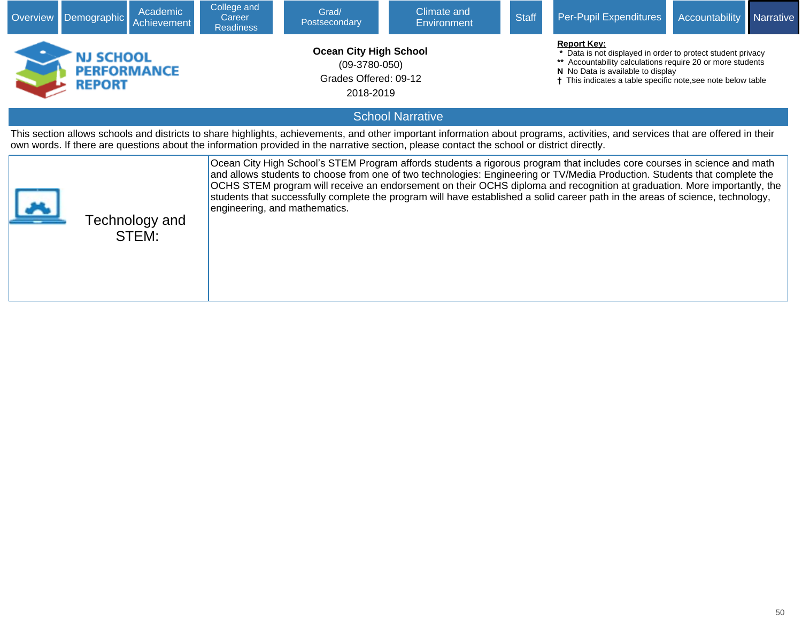| <b>Overview</b>                                                                                                                                                                                                                                                                                                                                                                                      | Academic<br>Demographic<br>Achievement                                                                                                                                                                                                                                                                                        | College and<br>Career<br><b>Readiness</b> | Grad/<br>Postsecondary        | <b>Climate and</b><br><b>Environment</b> | <b>Staff</b> | <b>Per-Pupil Expenditures</b>                                                                                                                                                                                                                                                                                                                                                                                                                                                                                        | Accountability | Narrative |  |  |
|------------------------------------------------------------------------------------------------------------------------------------------------------------------------------------------------------------------------------------------------------------------------------------------------------------------------------------------------------------------------------------------------------|-------------------------------------------------------------------------------------------------------------------------------------------------------------------------------------------------------------------------------------------------------------------------------------------------------------------------------|-------------------------------------------|-------------------------------|------------------------------------------|--------------|----------------------------------------------------------------------------------------------------------------------------------------------------------------------------------------------------------------------------------------------------------------------------------------------------------------------------------------------------------------------------------------------------------------------------------------------------------------------------------------------------------------------|----------------|-----------|--|--|
| <b>Report Key:</b><br><b>Ocean City High School</b><br>* Data is not displayed in order to protect student privacy<br><b>NJ SCHOOL</b><br>Accountability calculations require 20 or more students<br>$(09-3780-050)$<br><b>PERFORMANCE</b><br>N No Data is available to display<br>Grades Offered: 09-12<br>This indicates a table specific note, see note below table<br><b>REPORT</b><br>2018-2019 |                                                                                                                                                                                                                                                                                                                               |                                           |                               |                                          |              |                                                                                                                                                                                                                                                                                                                                                                                                                                                                                                                      |                |           |  |  |
|                                                                                                                                                                                                                                                                                                                                                                                                      | <b>School Narrative</b>                                                                                                                                                                                                                                                                                                       |                                           |                               |                                          |              |                                                                                                                                                                                                                                                                                                                                                                                                                                                                                                                      |                |           |  |  |
|                                                                                                                                                                                                                                                                                                                                                                                                      | This section allows schools and districts to share highlights, achievements, and other important information about programs, activities, and services that are offered in their<br>own words. If there are questions about the information provided in the narrative section, please contact the school or district directly. |                                           |                               |                                          |              |                                                                                                                                                                                                                                                                                                                                                                                                                                                                                                                      |                |           |  |  |
|                                                                                                                                                                                                                                                                                                                                                                                                      | Technology and<br>STEM:                                                                                                                                                                                                                                                                                                       |                                           | engineering, and mathematics. |                                          |              | Ocean City High School's STEM Program affords students a rigorous program that includes core courses in science and math<br>and allows students to choose from one of two technologies: Engineering or TV/Media Production. Students that complete the<br>OCHS STEM program will receive an endorsement on their OCHS diploma and recognition at graduation. More importantly, the<br>students that successfully complete the program will have established a solid career path in the areas of science, technology, |                |           |  |  |